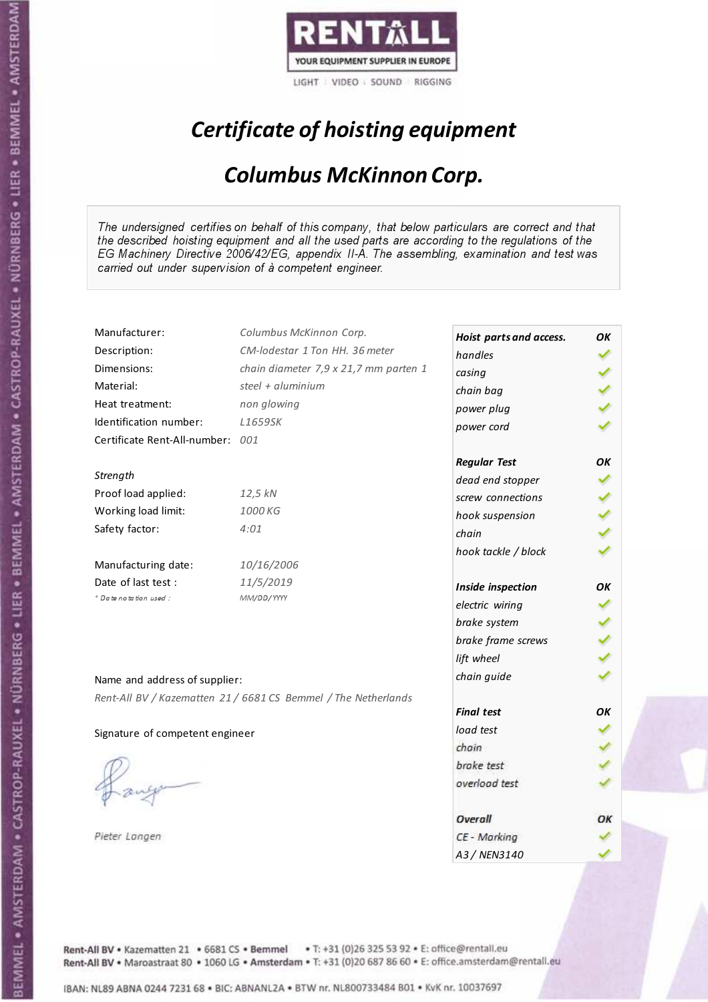

# Certificate of hoisting equipment

### Columbus McKinnon Corp.

The undersigned certifies on behalf of this company, that below particulars are correct and that the described hoisting equipment and all the used parts are according to the regulations of the EG Machinery Directive 2006/42/EG, appendix II-A. The assembling, examination and test was carried out under supervision of à competent engineer.

| Manufacturer:                   | Columbus McKinnon Corp.                                        |                         |    |
|---------------------------------|----------------------------------------------------------------|-------------------------|----|
|                                 | CM-lodestar 1 Ton HH, 36 meter                                 | Hoist parts and access. | ΟK |
| Description:                    |                                                                | handles                 |    |
| Dimensions:                     | chain diameter 7,9 x 21,7 mm parten 1                          | casing                  |    |
| Material:                       | steel + aluminium                                              | chain bag               |    |
| Heat treatment:                 | non glowing                                                    | power plug              |    |
| Identification number:          | L1659SK                                                        | power cord              |    |
| Certificate Rent-All-number:    | 001                                                            |                         |    |
|                                 |                                                                | <b>Regular Test</b>     | OΚ |
| Strength                        |                                                                | dead end stopper        |    |
| Proof load applied:             | 12,5 kN                                                        | screw connections       |    |
| Working load limit:             | 1000 KG                                                        | hook suspension         |    |
| Safety factor:                  | 4:01                                                           | chain                   |    |
|                                 |                                                                | hook tackle / block     |    |
| Manufacturing date:             | 10/16/2006                                                     |                         |    |
| Date of last test :             | 11/5/2019                                                      | Inside inspection       | OK |
| + Date notation used:           | MM/DD/YYYY                                                     | electric wiring         |    |
|                                 |                                                                | brake system            |    |
|                                 |                                                                | brake frame screws      |    |
|                                 |                                                                | lift wheel              |    |
|                                 |                                                                |                         |    |
| Name and address of supplier:   |                                                                | chain guide             |    |
|                                 | Rent-All BV / Kazematten 21 / 6681 CS Bemmel / The Netherlands |                         |    |
|                                 |                                                                | <b>Final test</b>       | OK |
| Signature of competent engineer |                                                                | load test               |    |
|                                 |                                                                | chain                   |    |
|                                 |                                                                | brake test              |    |
|                                 |                                                                | overload test           |    |
|                                 |                                                                | Overall                 | ОΚ |
| Pieter Langen                   |                                                                | CE - Marking            |    |
|                                 |                                                                | A3/NFN3140              |    |

Rent-All BV . Kazematten 21 . 6681 CS . Bemmel . T: +31 (0)26 325 53 92 . E: office@rentall.eu Rent-All BV · Maroastraat 80 · 1060 LG · Amsterdam · T: +31 (0)20 687 86 60 · E: office.amsterdam@rentall.eu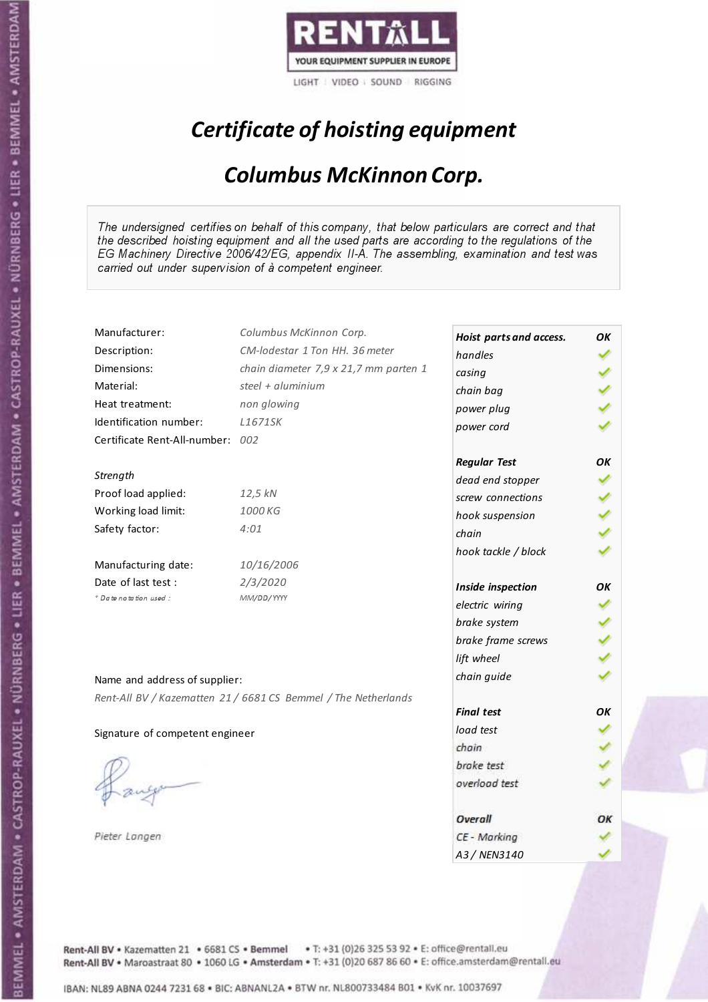

# Certificate of hoisting equipment

### Columbus McKinnon Corp.

The undersigned certifies on behalf of this company, that below particulars are correct and that the described hoisting equipment and all the used parts are according to the regulations of the EG Machinery Directive 2006/42/EG, appendix II-A. The assembling, examination and test was carried out under supervision of à competent engineer.

| Manufacturer:                    | Columbus McKinnon Corp.                                        | Hoist parts and access. | ΟK |
|----------------------------------|----------------------------------------------------------------|-------------------------|----|
| Description:                     | CM-lodestar 1 Ton HH, 36 meter                                 | handles                 |    |
| Dimensions:                      | chain diameter 7,9 x 21,7 mm parten 1                          | casing                  |    |
| Material:                        | steel + aluminium                                              | chain bag               |    |
| Heat treatment:                  | non glowing                                                    | power plug              |    |
| Identification number:           | L1671SK                                                        | power cord              |    |
| Certificate Rent-All-number: 002 |                                                                |                         |    |
|                                  |                                                                | <b>Regular Test</b>     | OK |
| Strength                         |                                                                | dead end stopper        |    |
| Proof load applied:              | 12,5 kN                                                        | screw connections       |    |
| Working load limit:              | 1000 KG                                                        | hook suspension         |    |
| Safety factor:                   | 4:01                                                           | chain                   |    |
|                                  |                                                                | hook tackle / block     |    |
| Manufacturing date:              | 10/16/2006                                                     |                         |    |
| Date of last test :              | 2/3/2020                                                       | Inside inspection       | ОΚ |
| + Date notation used:            | MM/DD/YYYY                                                     | electric wiring         |    |
|                                  |                                                                | brake system            |    |
|                                  |                                                                | brake frame screws      |    |
|                                  |                                                                | lift wheel              |    |
|                                  |                                                                | chain guide             |    |
| Name and address of supplier:    |                                                                |                         |    |
|                                  | Rent-All BV / Kazematten 21 / 6681 CS Bemmel / The Netherlands | <b>Final test</b>       | OK |
|                                  |                                                                | load test               |    |
| Signature of competent engineer  |                                                                | chain                   |    |
|                                  |                                                                | brake test              |    |
|                                  |                                                                | overload test           |    |
|                                  |                                                                |                         |    |
|                                  |                                                                | Overall                 | ОК |
| Pieter Langen                    |                                                                | CE - Marking            |    |
|                                  |                                                                | A3/NFN3140              |    |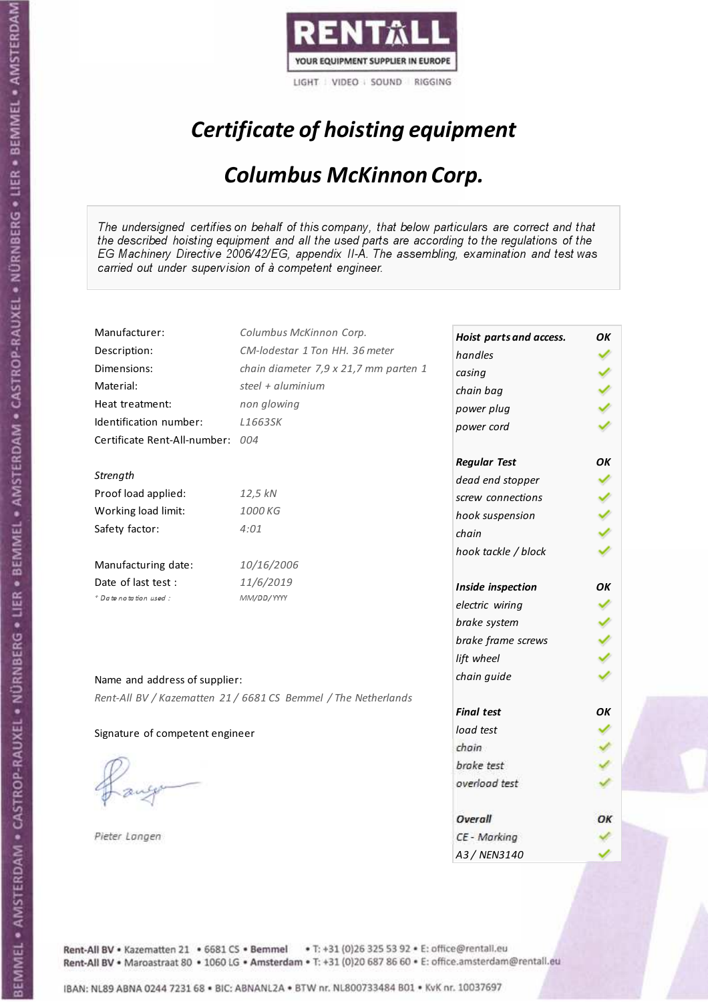

# Certificate of hoisting equipment

### Columbus McKinnon Corp.

The undersigned certifies on behalf of this company, that below particulars are correct and that the described hoisting equipment and all the used parts are according to the regulations of the EG Machinery Directive 2006/42/EG, appendix II-A. The assembling, examination and test was carried out under supervision of à competent engineer.

| Manufacturer:                   | Columbus McKinnon Corp.                                        |                         |    |
|---------------------------------|----------------------------------------------------------------|-------------------------|----|
|                                 | CM-lodestar 1 Ton HH, 36 meter                                 | Hoist parts and access. | ΟK |
| Description:                    |                                                                | handles                 |    |
| Dimensions:                     | chain diameter 7,9 x 21,7 mm parten 1                          | casing                  |    |
| Material:                       | steel + aluminium                                              | chain bag               |    |
| Heat treatment:                 | non glowing                                                    | power plug              |    |
| Identification number:          | L1663SK                                                        | power cord              |    |
| Certificate Rent-All-number:    | 004                                                            |                         |    |
|                                 |                                                                | <b>Regular Test</b>     | OΚ |
| Strength                        |                                                                | dead end stopper        |    |
| Proof load applied:             | 12,5 kN                                                        | screw connections       |    |
| Working load limit:             | 1000 KG                                                        | hook suspension         |    |
| Safety factor:                  | 4:01                                                           | chain                   |    |
|                                 |                                                                | hook tackle / block     |    |
| Manufacturing date:             | 10/16/2006                                                     |                         |    |
| Date of last test :             | 11/6/2019                                                      | Inside inspection       | OK |
| + Date notation used:           | MM/DD/YYYY                                                     | electric wiring         |    |
|                                 |                                                                | brake system            |    |
|                                 |                                                                | brake frame screws      |    |
|                                 |                                                                | lift wheel              |    |
|                                 |                                                                |                         |    |
| Name and address of supplier:   |                                                                | chain guide             |    |
|                                 | Rent-All BV / Kazematten 21 / 6681 CS Bemmel / The Netherlands |                         |    |
|                                 |                                                                | <b>Final test</b>       | OK |
| Signature of competent engineer |                                                                | load test               |    |
|                                 |                                                                | chain                   |    |
|                                 |                                                                | brake test              |    |
|                                 |                                                                | overload test           |    |
|                                 |                                                                | Overall                 | ОΚ |
| Pieter Langen                   |                                                                | CE - Marking            |    |
|                                 |                                                                | A3/NFN3140              |    |

Rent-All BV . Kazematten 21 . 6681 CS . Bemmel . T: +31 (0)26 325 53 92 . E: office@rentall.eu Rent-All BV · Maroastraat 80 · 1060 LG · Amsterdam · T: +31 (0)20 687 86 60 · E: office.amsterdam@rentall.eu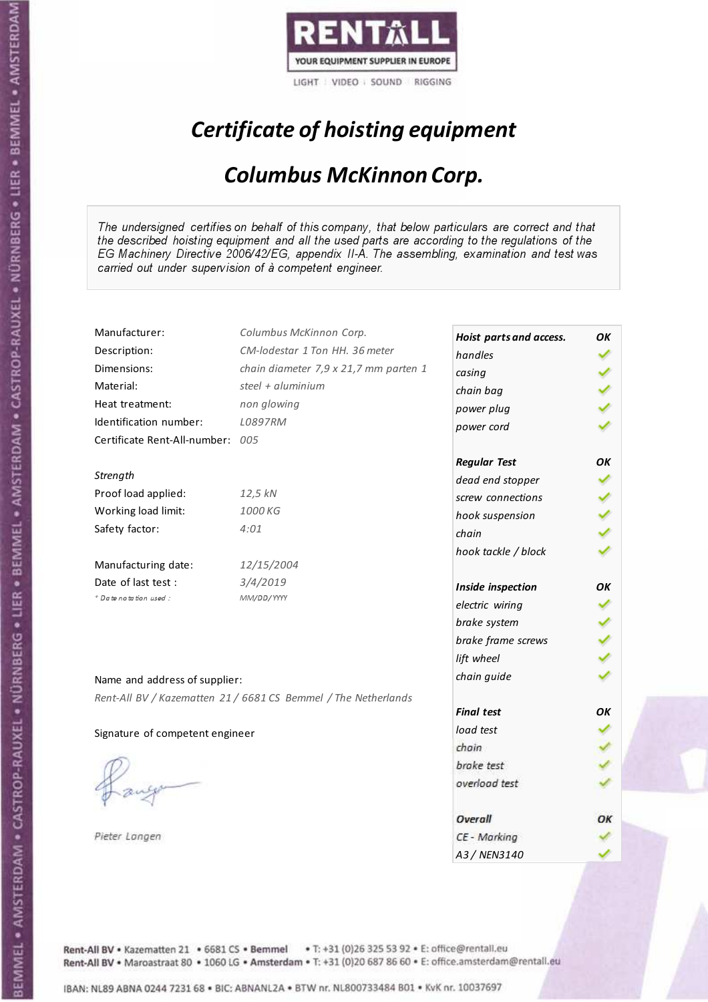

# Certificate of hoisting equipment

### Columbus McKinnon Corp.

The undersigned certifies on behalf of this company, that below particulars are correct and that the described hoisting equipment and all the used parts are according to the regulations of the EG Machinery Directive 2006/42/EG, appendix II-A. The assembling, examination and test was carried out under supervision of à competent engineer.

| Manufacturer:                   | Columbus McKinnon Corp.                                        | Hoist parts and access. | ΟK |
|---------------------------------|----------------------------------------------------------------|-------------------------|----|
| Description:                    | CM-lodestar 1 Ton HH, 36 meter                                 | handles                 |    |
| Dimensions:                     | chain diameter 7,9 x 21,7 mm parten 1                          | casing                  |    |
| Material:                       | steel + aluminium                                              | chain bag               |    |
| Heat treatment:                 | non glowing                                                    | power plug              |    |
| Identification number:          | L0897RM                                                        | power cord              |    |
| Certificate Rent-All-number:    | 005                                                            |                         |    |
|                                 |                                                                | <b>Regular Test</b>     | ΟK |
| Strength                        |                                                                | dead end stopper        |    |
| Proof load applied:             | 12,5 kN                                                        | screw connections       |    |
| Working load limit:             | 1000 KG                                                        | hook suspension         |    |
| Safety factor:                  | 4:01                                                           | chain                   |    |
|                                 |                                                                |                         |    |
| Manufacturing date:             | 12/15/2004                                                     | hook tackle / block     |    |
| Date of last test:              | 3/4/2019                                                       |                         |    |
| * Date notation used :          | MM/DD/YYYY                                                     | Inside inspection       | ΟK |
|                                 |                                                                | electric wiring         |    |
|                                 |                                                                | brake system            |    |
|                                 |                                                                | brake frame screws      |    |
|                                 |                                                                | lift wheel              |    |
| Name and address of supplier:   |                                                                | chain guide             |    |
|                                 | Rent-All BV / Kazematten 21 / 6681 CS Bemmel / The Netherlands |                         |    |
|                                 |                                                                | <b>Final test</b>       | OK |
| Signature of competent engineer |                                                                | load test               |    |
|                                 |                                                                | chain                   |    |
|                                 |                                                                | brake test              |    |
|                                 |                                                                | overload test           |    |
|                                 |                                                                | Overall                 | ОΚ |
| Pieter Langen                   |                                                                | CE - Marking            |    |
|                                 |                                                                | A3/NFN3140              |    |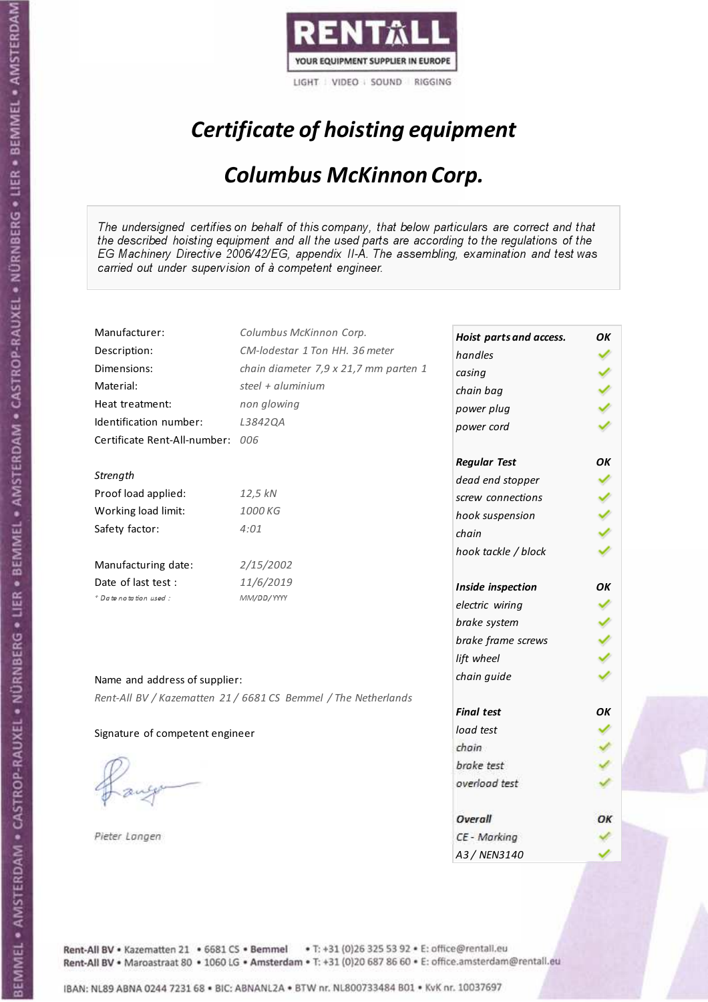

# Certificate of hoisting equipment

### Columbus McKinnon Corp.

The undersigned certifies on behalf of this company, that below particulars are correct and that the described hoisting equipment and all the used parts are according to the regulations of the EG Machinery Directive 2006/42/EG, appendix II-A. The assembling, examination and test was carried out under supervision of à competent engineer.

| Manufacturer:                    | Columbus McKinnon Corp.                                        | Hoist parts and access. | OK  |
|----------------------------------|----------------------------------------------------------------|-------------------------|-----|
| Description:                     | CM-lodestar 1 Ton HH. 36 meter                                 | handles                 |     |
| Dimensions:                      | chain diameter 7,9 x 21,7 mm parten 1                          | casing                  |     |
| Material:                        | steel + aluminium                                              | chain bag               |     |
| Heat treatment:                  | non glowing                                                    | power plug              |     |
| Identification number:           | L3842QA                                                        | power cord              |     |
| Certificate Rent-All-number: 006 |                                                                |                         |     |
|                                  |                                                                | <b>Regular Test</b>     | OK  |
| Strength                         |                                                                | dead end stopper        |     |
| Proof load applied:              | 12,5 kN                                                        | screw connections       |     |
| Working load limit:              | 1000 KG                                                        | hook suspension         | くりょ |
| Safety factor:                   | 4:01                                                           | chain                   |     |
|                                  |                                                                | hook tackle / block     |     |
| Manufacturing date:              | 2/15/2002                                                      |                         |     |
| Date of last test:               | 11/6/2019                                                      | Inside inspection       | OK  |
| * Date notation used :           | MM/DD/YYYY                                                     | electric wiring         |     |
|                                  |                                                                | brake system            |     |
|                                  |                                                                | brake frame screws      |     |
|                                  |                                                                | lift wheel              |     |
| Name and address of supplier:    |                                                                | chain guide             |     |
|                                  | Rent-All BV / Kazematten 21 / 6681 CS Bemmel / The Netherlands |                         |     |
|                                  |                                                                | <b>Final test</b>       | OK  |
| Signature of competent engineer  |                                                                | load test               |     |
|                                  |                                                                | chain                   |     |
|                                  |                                                                | brake test              |     |
|                                  |                                                                | overload test           |     |
|                                  |                                                                |                         |     |
|                                  |                                                                | Overall                 | ОΚ  |
| Pieter Langen                    |                                                                | CE - Marking            |     |
|                                  |                                                                | A3/NFN3140              |     |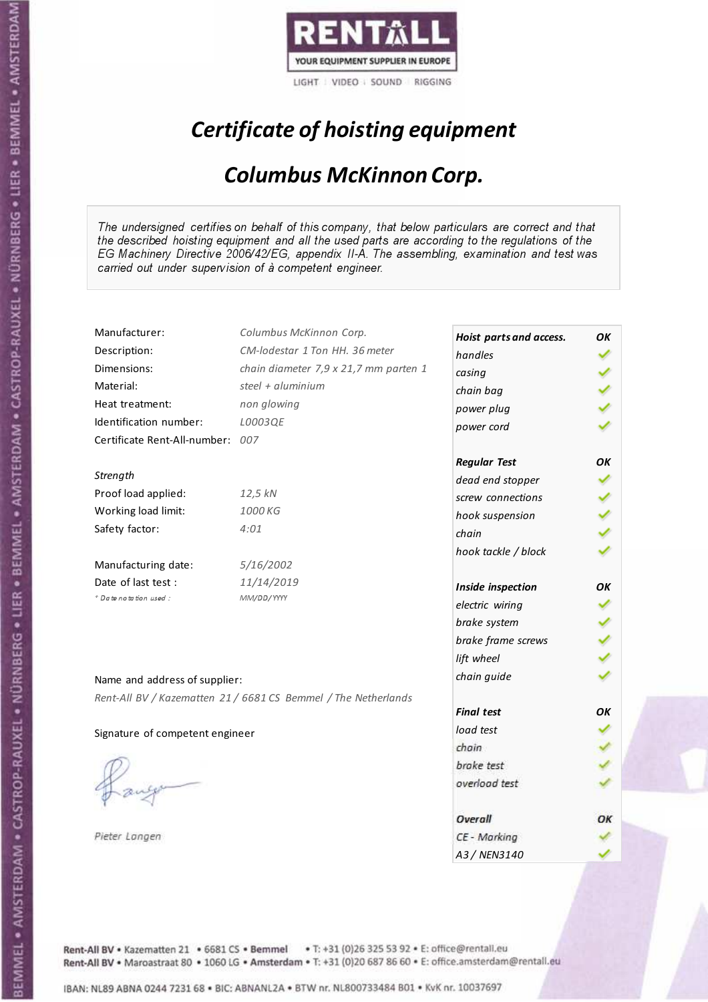

# Certificate of hoisting equipment

### Columbus McKinnon Corp.

The undersigned certifies on behalf of this company, that below particulars are correct and that the described hoisting equipment and all the used parts are according to the regulations of the EG Machinery Directive 2006/42/EG, appendix II-A. The assembling, examination and test was carried out under supervision of à competent engineer.

| Manufacturer:                                | Columbus McKinnon Corp.                                        | Hoist parts and access. | ΟK |
|----------------------------------------------|----------------------------------------------------------------|-------------------------|----|
| Description:                                 | CM-lodestar 1 Ton HH. 36 meter                                 | handles                 |    |
| Dimensions:                                  | chain diameter 7,9 x 21,7 mm parten 1                          | casing                  |    |
| Material:                                    | steel + aluminium                                              |                         |    |
| Heat treatment:                              | non glowing                                                    | chain bag               |    |
| Identification number:                       | L0003QE                                                        | power plug              |    |
| Certificate Rent-All-number: 007             |                                                                | power cord              |    |
|                                              |                                                                |                         | ΟK |
| Strength                                     |                                                                | <b>Regular Test</b>     |    |
| Proof load applied:                          | 12,5 kN                                                        | dead end stopper        |    |
| Working load limit:                          | 1000 KG                                                        | screw connections       |    |
| Safety factor:                               | 4:01                                                           | hook suspension         |    |
|                                              |                                                                | chain                   |    |
|                                              | 5/16/2002                                                      | hook tackle / block     |    |
| Manufacturing date:                          |                                                                |                         |    |
| Date of last test :<br>+ Date notation used: | 11/14/2019<br>MM/DD/YYYY                                       | Inside inspection       | ОΚ |
|                                              |                                                                | electric wiring         |    |
|                                              |                                                                | brake system            |    |
|                                              |                                                                | brake frame screws      |    |
|                                              |                                                                | lift wheel              |    |
| Name and address of supplier:                |                                                                | chain guide             |    |
|                                              | Rent-All BV / Kazematten 21 / 6681 CS Bemmel / The Netherlands |                         |    |
|                                              |                                                                | <b>Final test</b>       | OK |
| Signature of competent engineer              |                                                                | load test               |    |
|                                              |                                                                | chain                   |    |
|                                              |                                                                | brake test              |    |
|                                              |                                                                | overload test           |    |
|                                              |                                                                |                         |    |
|                                              |                                                                | Overall                 | ОК |
| Pieter Langen                                |                                                                | CE - Marking            |    |
|                                              |                                                                | A3 / NEN3140            |    |

Rent-All BV . Kazematten 21 . 6681 CS . Bemmel . T: +31 (0)26 325 53 92 . E: office@rentall.eu Rent-All BV · Maroastraat 80 · 1060 LG · Amsterdam · T: +31 (0)20 687 86 60 · E: office.amsterdam@rentall.eu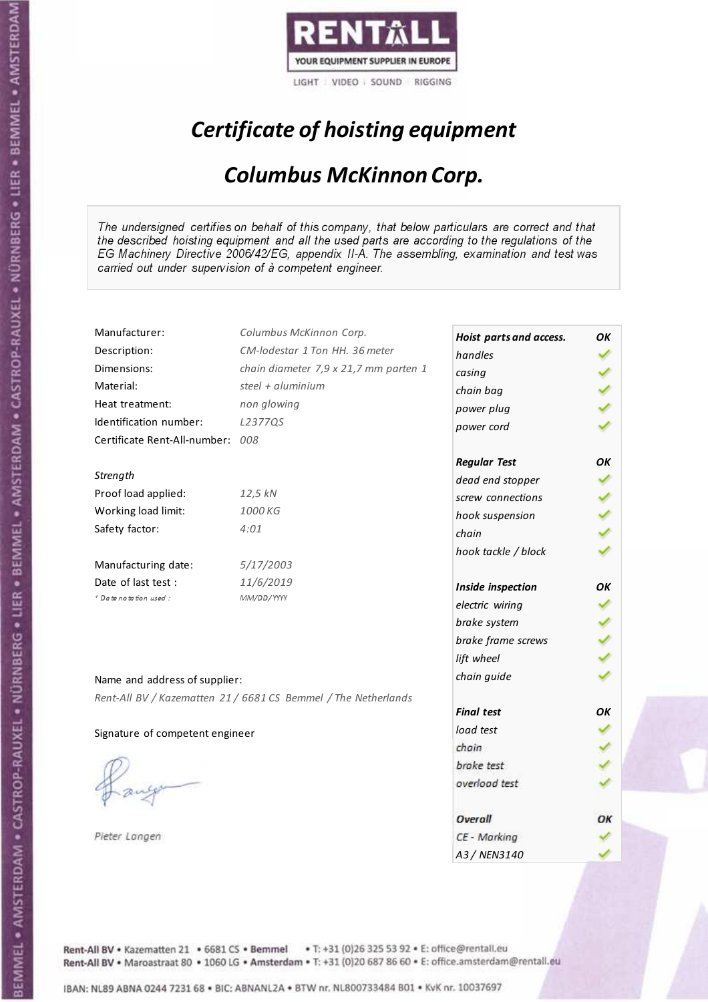

# Certificate of hoisting equipment

### Columbus McKinnon Corp.

The undersigned certifies on behalf of this company, that below particulars are correct and that the described hoisting equipment and all the used parts are according to the regulations of the EG Machinery Directive 2006/42/EG, appendix II-A. The assembling, examination and test was carried out under supervision of à competent engineer.

| Manufacturer:                   | Columbus McKinnon Corp.                                        | Hoist parts and access. | OK |
|---------------------------------|----------------------------------------------------------------|-------------------------|----|
| Description:                    | CM-lodestar 1 Ton HH. 36 meter                                 | handles                 |    |
| Dimensions:                     | chain diameter 7,9 x 21,7 mm parten 1                          | casing                  |    |
| Material:                       | steel + aluminium                                              | chain bag               |    |
| Heat treatment:                 | non glowing                                                    | power plug              |    |
| Identification number:          | L2377QS                                                        | power cord              |    |
| Certificate Rent-All-number:    | 008                                                            |                         |    |
|                                 |                                                                | <b>Regular Test</b>     | ΟK |
| Strength                        |                                                                | dead end stopper        |    |
| Proof load applied:             | 12,5 kN                                                        | screw connections       |    |
| Working load limit:             | 1000 KG                                                        | hook suspension         |    |
| Safety factor:                  | 4:01                                                           | chain                   |    |
|                                 |                                                                | hook tackle / block     |    |
| Manufacturing date:             | 5/17/2003                                                      |                         |    |
| Date of last test :             | 11/6/2019                                                      | Inside inspection       | OΚ |
| + Date notation used:           | MM/DD/YYYY                                                     | electric wiring         |    |
|                                 |                                                                | brake system            |    |
|                                 |                                                                | brake frame screws      |    |
|                                 |                                                                | lift wheel              |    |
| Name and address of supplier:   |                                                                | chain guide             |    |
|                                 | Rent-All BV / Kazematten 21 / 6681 CS Bemmel / The Netherlands |                         |    |
|                                 |                                                                | <b>Final test</b>       | OK |
| Signature of competent engineer |                                                                | load test               |    |
|                                 |                                                                | chain                   |    |
|                                 |                                                                | brake test              |    |
|                                 |                                                                | overload test           |    |
|                                 |                                                                |                         |    |
|                                 |                                                                | Overall                 | ОΚ |
| Pieter Langen                   |                                                                | CE - Marking            |    |
|                                 |                                                                | A3/NFN3140              |    |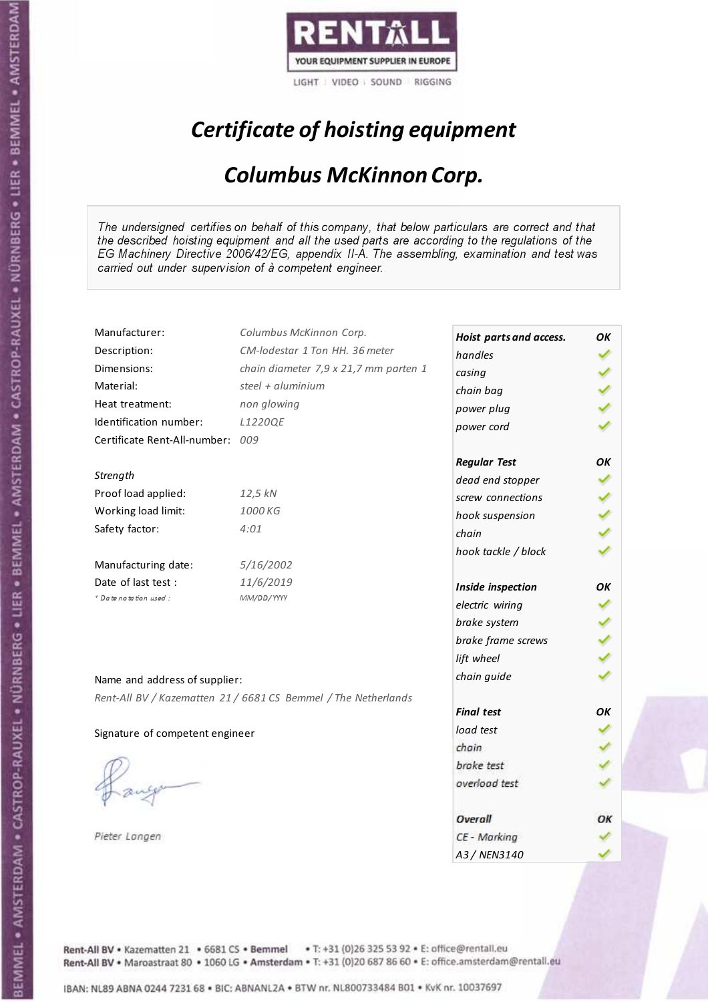

# Certificate of hoisting equipment

### Columbus McKinnon Corp.

The undersigned certifies on behalf of this company, that below particulars are correct and that the described hoisting equipment and all the used parts are according to the regulations of the EG Machinery Directive 2006/42/EG, appendix II-A. The assembling, examination and test was carried out under supervision of à competent engineer.

| Manufacturer:                   | Columbus McKinnon Corp.                                        | Hoist parts and access. | OK  |
|---------------------------------|----------------------------------------------------------------|-------------------------|-----|
| Description:                    | CM-lodestar 1 Ton HH, 36 meter                                 | handles                 |     |
| Dimensions:                     | chain diameter 7,9 x 21,7 mm parten 1                          | casing                  |     |
| Material:                       | steel + aluminium                                              | chain bag               |     |
| Heat treatment:                 | non glowing                                                    | power plug              |     |
| Identification number:          | L1220QE                                                        | power cord              |     |
| Certificate Rent-All-number:    | 009                                                            |                         |     |
|                                 |                                                                | <b>Regular Test</b>     | OK  |
| Strength                        |                                                                | dead end stopper        |     |
| Proof load applied:             | 12,5 kN                                                        | screw connections       |     |
| Working load limit:             | 1000 KG                                                        | hook suspension         | くりょ |
| Safety factor:                  | 4:01                                                           | chain                   |     |
|                                 |                                                                | hook tackle / block     |     |
| Manufacturing date:             | 5/16/2002                                                      |                         |     |
| Date of last test :             | 11/6/2019                                                      | Inside inspection       | OK  |
| + Date notation used:           | MM/DD/YYYY                                                     | electric wiring         |     |
|                                 |                                                                | brake system            |     |
|                                 |                                                                | brake frame screws      |     |
|                                 |                                                                | lift wheel              |     |
| Name and address of supplier:   |                                                                | chain guide             |     |
|                                 | Rent-All BV / Kazematten 21 / 6681 CS Bemmel / The Netherlands |                         |     |
|                                 |                                                                | <b>Final test</b>       | OК  |
| Signature of competent engineer |                                                                | load test               |     |
|                                 |                                                                | chain                   |     |
|                                 |                                                                | brake test              |     |
|                                 |                                                                | overload test           |     |
|                                 |                                                                |                         |     |
|                                 |                                                                | Overall                 | ОΚ  |
| Pieter Langen                   |                                                                | CE - Marking            |     |
|                                 |                                                                | A3 / NEN3140            |     |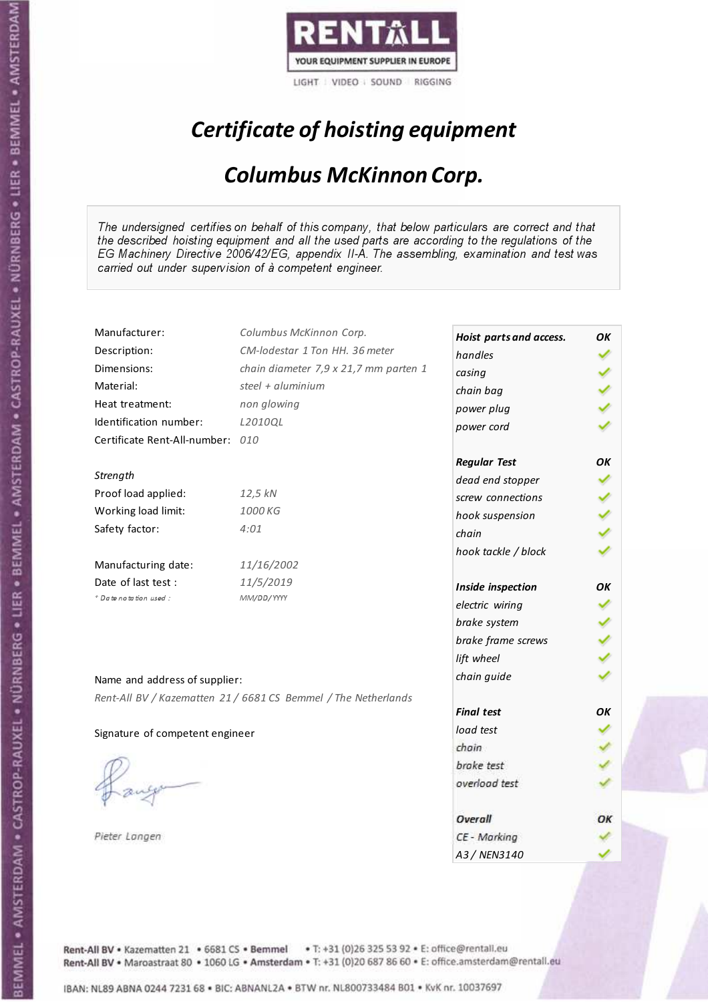

# Certificate of hoisting equipment

### Columbus McKinnon Corp.

The undersigned certifies on behalf of this company, that below particulars are correct and that the described hoisting equipment and all the used parts are according to the regulations of the EG Machinery Directive 2006/42/EG, appendix II-A. The assembling, examination and test was carried out under supervision of à competent engineer.

| Manufacturer:                    | Columbus McKinnon Corp.                                        | Hoist parts and access. | OK |
|----------------------------------|----------------------------------------------------------------|-------------------------|----|
| Description:                     | CM-lodestar 1 Ton HH. 36 meter                                 | handles                 |    |
| Dimensions:                      | chain diameter 7,9 x 21,7 mm parten 1                          | casing                  |    |
| Material:                        | steel + aluminium                                              | chain bag               |    |
| Heat treatment:                  | non glowing                                                    | power plug              |    |
| Identification number:           | L2010QL                                                        | power cord              |    |
| Certificate Rent-All-number: 010 |                                                                |                         |    |
|                                  |                                                                | <b>Regular Test</b>     | ΟK |
| Strength                         |                                                                | dead end stopper        |    |
| Proof load applied:              | 12,5 kN                                                        | screw connections       |    |
| Working load limit:              | 1000 KG                                                        | hook suspension         |    |
| Safety factor:                   | 4:01                                                           | chain                   |    |
|                                  |                                                                | hook tackle / block     |    |
| Manufacturing date:              | 11/16/2002                                                     |                         |    |
| Date of last test :              | 11/5/2019                                                      | Inside inspection       | OΚ |
| + Date notation used:            | MM/DD/YYYY                                                     | electric wiring         |    |
|                                  |                                                                | brake system            |    |
|                                  |                                                                | brake frame screws      |    |
|                                  |                                                                | lift wheel              |    |
| Name and address of supplier:    |                                                                | chain guide             |    |
|                                  | Rent-All BV / Kazematten 21 / 6681 CS Bemmel / The Netherlands |                         |    |
|                                  |                                                                | <b>Final test</b>       | OK |
| Signature of competent engineer  |                                                                | load test               |    |
|                                  |                                                                | chain                   |    |
|                                  |                                                                | brake test              |    |
|                                  |                                                                | overload test           |    |
|                                  |                                                                |                         |    |
|                                  |                                                                | Overall                 | ОΚ |
| Pieter Langen                    |                                                                | CE - Marking            |    |
|                                  |                                                                | A3/NFN3140              |    |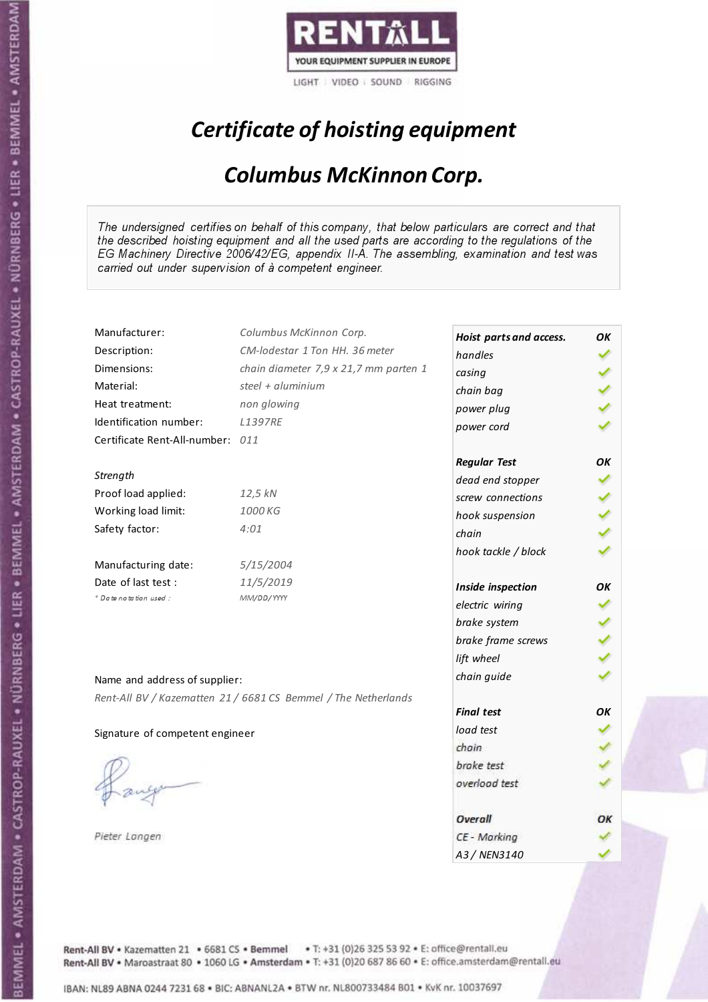

# Certificate of hoisting equipment

### Columbus McKinnon Corp.

The undersigned certifies on behalf of this company, that below particulars are correct and that the described hoisting equipment and all the used parts are according to the regulations of the EG Machinery Directive 2006/42/EG, appendix II-A. The assembling, examination and test was carried out under supervision of à competent engineer.

| Manufacturer:                    | Columbus McKinnon Corp.                                        | Hoist parts and access. | OΚ |
|----------------------------------|----------------------------------------------------------------|-------------------------|----|
| Description:                     | CM-lodestar 1 Ton HH. 36 meter                                 | handles                 |    |
| Dimensions:                      | chain diameter 7,9 x 21,7 mm parten 1                          | casing                  |    |
| Material:                        | steel + $aluminim$                                             | chain bag               |    |
| Heat treatment:                  | non glowing                                                    | power plug              |    |
| Identification number:           | <b>L1397RE</b>                                                 | power cord              |    |
| Certificate Rent-All-number: 011 |                                                                |                         |    |
|                                  |                                                                | <b>Regular Test</b>     | ΟK |
| Strength                         |                                                                | dead end stopper        |    |
| Proof load applied:              | 12,5 kN                                                        | screw connections       |    |
| Working load limit:              | 1000 KG                                                        | hook suspension         |    |
| Safety factor:                   | 4:01                                                           | chain                   |    |
|                                  |                                                                | hook tackle / block     |    |
| Manufacturing date:              | 5/15/2004                                                      |                         |    |
| Date of last test :              | 11/5/2019                                                      | Inside inspection       | ОΚ |
| + Date notation used:            | MM/DD/YYYY                                                     | electric wiring         |    |
|                                  |                                                                | brake system            |    |
|                                  |                                                                | brake frame screws      |    |
|                                  |                                                                | lift wheel              |    |
|                                  |                                                                | chain guide             |    |
| Name and address of supplier:    |                                                                |                         |    |
|                                  | Rent-All BV / Kazematten 21 / 6681 CS Bemmel / The Netherlands | <b>Final test</b>       | OК |
| Signature of competent engineer  |                                                                | load test               |    |
|                                  |                                                                | chain                   |    |
|                                  |                                                                | brake test              |    |
|                                  |                                                                | overload test           |    |
|                                  |                                                                |                         |    |
|                                  |                                                                | Overall                 | ОК |
| Pieter Langen                    |                                                                | CE - Marking            |    |
|                                  |                                                                | A3 / NEN3140            |    |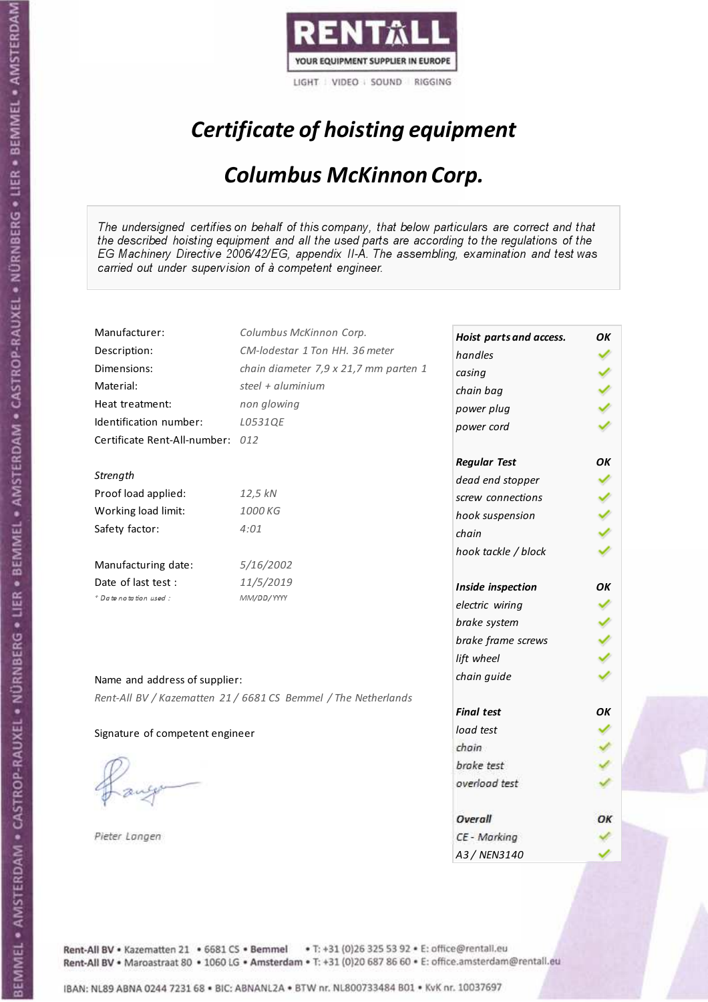

# Certificate of hoisting equipment

### Columbus McKinnon Corp.

The undersigned certifies on behalf of this company, that below particulars are correct and that the described hoisting equipment and all the used parts are according to the regulations of the EG Machinery Directive 2006/42/EG, appendix II-A. The assembling, examination and test was carried out under supervision of à competent engineer.

| Manufacturer:                    | Columbus McKinnon Corp.                                        | Hoist parts and access. | OK  |
|----------------------------------|----------------------------------------------------------------|-------------------------|-----|
| Description:                     | CM-lodestar 1 Ton HH, 36 meter                                 | handles                 |     |
| Dimensions:                      | chain diameter 7,9 x 21,7 mm parten 1                          | casing                  |     |
| Material:                        | steel + aluminium                                              | chain bag               |     |
| Heat treatment:                  | non glowing                                                    | power plug              |     |
| Identification number:           | L0531QE                                                        | power cord              |     |
| Certificate Rent-All-number: 012 |                                                                |                         |     |
|                                  |                                                                | <b>Regular Test</b>     | OK  |
| Strength                         |                                                                | dead end stopper        |     |
| Proof load applied:              | 12,5 kN                                                        | screw connections       |     |
| Working load limit:              | 1000 KG                                                        | hook suspension         | くりょ |
| Safety factor:                   | 4:01                                                           | chain                   |     |
|                                  |                                                                | hook tackle / block     |     |
| Manufacturing date:              | 5/16/2002                                                      |                         |     |
| Date of last test :              | 11/5/2019                                                      | Inside inspection       | OK  |
| + Date notation used:            | MM/DD/YYYY                                                     | electric wiring         |     |
|                                  |                                                                | brake system            |     |
|                                  |                                                                | brake frame screws      |     |
|                                  |                                                                | lift wheel              |     |
| Name and address of supplier:    |                                                                | chain guide             |     |
|                                  | Rent-All BV / Kazematten 21 / 6681 CS Bemmel / The Netherlands |                         |     |
|                                  |                                                                | <b>Final test</b>       | OК  |
| Signature of competent engineer  |                                                                | load test               |     |
|                                  |                                                                | chain                   |     |
|                                  |                                                                | brake test              |     |
|                                  |                                                                | overload test           |     |
|                                  |                                                                |                         |     |
|                                  |                                                                | Overall                 | ОΚ  |
| Pieter Langen                    |                                                                | CE - Marking            |     |
|                                  |                                                                | A3 / NEN3140            |     |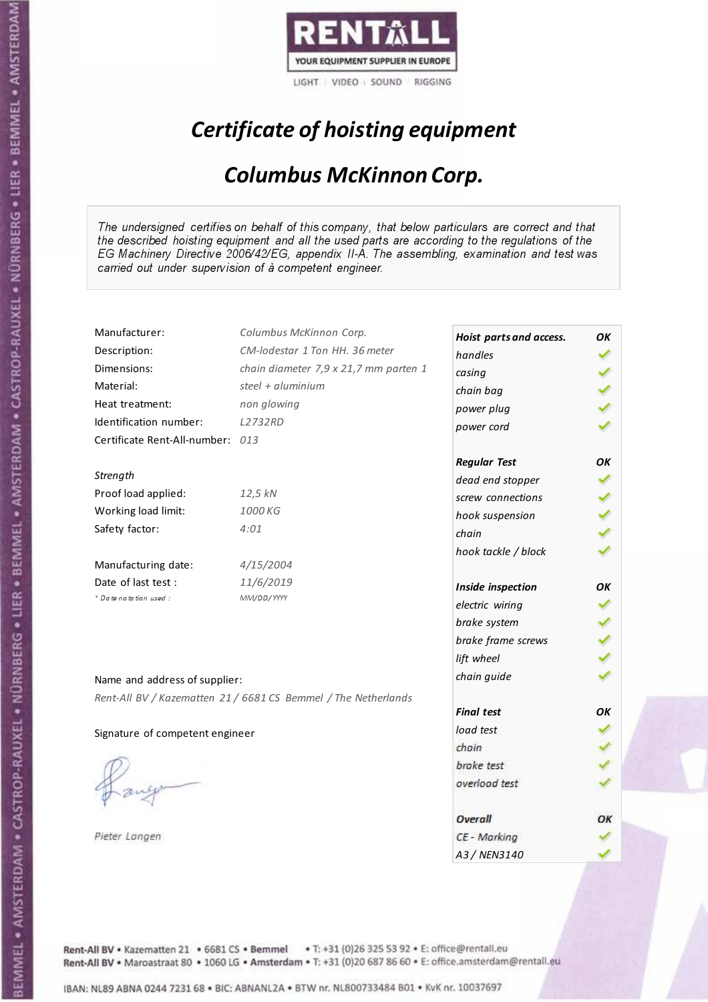

# Certificate of hoisting equipment

### Columbus McKinnon Corp.

The undersigned certifies on behalf of this company, that below particulars are correct and that the described hoisting equipment and all the used parts are according to the regulations of the EG Machinery Directive 2006/42/EG, appendix II-A. The assembling, examination and test was carried out under supervision of à competent engineer.

| Manufacturer:                    | Columbus McKinnon Corp.                                        | Hoist parts and access. | OK  |
|----------------------------------|----------------------------------------------------------------|-------------------------|-----|
| Description:                     | CM-lodestar 1 Ton HH, 36 meter                                 | handles                 |     |
| Dimensions:                      | chain diameter 7,9 x 21,7 mm parten 1                          | casing                  |     |
| Material:                        | steel + aluminium                                              | chain bag               |     |
| Heat treatment:                  | non glowing                                                    | power plug              |     |
| Identification number:           | <b>L2732RD</b>                                                 | power cord              |     |
| Certificate Rent-All-number: 013 |                                                                |                         |     |
|                                  |                                                                | <b>Regular Test</b>     | OK  |
| Strength                         |                                                                | dead end stopper        |     |
| Proof load applied:              | 12,5 kN                                                        | screw connections       |     |
| Working load limit:              | 1000 KG                                                        | hook suspension         | くりょ |
| Safety factor:                   | 4:01                                                           | chain                   |     |
|                                  |                                                                | hook tackle / block     |     |
| Manufacturing date:              | 4/15/2004                                                      |                         |     |
| Date of last test :              | 11/6/2019                                                      | Inside inspection       | OK  |
| + Date notation used:            | MM/DD/YYYY                                                     | electric wiring         |     |
|                                  |                                                                | brake system            |     |
|                                  |                                                                | brake frame screws      |     |
|                                  |                                                                | lift wheel              |     |
| Name and address of supplier:    |                                                                | chain guide             |     |
|                                  | Rent-All BV / Kazematten 21 / 6681 CS Bemmel / The Netherlands |                         |     |
|                                  |                                                                | <b>Final test</b>       | OК  |
| Signature of competent engineer  |                                                                | load test               |     |
|                                  |                                                                | chain                   |     |
|                                  |                                                                | brake test              |     |
|                                  |                                                                | overload test           |     |
|                                  |                                                                |                         |     |
|                                  |                                                                | Overall                 | ОΚ  |
| Pieter Langen                    |                                                                | CE - Marking            |     |
|                                  |                                                                | A3 / NEN3140            |     |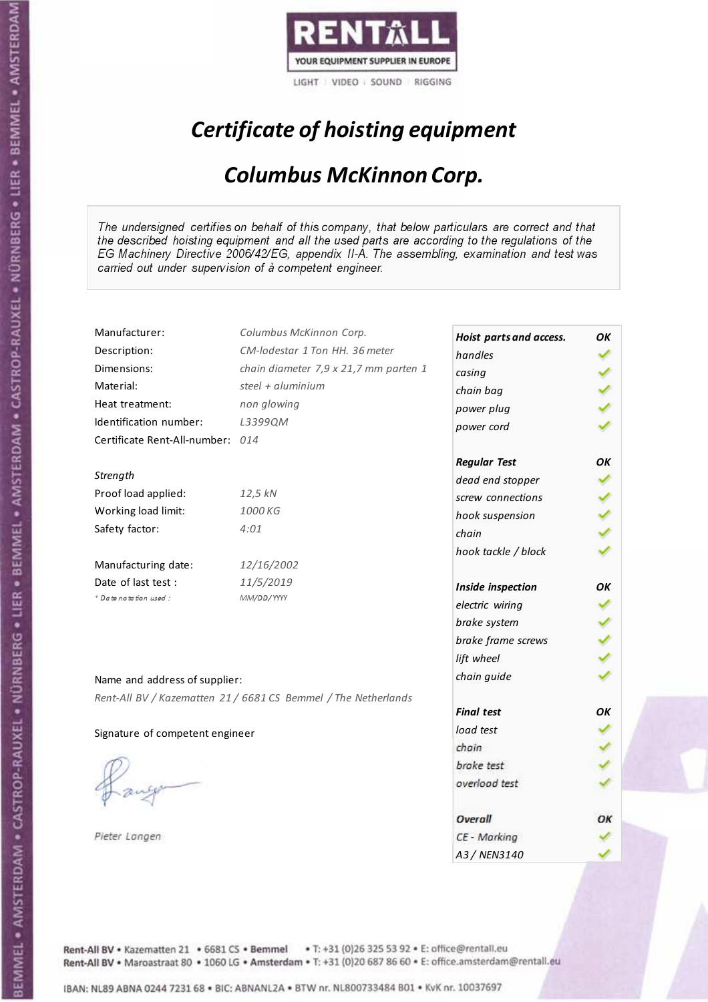

# Certificate of hoisting equipment

### Columbus McKinnon Corp.

The undersigned certifies on behalf of this company, that below particulars are correct and that the described hoisting equipment and all the used parts are according to the regulations of the EG Machinery Directive 2006/42/EG, appendix II-A. The assembling, examination and test was carried out under supervision of à competent engineer.

| Manufacturer:                    | Columbus McKinnon Corp.                                        | Hoist parts and access. | OK |
|----------------------------------|----------------------------------------------------------------|-------------------------|----|
| Description:                     | CM-lodestar 1 Ton HH, 36 meter                                 | handles                 |    |
| Dimensions:                      | chain diameter 7,9 x 21,7 mm parten 1                          | casing                  |    |
| Material:                        | steel + aluminium                                              | chain bag               |    |
| Heat treatment:                  | non glowing                                                    | power plug              |    |
| Identification number:           | L3399QM                                                        | power cord              |    |
| Certificate Rent-All-number: 014 |                                                                |                         |    |
|                                  |                                                                | <b>Regular Test</b>     | OK |
| Strength                         |                                                                | dead end stopper        |    |
| Proof load applied:              | 12,5 kN                                                        | screw connections       |    |
| Working load limit:              | 1000 KG                                                        | hook suspension         |    |
| Safety factor:                   | 4:01                                                           | chain                   |    |
|                                  |                                                                | hook tackle / block     |    |
| Manufacturing date:              | 12/16/2002                                                     |                         |    |
| Date of last test :              | 11/5/2019                                                      | Inside inspection       | OK |
| + Date notation used:            | MM/DD/YYYY                                                     | electric wiring         |    |
|                                  |                                                                | brake system            |    |
|                                  |                                                                | brake frame screws      |    |
|                                  |                                                                | lift wheel              |    |
| Name and address of supplier:    |                                                                | chain guide             |    |
|                                  | Rent-All BV / Kazematten 21 / 6681 CS Bemmel / The Netherlands |                         |    |
|                                  |                                                                | <b>Final test</b>       | OK |
| Signature of competent engineer  |                                                                | load test               |    |
|                                  |                                                                | chain                   |    |
|                                  |                                                                | brake test              |    |
|                                  |                                                                | overload test           |    |
|                                  |                                                                |                         |    |
|                                  |                                                                | Overall                 | ОΚ |
| Pieter Langen                    |                                                                | CE - Marking            |    |
|                                  |                                                                | A3 / NEN3140            |    |

Rent-All BV . Kazematten 21 . 6681 CS . Bemmel . T: +31 (0)26 325 53 92 . E: office@rentall.eu Rent-All BV · Maroastraat 80 · 1060 LG · Amsterdam · T: +31 (0)20 687 86 60 · E: office.amsterdam@rentall.eu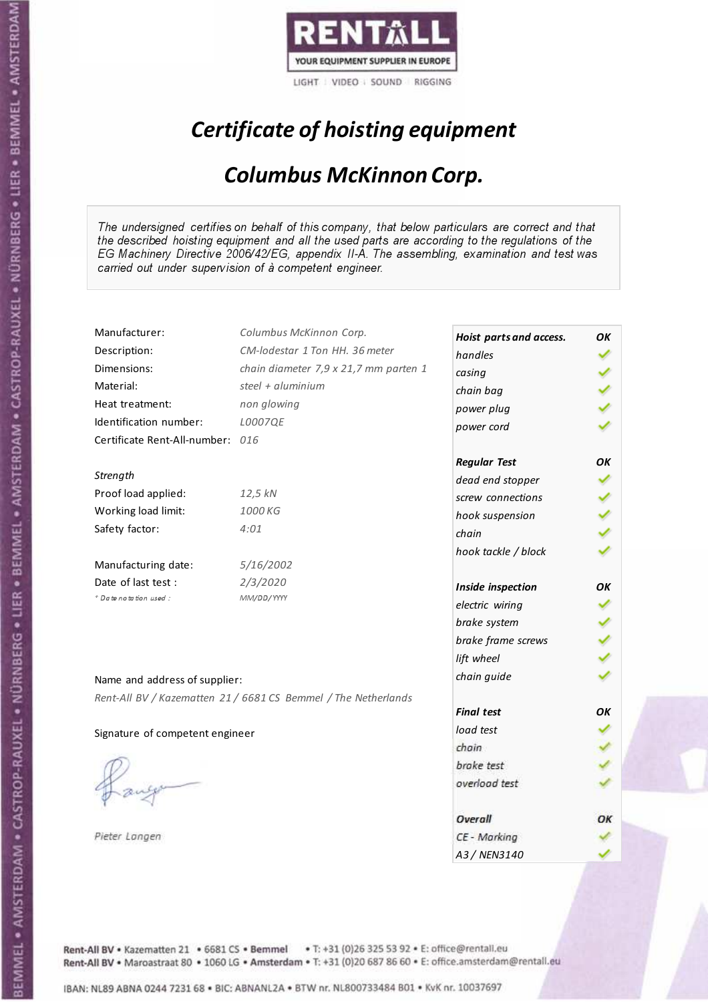

# Certificate of hoisting equipment

### Columbus McKinnon Corp.

The undersigned certifies on behalf of this company, that below particulars are correct and that the described hoisting equipment and all the used parts are according to the regulations of the EG Machinery Directive 2006/42/EG, appendix II-A. The assembling, examination and test was carried out under supervision of à competent engineer.

| Manufacturer:                    | Columbus McKinnon Corp.                                        | Hoist parts and access. | OK |
|----------------------------------|----------------------------------------------------------------|-------------------------|----|
| Description:                     | CM-lodestar 1 Ton HH. 36 meter                                 | handles                 |    |
| Dimensions:                      | chain diameter 7,9 x 21,7 mm parten 1                          | casing                  |    |
| Material:                        | steel + aluminium                                              | chain bag               |    |
| Heat treatment:                  | non glowing                                                    | power plug              |    |
| Identification number:           | L0007QE                                                        | power cord              |    |
| Certificate Rent-All-number: 016 |                                                                |                         |    |
|                                  |                                                                | <b>Regular Test</b>     | ΟK |
| Strength                         |                                                                | dead end stopper        |    |
| Proof load applied:              | 12,5 kN                                                        | screw connections       |    |
| Working load limit:              | 1000 KG                                                        | hook suspension         |    |
| Safety factor:                   | 4:01                                                           | chain                   |    |
|                                  |                                                                | hook tackle / block     |    |
| Manufacturing date:              | 5/16/2002                                                      |                         |    |
| Date of last test :              | 2/3/2020                                                       | Inside inspection       | OΚ |
| + Date notation used:            | MM/DD/YYYY                                                     | electric wiring         |    |
|                                  |                                                                | brake system            |    |
|                                  |                                                                | brake frame screws      |    |
|                                  |                                                                | lift wheel              |    |
| Name and address of supplier:    |                                                                | chain guide             |    |
|                                  |                                                                |                         |    |
|                                  | Rent-All BV / Kazematten 21 / 6681 CS Bemmel / The Netherlands | <b>Final test</b>       | OK |
| Signature of competent engineer  |                                                                | load test               |    |
|                                  |                                                                | chain                   |    |
|                                  |                                                                | brake test              |    |
|                                  |                                                                | overload test           |    |
|                                  |                                                                |                         |    |
|                                  |                                                                | Overall                 | ОΚ |
| Pieter Langen                    |                                                                | CE - Marking            |    |
|                                  |                                                                | A3/NFN3140              |    |

Rent-All BV . Kazematten 21 . 6681 CS . Bemmel . T: +31 (0)26 325 53 92 . E: office@rentall.eu Rent-All BV · Maroastraat 80 · 1060 LG · Amsterdam · T: +31 (0)20 687 86 60 · E: office.amsterdam@rentall.eu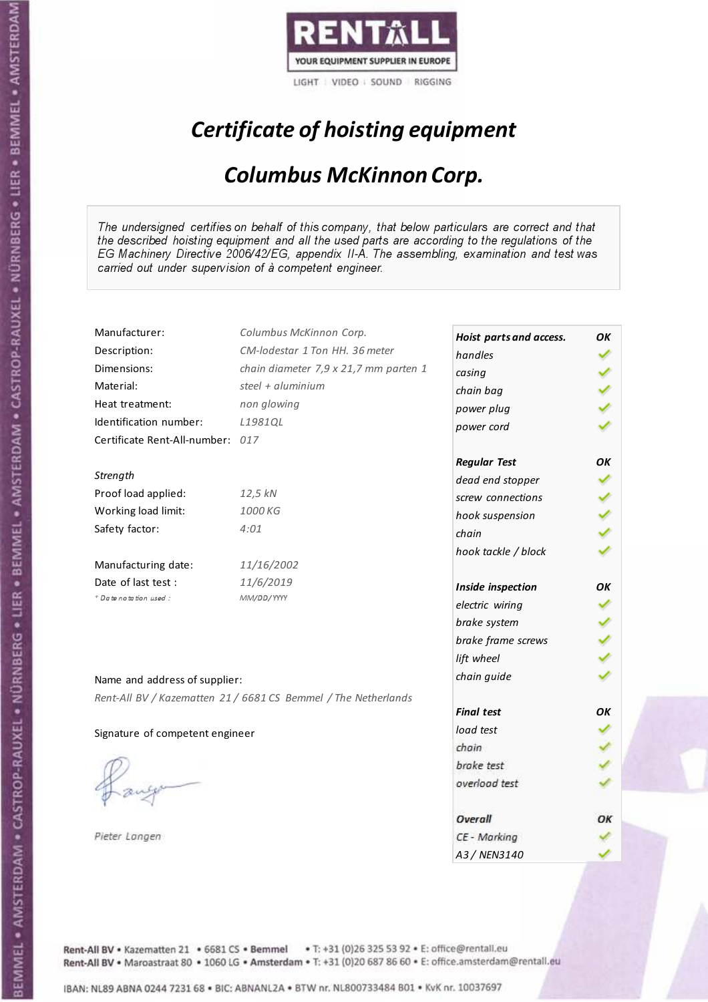

# Certificate of hoisting equipment

### Columbus McKinnon Corp.

The undersigned certifies on behalf of this company, that below particulars are correct and that the described hoisting equipment and all the used parts are according to the regulations of the EG Machinery Directive 2006/42/EG, appendix II-A. The assembling, examination and test was carried out under supervision of à competent engineer.

| Manufacturer:                    | Columbus McKinnon Corp.                                        | Hoist parts and access. | OK |
|----------------------------------|----------------------------------------------------------------|-------------------------|----|
| Description:                     | CM-lodestar 1 Ton HH, 36 meter                                 | handles                 |    |
| Dimensions:                      | chain diameter 7,9 x 21,7 mm parten 1                          | casing                  |    |
| Material:                        | steel + aluminium                                              | chain bag               |    |
| Heat treatment:                  | non glowing                                                    | power plug              |    |
| Identification number:           | L1981QL                                                        | power cord              |    |
| Certificate Rent-All-number: 017 |                                                                |                         |    |
|                                  |                                                                | <b>Regular Test</b>     | OK |
| Strength                         |                                                                | dead end stopper        |    |
| Proof load applied:              | 12,5 kN                                                        | screw connections       |    |
| Working load limit:              | 1000 KG                                                        | hook suspension         |    |
| Safety factor:                   | 4:01                                                           | chain                   |    |
|                                  |                                                                | hook tackle / block     |    |
| Manufacturing date:              | 11/16/2002                                                     |                         |    |
| Date of last test :              | 11/6/2019                                                      | Inside inspection       | OK |
| * Date notation used :           | MM/DD/YYYY                                                     | electric wiring         |    |
|                                  |                                                                | brake system            |    |
|                                  |                                                                | brake frame screws      |    |
|                                  |                                                                | lift wheel              |    |
|                                  |                                                                | chain guide             |    |
| Name and address of supplier:    |                                                                |                         |    |
|                                  | Rent-All BV / Kazematten 21 / 6681 CS Bemmel / The Netherlands | <b>Final test</b>       | OK |
|                                  |                                                                | load test               |    |
| Signature of competent engineer  |                                                                | chain                   |    |
|                                  |                                                                | brake test              |    |
|                                  |                                                                | overload test           |    |
|                                  |                                                                |                         |    |
|                                  |                                                                | Overall                 | ОΚ |
| Pieter Langen                    |                                                                | CE - Marking            |    |
|                                  |                                                                | A3 / NEN3140            |    |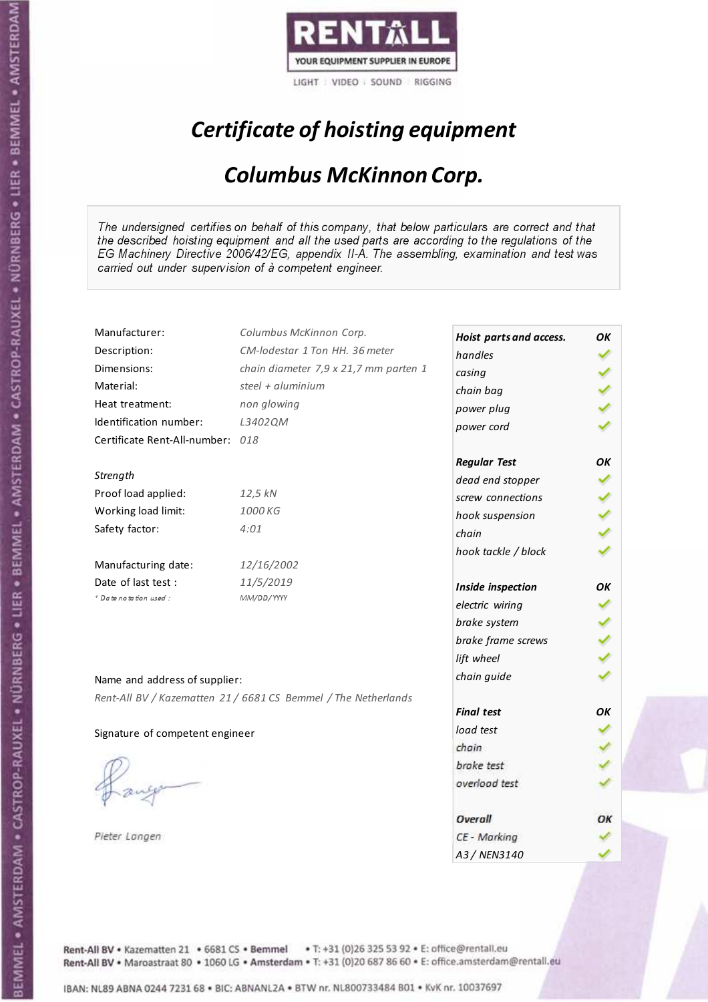

# Certificate of hoisting equipment

### Columbus McKinnon Corp.

The undersigned certifies on behalf of this company, that below particulars are correct and that the described hoisting equipment and all the used parts are according to the regulations of the EG Machinery Directive 2006/42/EG, appendix II-A. The assembling, examination and test was carried out under supervision of à competent engineer.

| Manufacturer:                    | Columbus McKinnon Corp.                                        | Hoist parts and access. | OK |
|----------------------------------|----------------------------------------------------------------|-------------------------|----|
| Description:                     | CM-lodestar 1 Ton HH, 36 meter                                 | handles                 |    |
| Dimensions:                      | chain diameter 7,9 x 21,7 mm parten 1                          | casing                  |    |
| Material:                        | steel + aluminium                                              | chain bag               |    |
| Heat treatment:                  | non glowing                                                    | power plug              |    |
| Identification number:           | L3402QM                                                        | power cord              |    |
| Certificate Rent-All-number: 018 |                                                                |                         |    |
|                                  |                                                                | <b>Regular Test</b>     | OK |
| Strength                         |                                                                | dead end stopper        |    |
| Proof load applied:              | 12,5 kN                                                        | screw connections       |    |
| Working load limit:              | 1000 KG                                                        | hook suspension         |    |
| Safety factor:                   | 4:01                                                           | chain                   |    |
|                                  |                                                                | hook tackle / block     |    |
| Manufacturing date:              | 12/16/2002                                                     |                         |    |
| Date of last test:               | 11/5/2019                                                      | Inside inspection       | OΚ |
| * Date notation used :           | MM/DD/YYYY                                                     | electric wiring         |    |
|                                  |                                                                | brake system            |    |
|                                  |                                                                | brake frame screws      |    |
|                                  |                                                                | lift wheel              |    |
| Name and address of supplier:    |                                                                | chain guide             |    |
|                                  | Rent-All BV / Kazematten 21 / 6681 CS Bemmel / The Netherlands |                         |    |
|                                  |                                                                | <b>Final test</b>       | OK |
| Signature of competent engineer  |                                                                | load test               |    |
|                                  |                                                                | chain                   |    |
|                                  |                                                                | brake test              |    |
|                                  |                                                                | overload test           |    |
|                                  |                                                                |                         |    |
|                                  |                                                                | Overall                 | ОΚ |
| Pieter Langen                    |                                                                | CE - Marking            |    |
|                                  |                                                                | A3/NFN3140              |    |

Rent-All BV . Kazematten 21 . 6681 CS . Bemmel . T: +31 (0)26 325 53 92 . E: office@rentall.eu Rent-All BV · Maroastraat 80 · 1060 LG · Amsterdam · T: +31 (0)20 687 86 60 · E: office.amsterdam@rentall.eu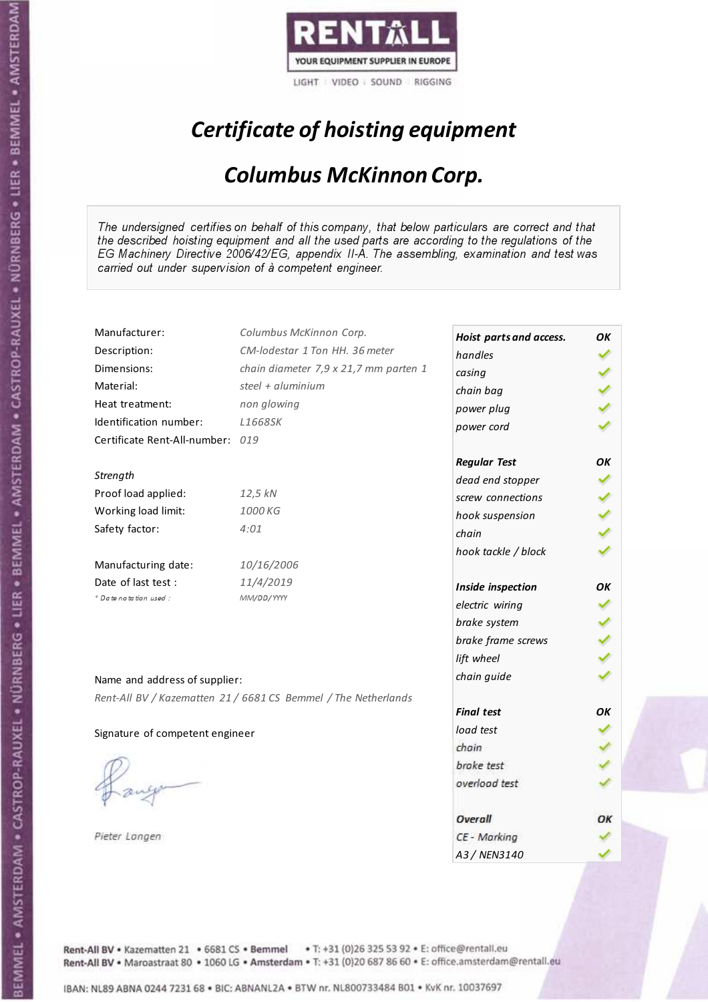

# Certificate of hoisting equipment

### Columbus McKinnon Corp.

The undersigned certifies on behalf of this company, that below particulars are correct and that the described hoisting equipment and all the used parts are according to the regulations of the EG Machinery Directive 2006/42/EG, appendix II-A. The assembling, examination and test was carried out under supervision of à competent engineer.

| Manufacturer:                    | Columbus McKinnon Corp.                                        | Hoist parts and access. | OK |
|----------------------------------|----------------------------------------------------------------|-------------------------|----|
| Description:                     | CM-lodestar 1 Ton HH, 36 meter                                 | handles                 |    |
| Dimensions:                      | chain diameter 7,9 x 21,7 mm parten 1                          | casing                  |    |
| Material:                        | steel + aluminium                                              | chain bag               |    |
| Heat treatment:                  | non glowing                                                    | power plug              |    |
| Identification number:           | L1668SK                                                        | power cord              |    |
| Certificate Rent-All-number: 019 |                                                                |                         |    |
|                                  |                                                                | <b>Regular Test</b>     | OK |
| Strength                         |                                                                | dead end stopper        |    |
| Proof load applied:              | 12,5 kN                                                        | screw connections       |    |
| Working load limit:              | 1000 KG                                                        | hook suspension         |    |
| Safety factor:                   | 4:01                                                           | chain                   |    |
|                                  |                                                                | hook tackle / block     |    |
| Manufacturing date:              | 10/16/2006                                                     |                         |    |
| Date of last test :              | 11/4/2019                                                      | Inside inspection       | OK |
| * Date notation used :           | MM/DD/YYYY                                                     | electric wiring         |    |
|                                  |                                                                | brake system            |    |
|                                  |                                                                | brake frame screws      |    |
|                                  |                                                                | lift wheel              |    |
|                                  |                                                                | chain guide             |    |
| Name and address of supplier:    |                                                                |                         |    |
|                                  | Rent-All BV / Kazematten 21 / 6681 CS Bemmel / The Netherlands | <b>Final test</b>       | OK |
|                                  |                                                                | load test               |    |
| Signature of competent engineer  |                                                                | chain                   |    |
|                                  |                                                                |                         |    |
|                                  |                                                                | brake test              |    |
|                                  |                                                                | overload test           |    |
|                                  |                                                                | Overall                 | ОΚ |
| Pieter Langen                    |                                                                | CE - Marking            |    |
|                                  |                                                                | A3 / NEN3140            |    |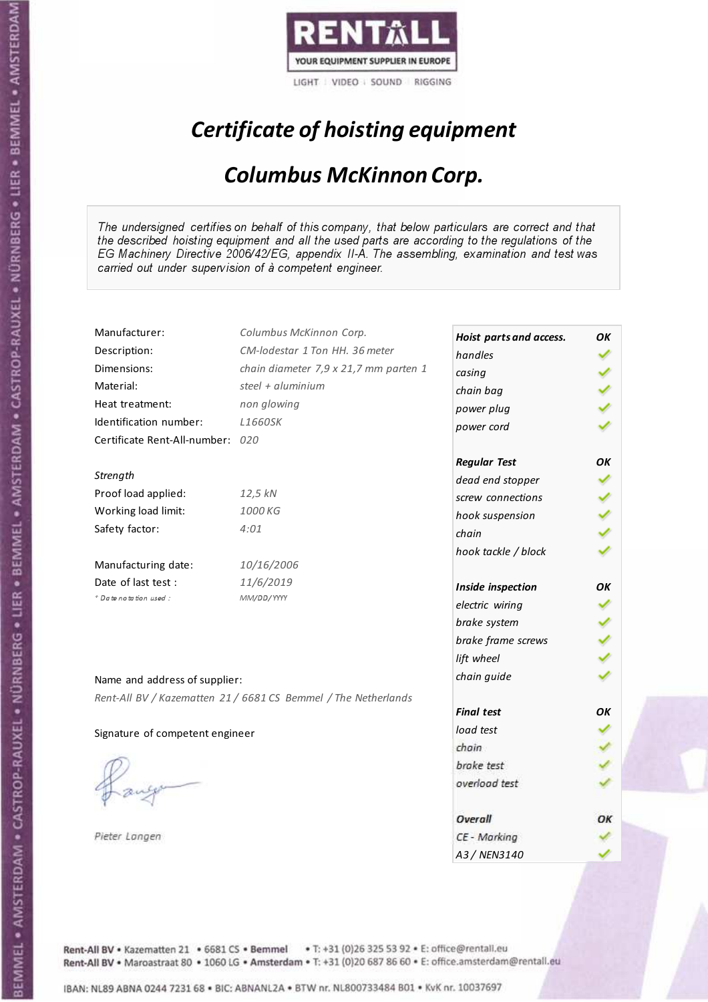

# Certificate of hoisting equipment

### Columbus McKinnon Corp.

The undersigned certifies on behalf of this company, that below particulars are correct and that the described hoisting equipment and all the used parts are according to the regulations of the EG Machinery Directive 2006/42/EG, appendix II-A. The assembling, examination and test was carried out under supervision of à competent engineer.

| Manufacturer:                    | Columbus McKinnon Corp.                                        | Hoist parts and access. | ΟK |
|----------------------------------|----------------------------------------------------------------|-------------------------|----|
| Description:                     | CM-lodestar 1 Ton HH, 36 meter                                 | handles                 |    |
| Dimensions:                      | chain diameter 7,9 x 21,7 mm parten 1                          | casing                  |    |
| Material:                        | steel + aluminium                                              | chain bag               |    |
| Heat treatment:                  | non glowing                                                    | power plug              |    |
| Identification number:           | <b>L1660SK</b>                                                 | power cord              |    |
| Certificate Rent-All-number: 020 |                                                                |                         |    |
|                                  |                                                                | <b>Regular Test</b>     | OK |
| Strength                         |                                                                | dead end stopper        |    |
| Proof load applied:              | 12,5 kN                                                        | screw connections       |    |
| Working load limit:              | 1000 KG                                                        | hook suspension         |    |
| Safety factor:                   | 4:01                                                           | chain                   |    |
|                                  |                                                                | hook tackle / block     |    |
| Manufacturing date:              | 10/16/2006                                                     |                         |    |
| Date of last test:               | 11/6/2019                                                      | Inside inspection       | OК |
| + Date notation used:            | MM/DD/YYYY                                                     | electric wiring         |    |
|                                  |                                                                | brake system            |    |
|                                  |                                                                | brake frame screws      |    |
|                                  |                                                                | lift wheel              |    |
|                                  |                                                                | chain guide             |    |
| Name and address of supplier:    |                                                                |                         |    |
|                                  | Rent-All BV / Kazematten 21 / 6681 CS Bemmel / The Netherlands | <b>Final test</b>       | OΚ |
|                                  |                                                                | load test               |    |
| Signature of competent engineer  |                                                                | chain                   |    |
|                                  |                                                                | brake test              |    |
|                                  |                                                                | overload test           |    |
|                                  |                                                                |                         |    |
|                                  |                                                                | Overall                 | ОК |
| Pieter Langen                    |                                                                | CE - Marking            |    |
|                                  |                                                                | A3 / NEN3140            |    |

Rent-All BV . Kazematten 21 . 6681 CS . Bemmel . T: +31 (0)26 325 53 92 . E: office@rentall.eu Rent-All BV · Maroastraat 80 · 1060 LG · Amsterdam · T: +31 (0)20 687 86 60 · E: office.amsterdam@rentall.eu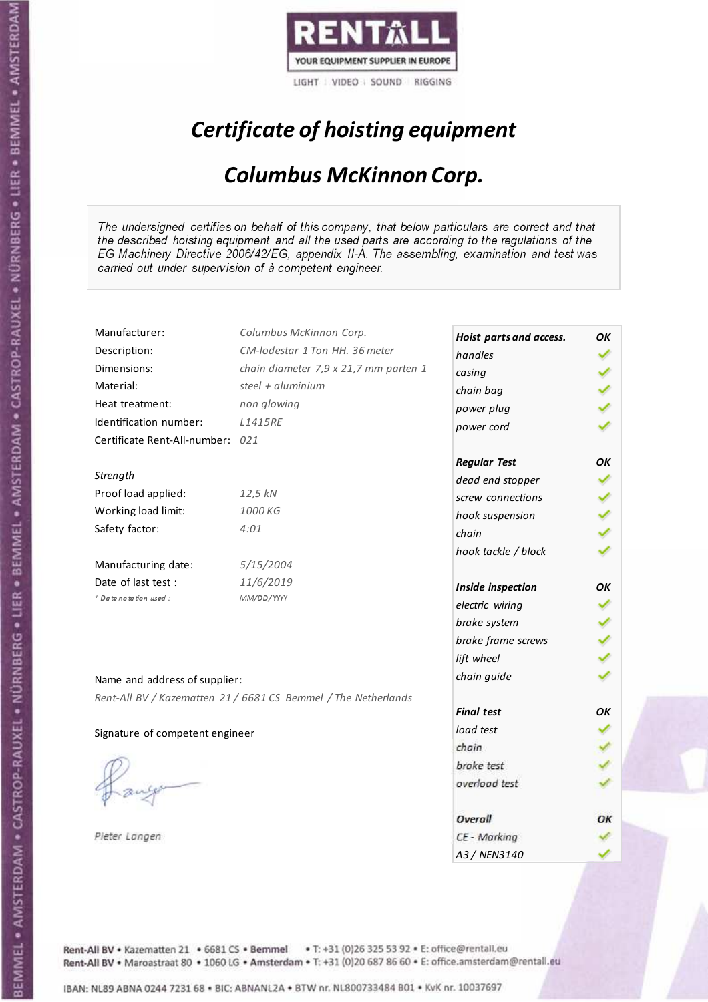

# Certificate of hoisting equipment

### Columbus McKinnon Corp.

The undersigned certifies on behalf of this company, that below particulars are correct and that the described hoisting equipment and all the used parts are according to the regulations of the EG Machinery Directive 2006/42/EG, appendix II-A. The assembling, examination and test was carried out under supervision of à competent engineer.

| Manufacturer:                    | Columbus McKinnon Corp.                                        | Hoist parts and access. | OK |
|----------------------------------|----------------------------------------------------------------|-------------------------|----|
| Description:                     | CM-lodestar 1 Ton HH, 36 meter                                 | handles                 |    |
| Dimensions:                      | chain diameter 7,9 x 21,7 mm parten 1                          | casing                  |    |
| Material:                        | steel + aluminium                                              | chain bag               |    |
| Heat treatment:                  | non glowing                                                    | power plug              |    |
| Identification number:           | <b>L1415RE</b>                                                 | power cord              |    |
| Certificate Rent-All-number: 021 |                                                                |                         |    |
|                                  |                                                                | <b>Regular Test</b>     | OK |
| Strength                         |                                                                | dead end stopper        |    |
| Proof load applied:              | 12,5 kN                                                        | screw connections       |    |
| Working load limit:              | 1000 KG                                                        | hook suspension         |    |
| Safety factor:                   | 4:01                                                           | chain                   |    |
|                                  |                                                                | hook tackle / block     |    |
| Manufacturing date:              | 5/15/2004                                                      |                         |    |
| Date of last test:               | 11/6/2019                                                      | Inside inspection       | OК |
| * Date notation used :           | MM/DD/YYYY                                                     | electric wiring         |    |
|                                  |                                                                | brake system            |    |
|                                  |                                                                | brake frame screws      |    |
|                                  |                                                                | lift wheel              |    |
| Name and address of supplier:    |                                                                | chain guide             |    |
|                                  | Rent-All BV / Kazematten 21 / 6681 CS Bemmel / The Netherlands |                         |    |
|                                  |                                                                | <b>Final test</b>       | OK |
| Signature of competent engineer  |                                                                | load test               |    |
|                                  |                                                                | chain                   |    |
|                                  |                                                                | brake test              |    |
|                                  |                                                                | overload test           |    |
|                                  |                                                                |                         |    |
|                                  |                                                                | Overall                 | ОΚ |
| Pieter Langen                    |                                                                | CE - Marking            |    |
|                                  |                                                                | A3 / NEN3140            |    |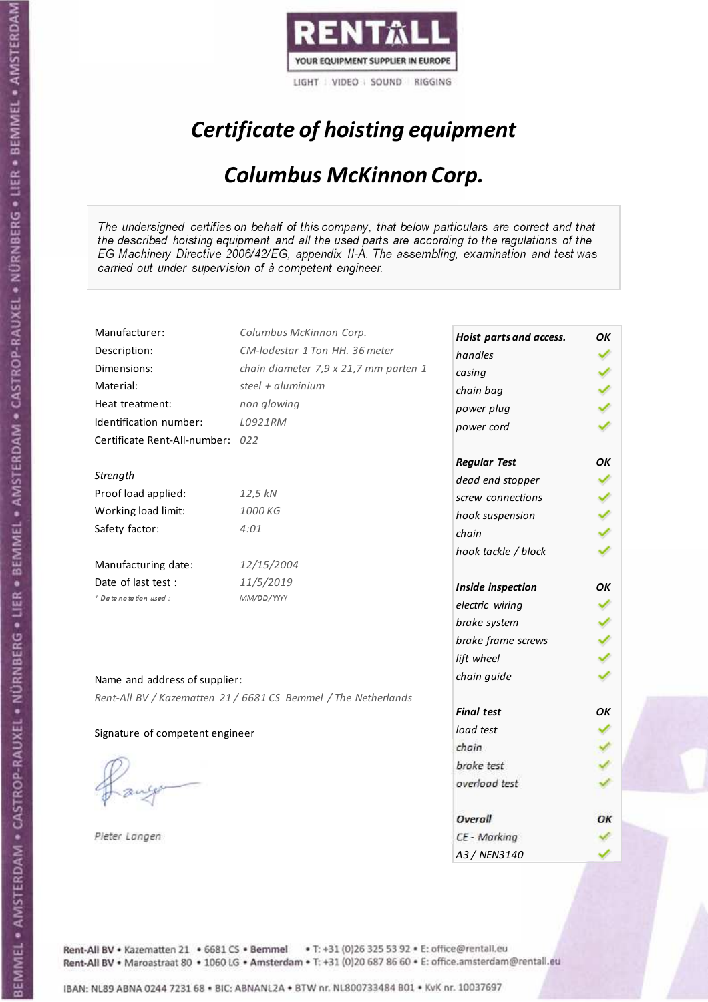

# Certificate of hoisting equipment

### Columbus McKinnon Corp.

The undersigned certifies on behalf of this company, that below particulars are correct and that the described hoisting equipment and all the used parts are according to the regulations of the EG Machinery Directive 2006/42/EG, appendix II-A. The assembling, examination and test was carried out under supervision of à competent engineer.

| Manufacturer:                    | Columbus McKinnon Corp.                                        | Hoist parts and access. | OK |
|----------------------------------|----------------------------------------------------------------|-------------------------|----|
| Description:                     | CM-lodestar 1 Ton HH. 36 meter                                 | handles                 |    |
| Dimensions:                      | chain diameter 7,9 x 21,7 mm parten 1                          | casing                  |    |
| Material:                        | steel + aluminium                                              | chain bag               |    |
| Heat treatment:                  | non glowing                                                    | power plug              |    |
| Identification number:           | L0921RM                                                        | power cord              |    |
| Certificate Rent-All-number: 022 |                                                                |                         |    |
|                                  |                                                                | <b>Regular Test</b>     | ΟK |
| Strength                         |                                                                | dead end stopper        |    |
| Proof load applied:              | 12,5 kN                                                        | screw connections       |    |
| Working load limit:              | 1000 KG                                                        | hook suspension         |    |
| Safety factor:                   | 4:01                                                           | chain                   |    |
|                                  |                                                                | hook tackle / block     |    |
| Manufacturing date:              | 12/15/2004                                                     |                         |    |
| Date of last test :              | 11/5/2019                                                      | Inside inspection       | OK |
| + Date notation used:            | MM/DD/YYYY                                                     | electric wiring         |    |
|                                  |                                                                | brake system            |    |
|                                  |                                                                | brake frame screws      |    |
|                                  |                                                                | lift wheel              |    |
| Name and address of supplier:    |                                                                | chain guide             |    |
|                                  | Rent-All BV / Kazematten 21 / 6681 CS Bemmel / The Netherlands |                         |    |
|                                  |                                                                | <b>Final test</b>       | OK |
| Signature of competent engineer  |                                                                | load test               |    |
|                                  |                                                                | chain                   |    |
|                                  |                                                                | brake test              |    |
|                                  |                                                                | overload test           |    |
|                                  |                                                                |                         |    |
|                                  |                                                                | Overall                 | ОΚ |
| Pieter Langen                    |                                                                | CE - Marking            |    |
|                                  |                                                                | A3/NFN3140              |    |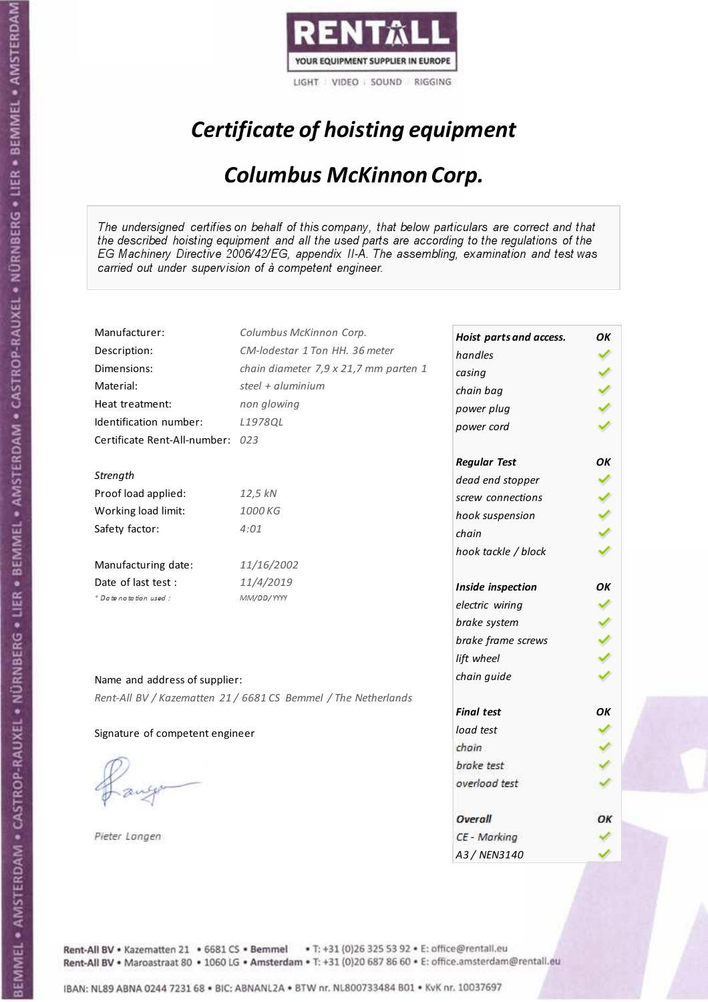

# Certificate of hoisting equipment

### Columbus McKinnon Corp.

The undersigned certifies on behalf of this company, that below particulars are correct and that the described hoisting equipment and all the used parts are according to the regulations of the EG Machinery Directive 2006/42/EG, appendix II-A. The assembling, examination and test was carried out under supervision of à competent engineer.

| Manufacturer:                    | Columbus McKinnon Corp.                                        | Hoist parts and access. | OK |
|----------------------------------|----------------------------------------------------------------|-------------------------|----|
| Description:                     | CM-lodestar 1 Ton HH, 36 meter                                 | handles                 |    |
| Dimensions:                      | chain diameter 7,9 x 21,7 mm parten 1                          | casing                  |    |
| Material:                        | steel + aluminium                                              | chain bag               |    |
| Heat treatment:                  | non glowing                                                    | power plug              |    |
| Identification number:           | L1978QL                                                        | power cord              |    |
| Certificate Rent-All-number: 023 |                                                                |                         |    |
|                                  |                                                                | <b>Regular Test</b>     | OK |
| Strength                         |                                                                | dead end stopper        |    |
| Proof load applied:              | 12,5 kN                                                        | screw connections       |    |
| Working load limit:              | 1000 KG                                                        | hook suspension         |    |
| Safety factor:                   | 4:01                                                           | chain                   |    |
|                                  |                                                                | hook tackle / block     |    |
| Manufacturing date:              | 11/16/2002                                                     |                         |    |
| Date of last test :              | 11/4/2019                                                      | Inside inspection       | OK |
| + Date notation used:            | MM/DD/YYYY                                                     | electric wiring         |    |
|                                  |                                                                | brake system            |    |
|                                  |                                                                | brake frame screws      |    |
|                                  |                                                                | lift wheel              |    |
| Name and address of supplier:    |                                                                | chain guide             |    |
|                                  | Rent-All BV / Kazematten 21 / 6681 CS Bemmel / The Netherlands |                         |    |
|                                  |                                                                | <b>Final test</b>       | OK |
| Signature of competent engineer  |                                                                | load test               |    |
|                                  |                                                                | chain                   |    |
|                                  |                                                                | brake test              |    |
|                                  |                                                                | overload test           |    |
|                                  |                                                                |                         |    |
|                                  |                                                                | Overall                 | ОΚ |
| Pieter Langen                    |                                                                | CE - Marking            |    |
|                                  |                                                                | A3 / NEN3140            |    |

Rent-All BV . Kazematten 21 . 6681 CS . Bemmel . T: +31 (0)26 325 53 92 . E: office@rentall.eu Rent-All BV · Maroastraat 80 · 1060 LG · Amsterdam · T: +31 (0)20 687 86 60 · E: office.amsterdam@rentall.eu

IBAN: NL89 ABNA 0244 7231 68 . BIC: ABNANL2A . BTW nr. NL800733484 B01 . KvK nr. 10037697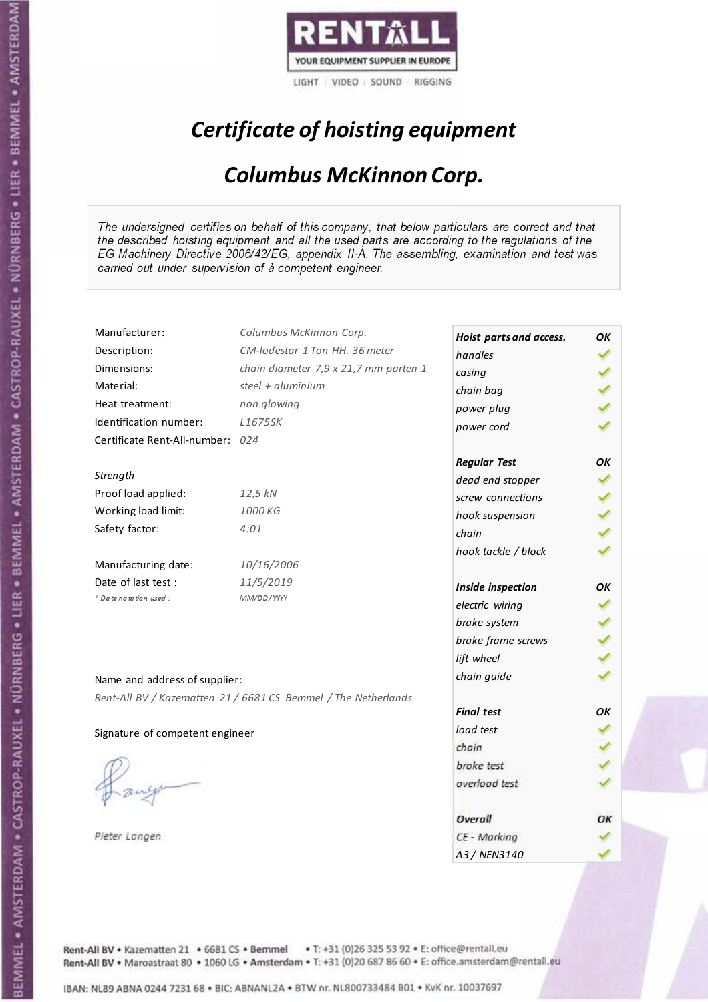

# Certificate of hoisting equipment

### Columbus McKinnon Corp.

The undersigned certifies on behalf of this company, that below particulars are correct and that the described hoisting equipment and all the used parts are according to the regulations of the EG Machinery Directive 2006/42/EG, appendix II-A. The assembling, examination and test was carried out under supervision of à competent engineer.

| Manufacturer:                    | Columbus McKinnon Corp.                                        | Hoist parts and access. | OK |
|----------------------------------|----------------------------------------------------------------|-------------------------|----|
| Description:                     | CM-lodestar 1 Ton HH. 36 meter                                 | handles                 |    |
| Dimensions:                      | chain diameter 7,9 x 21,7 mm parten 1                          | casing                  |    |
| Material:                        | steel + aluminium                                              | chain bag               |    |
| Heat treatment:                  | non glowing                                                    | power plug              |    |
| Identification number:           | L1675SK                                                        | power cord              |    |
| Certificate Rent-All-number: 024 |                                                                |                         |    |
|                                  |                                                                | <b>Regular Test</b>     | ΟK |
| Strength                         |                                                                | dead end stopper        |    |
| Proof load applied:              | 12,5 kN                                                        | screw connections       |    |
| Working load limit:              | 1000 KG                                                        | hook suspension         |    |
| Safety factor:                   | 4:01                                                           | chain                   |    |
|                                  |                                                                | hook tackle / block     |    |
| Manufacturing date:              | 10/16/2006                                                     |                         |    |
| Date of last test :              | 11/5/2019                                                      | Inside inspection       | OΚ |
| + Date notation used:            | MM/DD/YYYY                                                     | electric wiring         |    |
|                                  |                                                                | brake system            |    |
|                                  |                                                                | brake frame screws      |    |
|                                  |                                                                | lift wheel              |    |
| Name and address of supplier:    |                                                                | chain guide             |    |
|                                  | Rent-All BV / Kazematten 21 / 6681 CS Bemmel / The Netherlands |                         |    |
|                                  |                                                                | <b>Final test</b>       | OK |
| Signature of competent engineer  |                                                                | load test               |    |
|                                  |                                                                | chain                   |    |
|                                  |                                                                | brake test              |    |
|                                  |                                                                | overload test           |    |
|                                  |                                                                |                         |    |
|                                  |                                                                | Overall                 | ОΚ |
| Pieter Langen                    |                                                                | CE - Marking            |    |
|                                  |                                                                | A3/NFN3140              |    |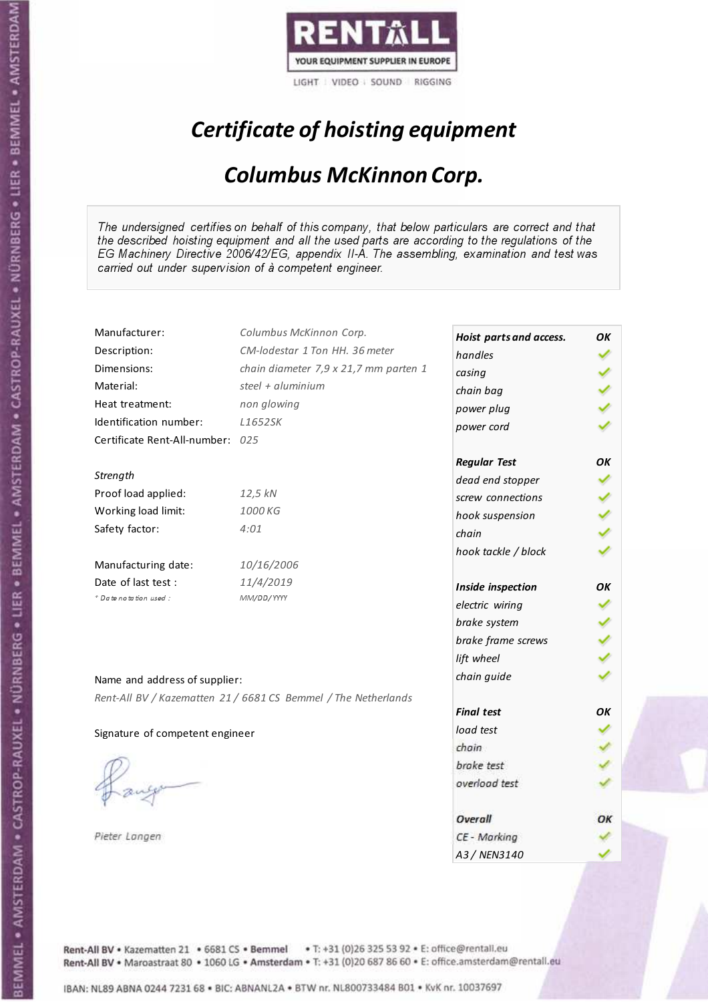

# Certificate of hoisting equipment

### Columbus McKinnon Corp.

The undersigned certifies on behalf of this company, that below particulars are correct and that the described hoisting equipment and all the used parts are according to the regulations of the EG Machinery Directive 2006/42/EG, appendix II-A. The assembling, examination and test was carried out under supervision of à competent engineer.

| Manufacturer:                    | Columbus McKinnon Corp.                                        | Hoist parts and access. | ΟK |
|----------------------------------|----------------------------------------------------------------|-------------------------|----|
| Description:                     | CM-lodestar 1 Ton HH, 36 meter                                 | handles                 |    |
| Dimensions:                      | chain diameter 7,9 x 21,7 mm parten 1                          | casing                  |    |
| Material:                        | steel + aluminium                                              | chain bag               |    |
| Heat treatment:                  | non glowing                                                    |                         |    |
| Identification number:           | L1652SK                                                        | power plug              |    |
| Certificate Rent-All-number: 025 |                                                                | power cord              |    |
|                                  |                                                                |                         | OK |
| Strength                         |                                                                | <b>Regular Test</b>     |    |
| Proof load applied:              | 12,5 kN                                                        | dead end stopper        |    |
| Working load limit:              | 1000 KG                                                        | screw connections       |    |
| Safety factor:                   | 4:01                                                           | hook suspension         |    |
|                                  |                                                                | chain                   |    |
| Manufacturing date:              | 10/16/2006                                                     | hook tackle / block     |    |
| Date of last test :              |                                                                |                         |    |
| * Date notation used :           | 11/4/2019<br>MM/DD/YYYY                                        | Inside inspection       | OK |
|                                  |                                                                | electric wiring         |    |
|                                  |                                                                | brake system            |    |
|                                  |                                                                | brake frame screws      |    |
|                                  |                                                                | lift wheel              |    |
| Name and address of supplier:    |                                                                | chain guide             |    |
|                                  | Rent-All BV / Kazematten 21 / 6681 CS Bemmel / The Netherlands |                         |    |
|                                  |                                                                | <b>Final test</b>       | OK |
| Signature of competent engineer  |                                                                | load test               |    |
|                                  |                                                                | chain                   |    |
|                                  |                                                                | brake test              |    |
|                                  |                                                                | overload test           |    |
|                                  |                                                                |                         |    |
|                                  |                                                                | Overall                 | ОΚ |
| Pieter Langen                    |                                                                | CE - Marking            |    |
|                                  |                                                                | A3 / NEN3140            |    |

Rent-All BV . Kazematten 21 . 6681 CS . Bemmel . T: +31 (0)26 325 53 92 . E: office@rentall.eu Rent-All BV · Maroastraat 80 · 1060 LG · Amsterdam · T: +31 (0)20 687 86 60 · E: office.amsterdam@rentall.eu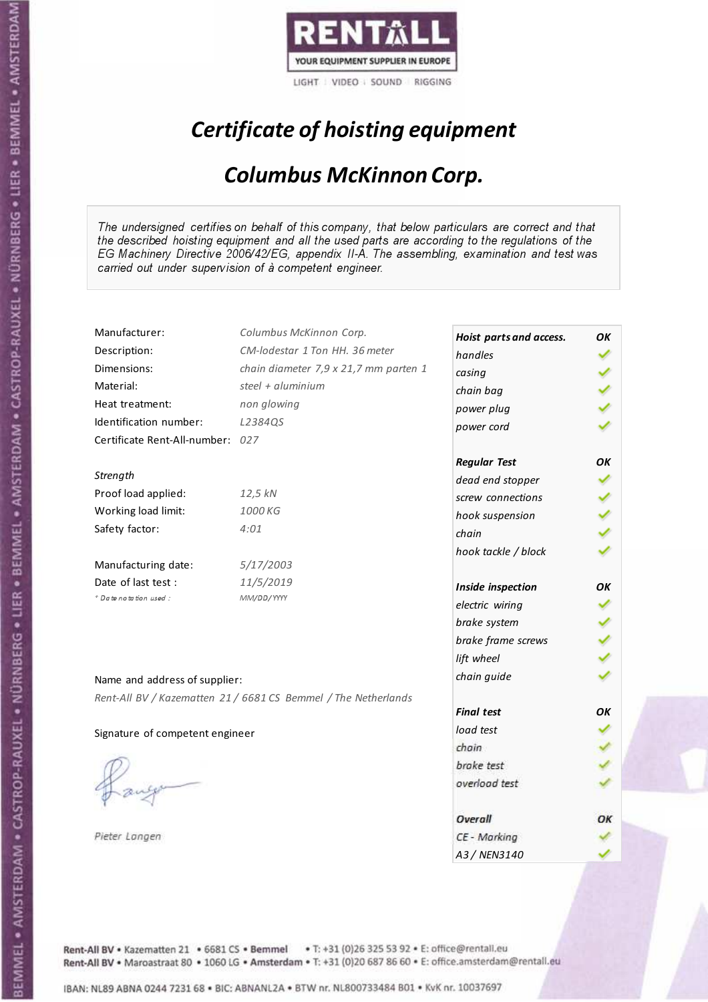

# Certificate of hoisting equipment

### Columbus McKinnon Corp.

The undersigned certifies on behalf of this company, that below particulars are correct and that the described hoisting equipment and all the used parts are according to the regulations of the EG Machinery Directive 2006/42/EG, appendix II-A. The assembling, examination and test was carried out under supervision of à competent engineer.

| Manufacturer:                    | Columbus McKinnon Corp.                                        | Hoist parts and access. | OK  |
|----------------------------------|----------------------------------------------------------------|-------------------------|-----|
| Description:                     | CM-lodestar 1 Ton HH, 36 meter                                 | handles                 |     |
| Dimensions:                      | chain diameter 7,9 x 21,7 mm parten 1                          | casing                  |     |
| Material:                        | steel + aluminium                                              | chain bag               |     |
| Heat treatment:                  | non glowing                                                    | power plug              |     |
| Identification number:           | L2384QS                                                        | power cord              |     |
| Certificate Rent-All-number: 027 |                                                                |                         |     |
|                                  |                                                                | <b>Regular Test</b>     | OK  |
| Strength                         |                                                                | dead end stopper        |     |
| Proof load applied:              | 12,5 kN                                                        | screw connections       |     |
| Working load limit:              | 1000 KG                                                        | hook suspension         | くりょ |
| Safety factor:                   | 4:01                                                           | chain                   |     |
|                                  |                                                                | hook tackle / block     |     |
| Manufacturing date:              | 5/17/2003                                                      |                         |     |
| Date of last test :              | 11/5/2019                                                      | Inside inspection       | OK  |
| + Date notation used:            | MM/DD/YYYY                                                     | electric wiring         |     |
|                                  |                                                                | brake system            |     |
|                                  |                                                                | brake frame screws      |     |
|                                  |                                                                | lift wheel              |     |
| Name and address of supplier:    |                                                                | chain guide             |     |
|                                  | Rent-All BV / Kazematten 21 / 6681 CS Bemmel / The Netherlands |                         |     |
|                                  |                                                                | <b>Final test</b>       | OК  |
| Signature of competent engineer  |                                                                | load test               |     |
|                                  |                                                                | chain                   |     |
|                                  |                                                                | brake test              |     |
|                                  |                                                                | overload test           |     |
|                                  |                                                                |                         |     |
|                                  |                                                                | Overall                 | ОΚ  |
| Pieter Langen                    |                                                                | CE - Marking            |     |
|                                  |                                                                | A3 / NEN3140            |     |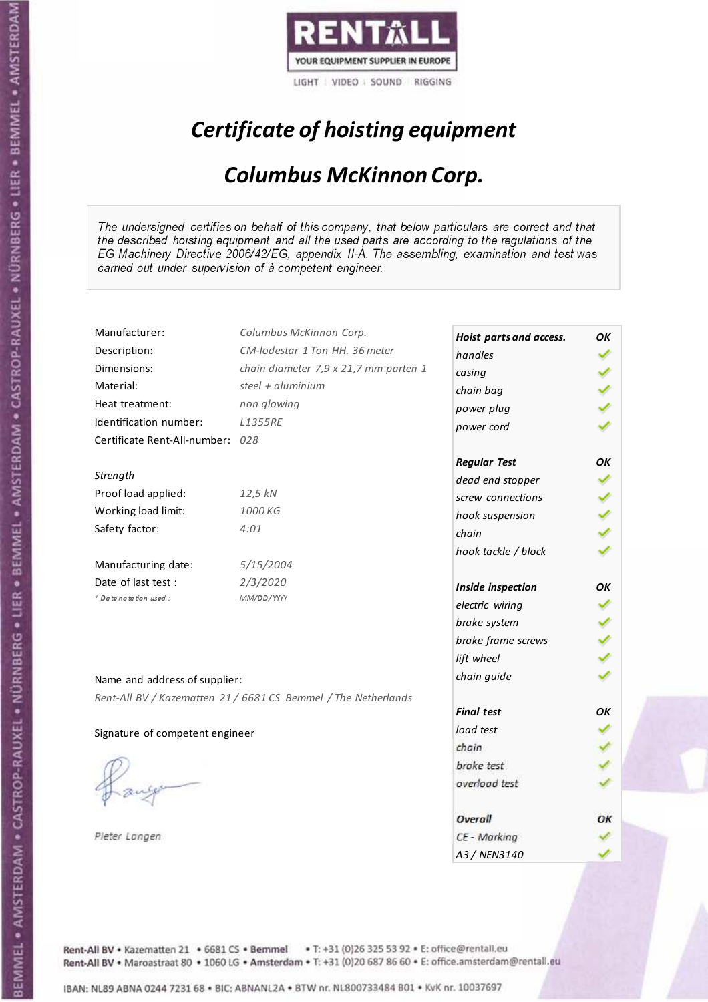

# Certificate of hoisting equipment

### Columbus McKinnon Corp.

The undersigned certifies on behalf of this company, that below particulars are correct and that the described hoisting equipment and all the used parts are according to the regulations of the EG Machinery Directive 2006/42/EG, appendix II-A. The assembling, examination and test was carried out under supervision of à competent engineer.

| Manufacturer:                    | Columbus McKinnon Corp.                                        | Hoist parts and access. | OK |
|----------------------------------|----------------------------------------------------------------|-------------------------|----|
| Description:                     | CM-lodestar 1 Ton HH, 36 meter                                 | handles                 |    |
| Dimensions:                      | chain diameter 7,9 x 21,7 mm parten 1                          | casing                  |    |
| Material:                        | steel + aluminium                                              | chain bag               |    |
| Heat treatment:                  | non glowing                                                    | power plug              |    |
| Identification number:           | <b>L1355RE</b>                                                 | power cord              |    |
| Certificate Rent-All-number: 028 |                                                                |                         |    |
|                                  |                                                                | <b>Regular Test</b>     | OK |
| Strength                         |                                                                | dead end stopper        |    |
| Proof load applied:              | 12,5 kN                                                        | screw connections       |    |
| Working load limit:              | 1000 KG                                                        | hook suspension         |    |
| Safety factor:                   | 4:01                                                           | chain                   |    |
|                                  |                                                                | hook tackle / block     |    |
| Manufacturing date:              | 5/15/2004                                                      |                         |    |
| Date of last test:               | 2/3/2020                                                       | Inside inspection       | OК |
| * Date notation used :           | MM/DD/YYYY                                                     | electric wiring         |    |
|                                  |                                                                | brake system            |    |
|                                  |                                                                | brake frame screws      |    |
|                                  |                                                                | lift wheel              |    |
| Name and address of supplier:    |                                                                | chain guide             |    |
|                                  | Rent-All BV / Kazematten 21 / 6681 CS Bemmel / The Netherlands |                         |    |
|                                  |                                                                | <b>Final test</b>       | OK |
| Signature of competent engineer  |                                                                | load test               |    |
|                                  |                                                                | chain                   |    |
|                                  |                                                                | brake test              |    |
|                                  |                                                                | overload test           |    |
|                                  |                                                                |                         |    |
|                                  |                                                                | Overall                 | ОΚ |
| Pieter Langen                    |                                                                | CE - Marking            |    |
|                                  |                                                                | A3 / NEN3140            |    |

Rent-All BV . Kazematten 21 . 6681 CS . Bemmel . T: +31 (0)26 325 53 92 . E: office@rentall.eu Rent-All BV · Maroastraat 80 · 1060 LG · Amsterdam · T: +31 (0)20 687 86 60 · E: office.amsterdam@rentall.eu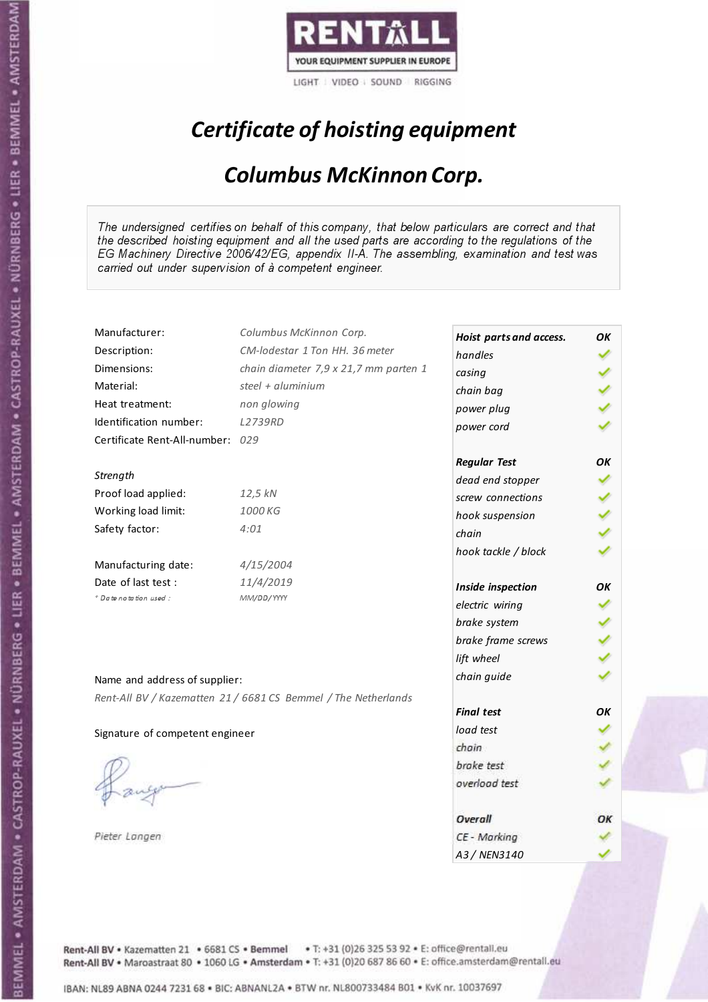

# Certificate of hoisting equipment

### Columbus McKinnon Corp.

The undersigned certifies on behalf of this company, that below particulars are correct and that the described hoisting equipment and all the used parts are according to the regulations of the EG Machinery Directive 2006/42/EG, appendix II-A. The assembling, examination and test was carried out under supervision of à competent engineer.

| Manufacturer:                    | Columbus McKinnon Corp.                                        | Hoist parts and access. | OK  |
|----------------------------------|----------------------------------------------------------------|-------------------------|-----|
| Description:                     | CM-lodestar 1 Ton HH, 36 meter                                 | handles                 |     |
| Dimensions:                      | chain diameter 7,9 x 21,7 mm parten 1                          | casing                  |     |
| Material:                        | steel + aluminium                                              | chain bag               |     |
| Heat treatment:                  | non glowing                                                    | power plug              |     |
| Identification number:           | L2739RD                                                        | power cord              |     |
| Certificate Rent-All-number: 029 |                                                                |                         |     |
|                                  |                                                                | <b>Regular Test</b>     | OK  |
| Strength                         |                                                                | dead end stopper        |     |
| Proof load applied:              | 12,5 kN                                                        | screw connections       |     |
| Working load limit:              | 1000 KG                                                        | hook suspension         | くりょ |
| Safety factor:                   | 4:01                                                           | chain                   |     |
|                                  |                                                                | hook tackle / block     |     |
| Manufacturing date:              | 4/15/2004                                                      |                         |     |
| Date of last test :              | 11/4/2019                                                      | Inside inspection       | OK  |
| + Date notation used:            | MM/DD/YYYY                                                     | electric wiring         |     |
|                                  |                                                                | brake system            |     |
|                                  |                                                                | brake frame screws      |     |
|                                  |                                                                | lift wheel              |     |
|                                  |                                                                | chain guide             |     |
| Name and address of supplier:    |                                                                |                         |     |
|                                  | Rent-All BV / Kazematten 21 / 6681 CS Bemmel / The Netherlands | <b>Final test</b>       | OК  |
| Signature of competent engineer  |                                                                | load test               |     |
|                                  |                                                                | chain                   |     |
|                                  |                                                                | brake test              |     |
|                                  |                                                                | overload test           |     |
|                                  |                                                                |                         |     |
|                                  |                                                                | Overall                 | ОΚ  |
| Pieter Langen                    |                                                                | CE - Marking            |     |
|                                  |                                                                | A3 / NEN3140            |     |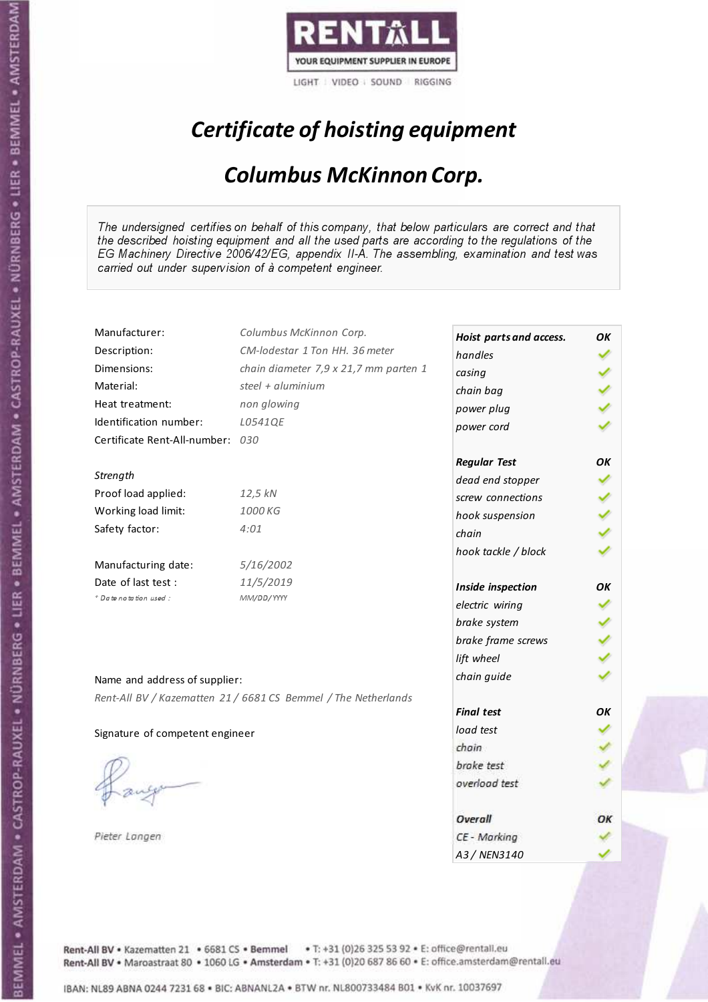

# Certificate of hoisting equipment

### Columbus McKinnon Corp.

The undersigned certifies on behalf of this company, that below particulars are correct and that the described hoisting equipment and all the used parts are according to the regulations of the EG Machinery Directive 2006/42/EG, appendix II-A. The assembling, examination and test was carried out under supervision of à competent engineer.

| Manufacturer:                    | Columbus McKinnon Corp.                                        | Hoist parts and access. | OK |
|----------------------------------|----------------------------------------------------------------|-------------------------|----|
| Description:                     | CM-lodestar 1 Ton HH, 36 meter                                 | handles                 |    |
| Dimensions:                      | chain diameter 7,9 x 21,7 mm parten 1                          | casing                  |    |
| Material:                        | steel + aluminium                                              | chain bag               |    |
| Heat treatment:                  | non glowing                                                    | power plug              |    |
| Identification number:           | L0541QE                                                        | power cord              |    |
| Certificate Rent-All-number: 030 |                                                                |                         |    |
|                                  |                                                                | <b>Regular Test</b>     | OK |
| Strength                         |                                                                | dead end stopper        |    |
| Proof load applied:              | 12,5 kN                                                        | screw connections       |    |
| Working load limit:              | 1000 KG                                                        | hook suspension         |    |
| Safety factor:                   | 4:01                                                           | chain                   |    |
|                                  |                                                                | hook tackle / block     |    |
| Manufacturing date:              | 5/16/2002                                                      |                         |    |
| Date of last test :              | 11/5/2019                                                      | Inside inspection       | OK |
| + Date notation used:            | MM/DD/YYYY                                                     | electric wiring         |    |
|                                  |                                                                | brake system            |    |
|                                  |                                                                | brake frame screws      |    |
|                                  |                                                                | lift wheel              |    |
| Name and address of supplier:    |                                                                | chain guide             |    |
|                                  | Rent-All BV / Kazematten 21 / 6681 CS Bemmel / The Netherlands |                         |    |
|                                  |                                                                | <b>Final test</b>       | OK |
| Signature of competent engineer  |                                                                | load test               |    |
|                                  |                                                                | chain                   |    |
|                                  |                                                                | brake test              |    |
|                                  |                                                                | overload test           |    |
|                                  |                                                                |                         |    |
|                                  |                                                                | Overall                 | ОΚ |
| Pieter Langen                    |                                                                | CE - Marking            |    |
|                                  |                                                                | A3 / NEN3140            |    |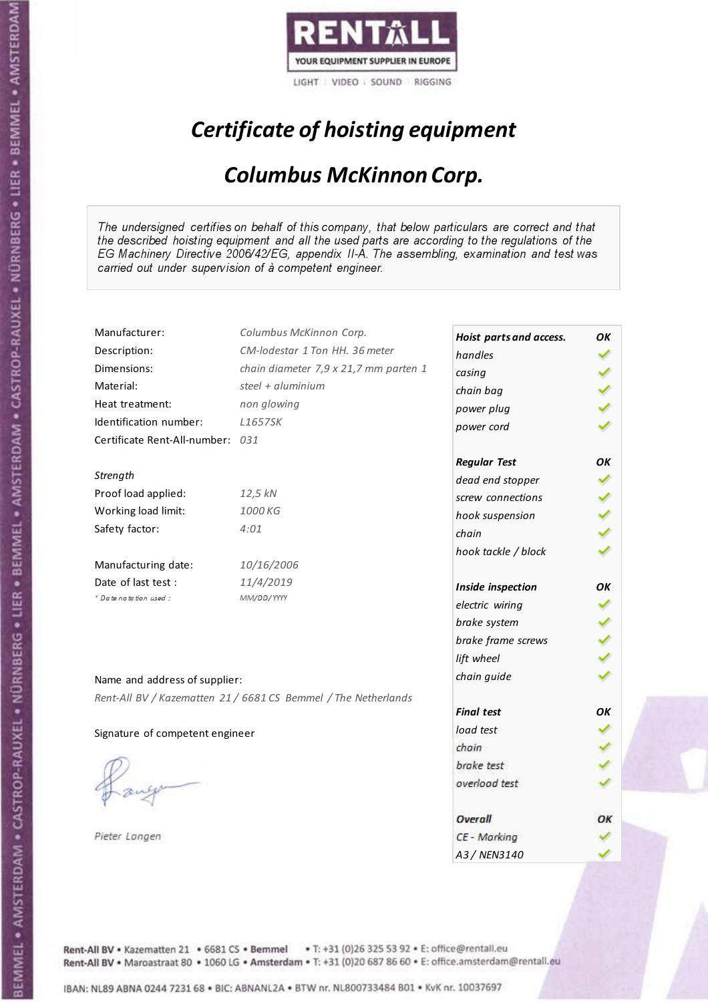

# Certificate of hoisting equipment

### Columbus McKinnon Corp.

The undersigned certifies on behalf of this company, that below particulars are correct and that the described hoisting equipment and all the used parts are according to the regulations of the EG Machinery Directive 2006/42/EG, appendix II-A. The assembling, examination and test was carried out under supervision of à competent engineer.

| Manufacturer:                    | Columbus McKinnon Corp.                                        | Hoist parts and access. | OK |
|----------------------------------|----------------------------------------------------------------|-------------------------|----|
| Description:                     | CM-lodestar 1 Ton HH, 36 meter                                 | handles                 |    |
| Dimensions:                      | chain diameter 7,9 x 21,7 mm parten 1                          | casing                  |    |
| Material:                        | steel + aluminium                                              | chain bag               |    |
| Heat treatment:                  | non glowing                                                    | power plug              |    |
| Identification number:           | L1657SK                                                        | power cord              |    |
| Certificate Rent-All-number: 031 |                                                                |                         |    |
|                                  |                                                                | <b>Regular Test</b>     | OK |
| Strength                         |                                                                | dead end stopper        |    |
| Proof load applied:              | 12,5 kN                                                        | screw connections       |    |
| Working load limit:              | 1000 KG                                                        | hook suspension         |    |
| Safety factor:                   | 4:01                                                           | chain                   |    |
|                                  |                                                                | hook tackle / block     |    |
| Manufacturing date:              | 10/16/2006                                                     |                         |    |
| Date of last test :              | 11/4/2019                                                      | Inside inspection       | OK |
| * Date notation used :           | MM/DD/YYYY                                                     | electric wiring         |    |
|                                  |                                                                | brake system            |    |
|                                  |                                                                | brake frame screws      |    |
|                                  |                                                                | lift wheel              |    |
|                                  |                                                                | chain guide             |    |
| Name and address of supplier:    |                                                                |                         |    |
|                                  | Rent-All BV / Kazematten 21 / 6681 CS Bemmel / The Netherlands | <b>Final test</b>       | OK |
|                                  |                                                                | load test               |    |
| Signature of competent engineer  |                                                                | chain                   |    |
|                                  |                                                                |                         |    |
|                                  |                                                                | brake test              |    |
|                                  |                                                                | overload test           |    |
|                                  |                                                                | Overall                 | ОΚ |
| Pieter Langen                    |                                                                | CE - Marking            |    |
|                                  |                                                                | A3 / NEN3140            |    |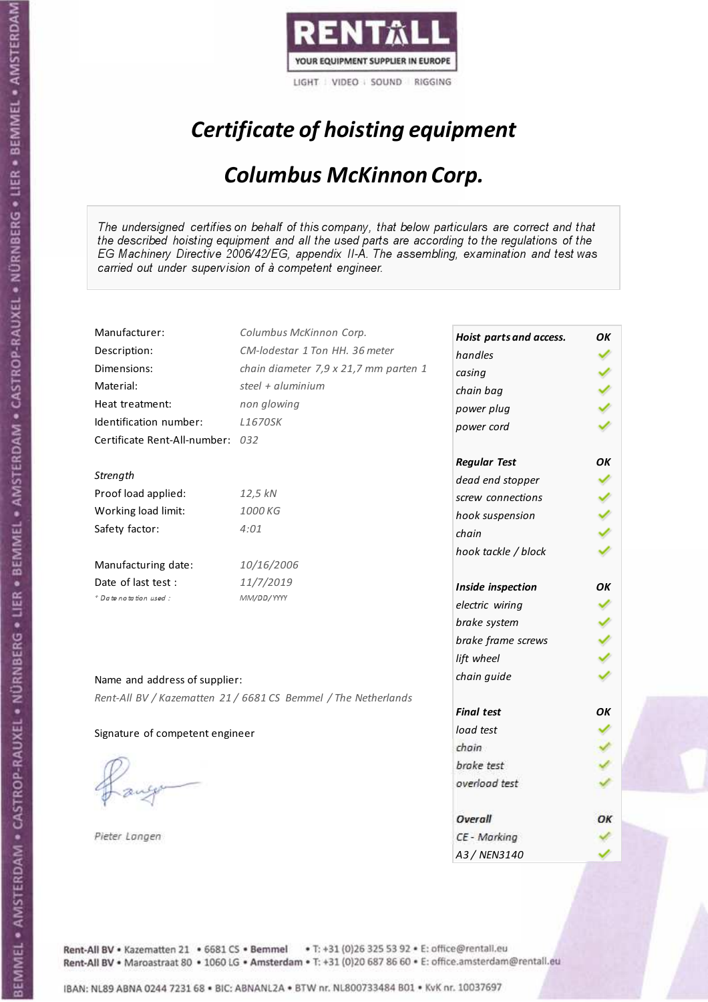

# Certificate of hoisting equipment

### Columbus McKinnon Corp.

The undersigned certifies on behalf of this company, that below particulars are correct and that the described hoisting equipment and all the used parts are according to the regulations of the EG Machinery Directive 2006/42/EG, appendix II-A. The assembling, examination and test was carried out under supervision of à competent engineer.

| Manufacturer:                    | Columbus McKinnon Corp.                                        | Hoist parts and access. | ΟK |
|----------------------------------|----------------------------------------------------------------|-------------------------|----|
| Description:                     | CM-lodestar 1 Ton HH, 36 meter                                 | handles                 |    |
| Dimensions:                      | chain diameter 7,9 x 21,7 mm parten 1                          | casing                  |    |
| Material:                        | steel + aluminium                                              | chain bag               |    |
| Heat treatment:                  | non glowing                                                    | power plug              |    |
| Identification number:           | <b>L1670SK</b>                                                 | power cord              |    |
| Certificate Rent-All-number: 032 |                                                                |                         |    |
|                                  |                                                                | <b>Regular Test</b>     | OK |
| Strength                         |                                                                | dead end stopper        |    |
| Proof load applied:              | 12,5 kN                                                        | screw connections       |    |
| Working load limit:              | 1000 KG                                                        | hook suspension         |    |
| Safety factor:                   | 4:01                                                           | chain                   |    |
|                                  |                                                                | hook tackle / block     |    |
| Manufacturing date:              | 10/16/2006                                                     |                         |    |
| Date of last test:               | 11/7/2019                                                      | Inside inspection       | OК |
| + Date notation used:            | MM/DD/YYYY                                                     | electric wiring         |    |
|                                  |                                                                | brake system            |    |
|                                  |                                                                | brake frame screws      |    |
|                                  |                                                                | lift wheel              |    |
|                                  |                                                                |                         |    |
| Name and address of supplier:    |                                                                | chain guide             |    |
|                                  | Rent-All BV / Kazematten 21 / 6681 CS Bemmel / The Netherlands | <b>Final test</b>       | OΚ |
|                                  |                                                                | load test               |    |
| Signature of competent engineer  |                                                                | chain                   |    |
|                                  |                                                                | brake test              |    |
|                                  |                                                                |                         |    |
|                                  |                                                                | overload test           |    |
|                                  |                                                                | Overall                 | ОК |
| Pieter Langen                    |                                                                | CE - Marking            |    |
|                                  |                                                                | A3 / NEN3140            |    |

Rent-All BV . Kazematten 21 . 6681 CS . Bemmel . T: +31 (0)26 325 53 92 . E: office@rentall.eu Rent-All BV · Maroastraat 80 · 1060 LG · Amsterdam · T: +31 (0)20 687 86 60 · E: office.amsterdam@rentall.eu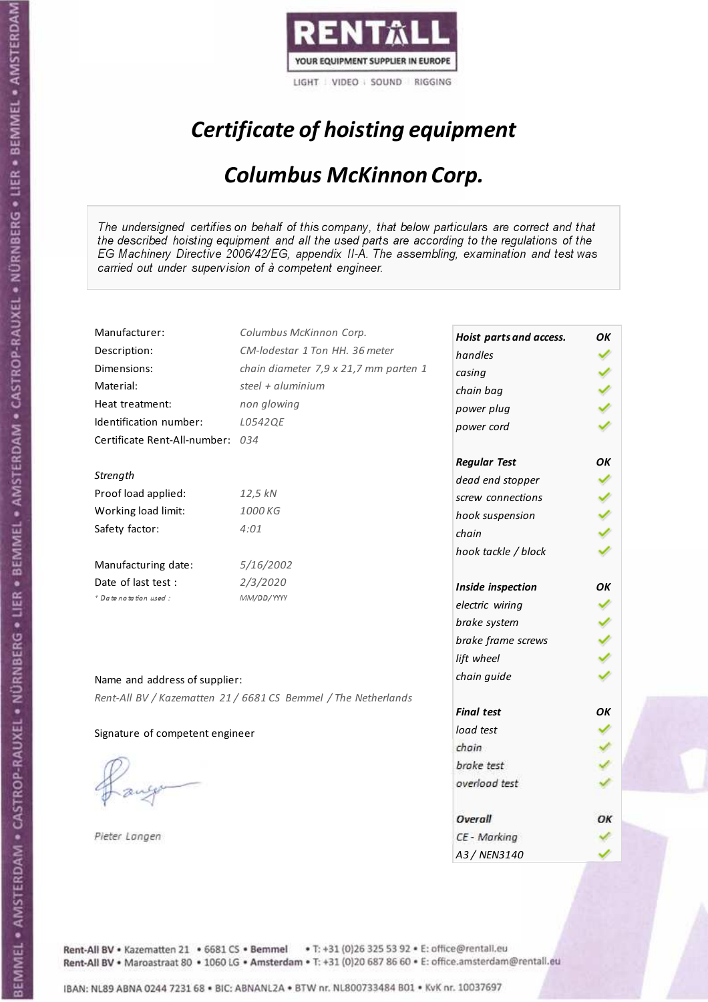

# Certificate of hoisting equipment

### Columbus McKinnon Corp.

The undersigned certifies on behalf of this company, that below particulars are correct and that the described hoisting equipment and all the used parts are according to the regulations of the EG Machinery Directive 2006/42/EG, appendix II-A. The assembling, examination and test was carried out under supervision of à competent engineer.

| Manufacturer:                    | Columbus McKinnon Corp.                                        | Hoist parts and access. | OK |
|----------------------------------|----------------------------------------------------------------|-------------------------|----|
| Description:                     | CM-lodestar 1 Ton HH, 36 meter                                 | handles                 |    |
| Dimensions:                      | chain diameter 7,9 x 21,7 mm parten 1                          | casing                  |    |
| Material:                        | steel + aluminium                                              | chain bag               |    |
| Heat treatment:                  | non glowing                                                    | power plug              |    |
| Identification number:           | L0542QE                                                        | power cord              |    |
| Certificate Rent-All-number: 034 |                                                                |                         |    |
|                                  |                                                                | <b>Regular Test</b>     | OK |
| Strength                         |                                                                | dead end stopper        |    |
| Proof load applied:              | 12,5 kN                                                        | screw connections       |    |
| Working load limit:              | 1000 KG                                                        | hook suspension         |    |
| Safety factor:                   | 4:01                                                           | chain                   |    |
|                                  |                                                                | hook tackle / block     |    |
| Manufacturing date:              | 5/16/2002                                                      |                         |    |
| Date of last test:               | 2/3/2020                                                       | Inside inspection       | OΚ |
| * Date notation used :           | MM/DD/YYYY                                                     | electric wiring         |    |
|                                  |                                                                | brake system            |    |
|                                  |                                                                | brake frame screws      |    |
|                                  |                                                                | lift wheel              |    |
| Name and address of supplier:    |                                                                | chain guide             |    |
|                                  | Rent-All BV / Kazematten 21 / 6681 CS Bemmel / The Netherlands |                         |    |
|                                  |                                                                | <b>Final test</b>       | OK |
| Signature of competent engineer  |                                                                | load test               |    |
|                                  |                                                                | chain                   |    |
|                                  |                                                                | brake test              |    |
|                                  |                                                                | overload test           |    |
|                                  |                                                                |                         |    |
|                                  |                                                                | Overall                 | ОΚ |
| Pieter Langen                    |                                                                | CE - Marking            |    |
|                                  |                                                                | A3/NFN3140              |    |

Rent-All BV . Kazematten 21 . 6681 CS . Bemmel . T: +31 (0)26 325 53 92 . E: office@rentall.eu Rent-All BV · Maroastraat 80 · 1060 LG · Amsterdam · T: +31 (0)20 687 86 60 · E: office.amsterdam@rentall.eu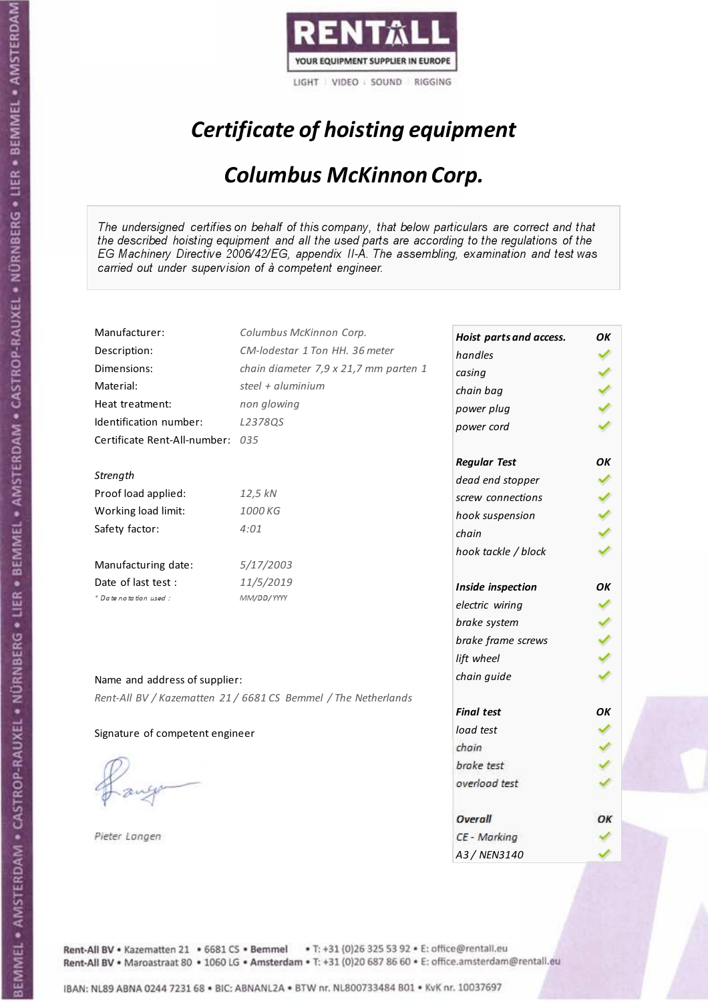

# Certificate of hoisting equipment

### Columbus McKinnon Corp.

The undersigned certifies on behalf of this company, that below particulars are correct and that the described hoisting equipment and all the used parts are according to the regulations of the EG Machinery Directive 2006/42/EG, appendix II-A. The assembling, examination and test was carried out under supervision of à competent engineer.

| Manufacturer:                    | Columbus McKinnon Corp.                                        | Hoist parts and access. | OK  |
|----------------------------------|----------------------------------------------------------------|-------------------------|-----|
| Description:                     | CM-lodestar 1 Ton HH, 36 meter                                 | handles                 |     |
| Dimensions:                      | chain diameter 7,9 x 21,7 mm parten 1                          | casing                  |     |
| Material:                        | steel + aluminium                                              | chain bag               |     |
| Heat treatment:                  | non glowing                                                    | power plug              |     |
| Identification number:           | L2378QS                                                        | power cord              |     |
| Certificate Rent-All-number: 035 |                                                                |                         |     |
|                                  |                                                                | <b>Regular Test</b>     | OK  |
| Strength                         |                                                                | dead end stopper        |     |
| Proof load applied:              | 12,5 kN                                                        | screw connections       |     |
| Working load limit:              | 1000 KG                                                        | hook suspension         | くりょ |
| Safety factor:                   | 4:01                                                           | chain                   |     |
|                                  |                                                                | hook tackle / block     |     |
| Manufacturing date:              | 5/17/2003                                                      |                         |     |
| Date of last test:               | 11/5/2019                                                      | Inside inspection       | OК  |
| * Date notation used :           | MM/DD/YYYY                                                     | electric wiring         |     |
|                                  |                                                                | brake system            |     |
|                                  |                                                                | brake frame screws      |     |
|                                  |                                                                | lift wheel              |     |
|                                  |                                                                | chain guide             |     |
| Name and address of supplier:    |                                                                |                         |     |
|                                  | Rent-All BV / Kazematten 21 / 6681 CS Bemmel / The Netherlands | <b>Final test</b>       | OК  |
|                                  |                                                                | load test               |     |
| Signature of competent engineer  |                                                                | chain                   |     |
|                                  |                                                                | brake test              |     |
|                                  |                                                                | overload test           |     |
|                                  |                                                                |                         |     |
|                                  |                                                                | Overall                 | ОΚ  |
| Pieter Langen                    |                                                                | CE - Marking            |     |
|                                  |                                                                | 43 / NFN3140            |     |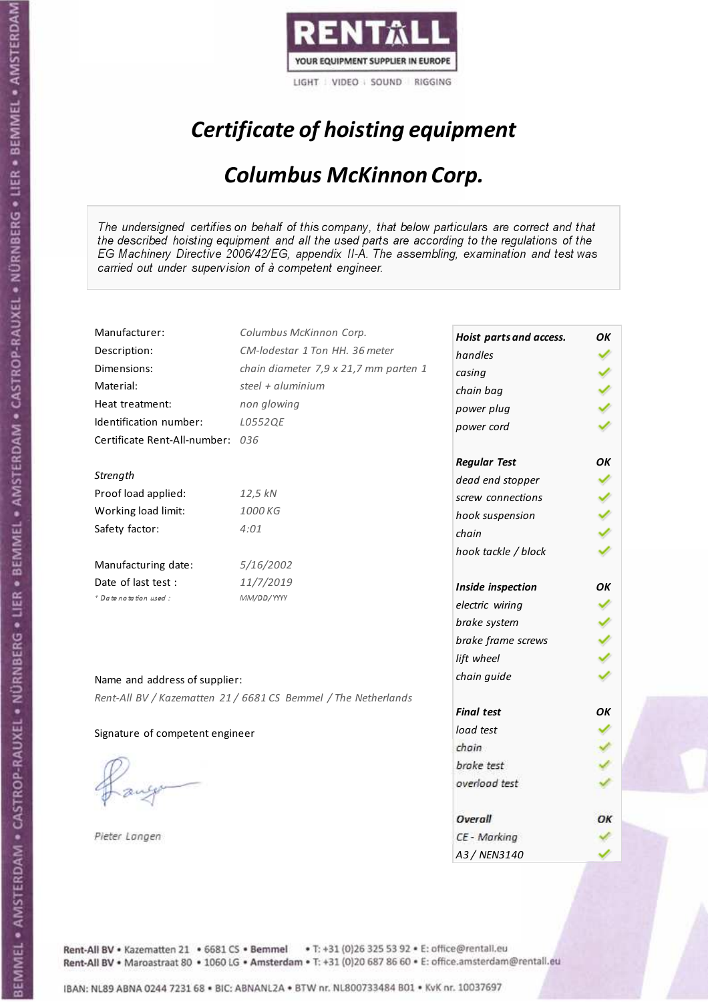

# Certificate of hoisting equipment

### Columbus McKinnon Corp.

The undersigned certifies on behalf of this company, that below particulars are correct and that the described hoisting equipment and all the used parts are according to the regulations of the EG Machinery Directive 2006/42/EG, appendix II-A. The assembling, examination and test was carried out under supervision of à competent engineer.

| Manufacturer:                    | Columbus McKinnon Corp.                                        | Hoist parts and access. | OK |
|----------------------------------|----------------------------------------------------------------|-------------------------|----|
| Description:                     | CM-lodestar 1 Ton HH, 36 meter                                 | handles                 |    |
| Dimensions:                      | chain diameter 7,9 x 21,7 mm parten 1                          | casing                  |    |
| Material:                        | steel + aluminium                                              | chain bag               |    |
| Heat treatment:                  | non glowing                                                    | power plug              |    |
| Identification number:           | L0552QE                                                        | power cord              |    |
| Certificate Rent-All-number: 036 |                                                                |                         |    |
|                                  |                                                                | <b>Regular Test</b>     | OK |
| Strength                         |                                                                | dead end stopper        |    |
| Proof load applied:              | 12,5 kN                                                        | screw connections       |    |
| Working load limit:              | 1000 KG                                                        | hook suspension         |    |
| Safety factor:                   | 4:01                                                           | chain                   |    |
|                                  |                                                                | hook tackle / block     |    |
| Manufacturing date:              | 5/16/2002                                                      |                         |    |
| Date of last test :              | 11/7/2019                                                      | Inside inspection       | OK |
| + Date notation used:            | MM/DD/YYYY                                                     | electric wiring         |    |
|                                  |                                                                | brake system            |    |
|                                  |                                                                | brake frame screws      |    |
|                                  |                                                                | lift wheel              |    |
| Name and address of supplier:    |                                                                | chain guide             |    |
|                                  | Rent-All BV / Kazematten 21 / 6681 CS Bemmel / The Netherlands |                         |    |
|                                  |                                                                | <b>Final test</b>       | OK |
| Signature of competent engineer  |                                                                | load test               |    |
|                                  |                                                                | chain                   |    |
|                                  |                                                                | brake test              |    |
|                                  |                                                                | overload test           |    |
|                                  |                                                                |                         |    |
|                                  |                                                                | Overall                 | ОΚ |
| Pieter Langen                    |                                                                | CE - Marking            |    |
|                                  |                                                                | A3 / NEN3140            |    |

Rent-All BV . Kazematten 21 . 6681 CS . Bemmel . T: +31 (0)26 325 53 92 . E: office@rentall.eu Rent-All BV · Maroastraat 80 · 1060 LG · Amsterdam · T: +31 (0)20 687 86 60 · E: office.amsterdam@rentall.eu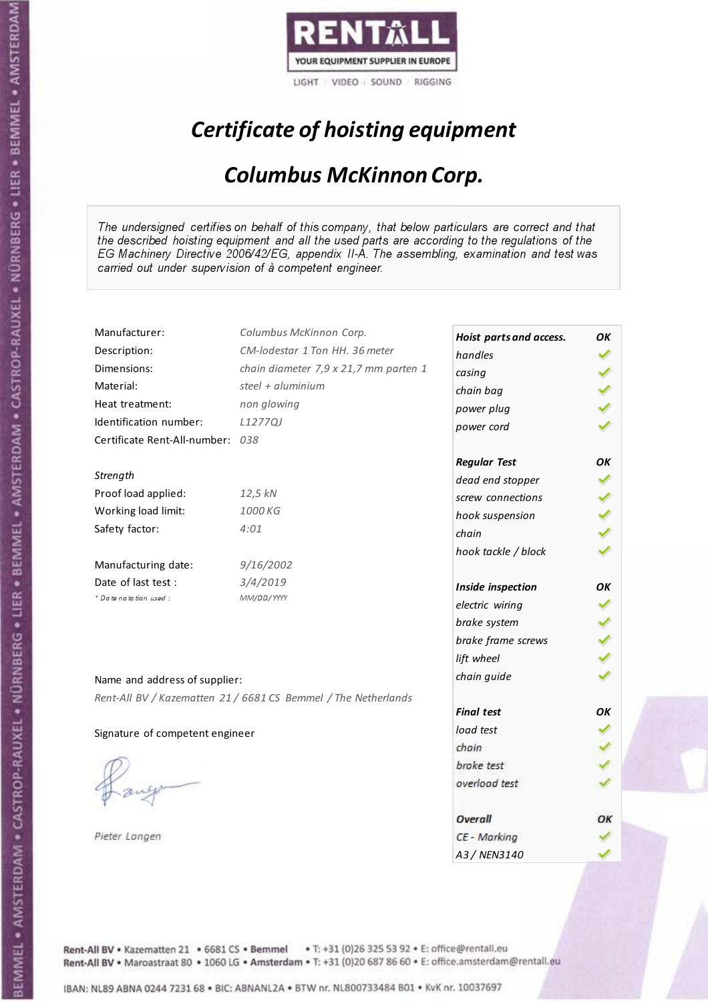

# Certificate of hoisting equipment

### Columbus McKinnon Corp.

The undersigned certifies on behalf of this company, that below particulars are correct and that the described hoisting equipment and all the used parts are according to the regulations of the EG Machinery Directive 2006/42/EG, appendix II-A. The assembling, examination and test was carried out under supervision of à competent engineer.

| Manufacturer:                    | Columbus McKinnon Corp.                                        | Hoist parts and access. | OK |
|----------------------------------|----------------------------------------------------------------|-------------------------|----|
| Description:                     | CM-lodestar 1 Ton HH. 36 meter                                 | handles                 |    |
| Dimensions:                      | chain diameter 7,9 x 21,7 mm parten 1                          | casing                  |    |
| Material:                        | steel + aluminium                                              | chain bag               |    |
| Heat treatment:                  | non glowing                                                    | power plug              |    |
| Identification number:           | L1277QJ                                                        | power cord              |    |
| Certificate Rent-All-number: 038 |                                                                |                         |    |
|                                  |                                                                | <b>Regular Test</b>     | ΟK |
| Strength                         |                                                                | dead end stopper        |    |
| Proof load applied:              | 12,5 kN                                                        | screw connections       |    |
| Working load limit:              | 1000 KG                                                        | hook suspension         |    |
| Safety factor:                   | 4:01                                                           | chain                   |    |
|                                  |                                                                | hook tackle / block     |    |
| Manufacturing date:              | 9/16/2002                                                      |                         |    |
| Date of last test :              | 3/4/2019                                                       | Inside inspection       | OΚ |
| + Date notation used:            | MM/DD/YYYY                                                     | electric wiring         |    |
|                                  |                                                                | brake system            |    |
|                                  |                                                                | brake frame screws      |    |
|                                  |                                                                | lift wheel              |    |
| Name and address of supplier:    |                                                                | chain guide             |    |
|                                  | Rent-All BV / Kazematten 21 / 6681 CS Bemmel / The Netherlands |                         |    |
|                                  |                                                                | <b>Final test</b>       | OK |
| Signature of competent engineer  |                                                                | load test               |    |
|                                  |                                                                | chain                   |    |
|                                  |                                                                | brake test              |    |
|                                  |                                                                | overload test           |    |
|                                  |                                                                |                         |    |
|                                  |                                                                | Overall                 | ОΚ |
| Pieter Langen                    |                                                                | CE - Marking            |    |
|                                  |                                                                | A3/NFN3140              |    |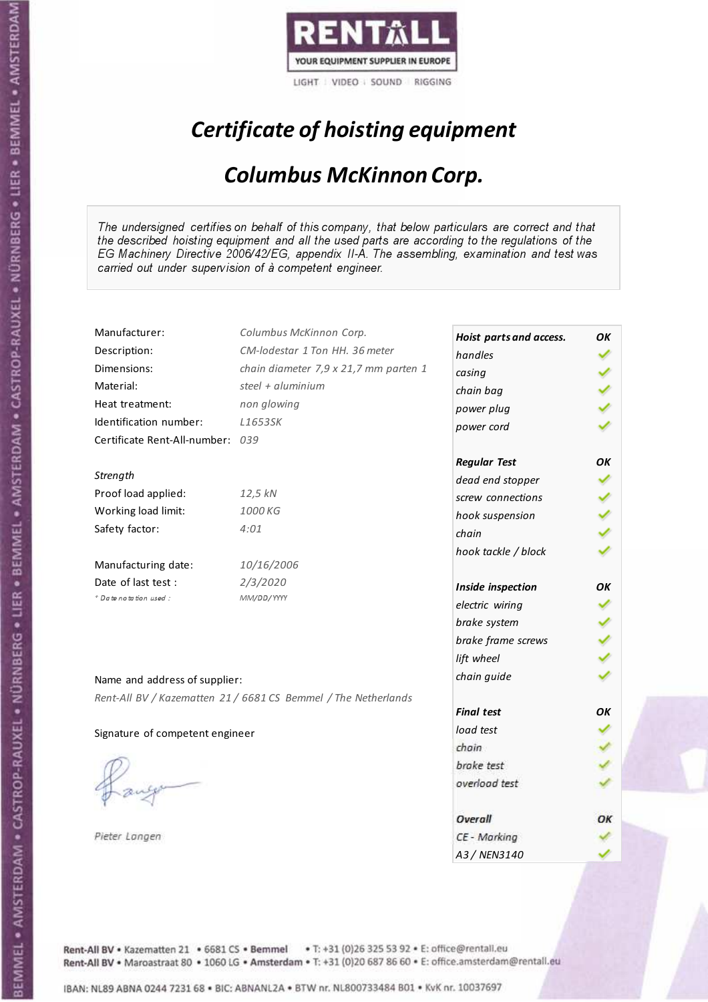

# Certificate of hoisting equipment

### Columbus McKinnon Corp.

The undersigned certifies on behalf of this company, that below particulars are correct and that the described hoisting equipment and all the used parts are according to the regulations of the EG Machinery Directive 2006/42/EG, appendix II-A. The assembling, examination and test was carried out under supervision of à competent engineer.

| Manufacturer:                   | Columbus McKinnon Corp.                                        | Hoist parts and access. | ΟK |
|---------------------------------|----------------------------------------------------------------|-------------------------|----|
| Description:                    | CM-lodestar 1 Ton HH, 36 meter                                 | handles                 |    |
| Dimensions:                     | chain diameter 7,9 x 21,7 mm parten 1                          | casing                  |    |
| Material:                       | steel + aluminium                                              | chain bag               |    |
| Heat treatment:                 | non glowing                                                    | power plug              |    |
| Identification number:          | L1653SK                                                        | power cord              |    |
| Certificate Rent-All-number:    | 039                                                            |                         |    |
|                                 |                                                                | <b>Regular Test</b>     | ΟK |
| Strength                        |                                                                | dead end stopper        |    |
| Proof load applied:             | 12,5 kN                                                        | screw connections       |    |
| Working load limit:             | 1000 KG                                                        | hook suspension         |    |
| Safety factor:                  | 4:01                                                           | chain                   |    |
|                                 |                                                                |                         |    |
| Manufacturing date:             | 10/16/2006                                                     | hook tackle / block     |    |
| Date of last test:              | 2/3/2020                                                       |                         |    |
| * Date notation used :          | MM/DD/YYYY                                                     | Inside inspection       | ΟK |
|                                 |                                                                | electric wiring         |    |
|                                 |                                                                | brake system            |    |
|                                 |                                                                | brake frame screws      |    |
|                                 |                                                                | lift wheel              |    |
| Name and address of supplier:   |                                                                | chain guide             |    |
|                                 | Rent-All BV / Kazematten 21 / 6681 CS Bemmel / The Netherlands |                         |    |
|                                 |                                                                | <b>Final test</b>       | OK |
| Signature of competent engineer |                                                                | load test               |    |
|                                 |                                                                | chain                   |    |
|                                 |                                                                | brake test              |    |
|                                 |                                                                | overload test           |    |
|                                 |                                                                |                         |    |
|                                 |                                                                | Overall                 | ОΚ |
| Pieter Langen                   |                                                                | CE - Marking            |    |
|                                 |                                                                | A3/NFN3140              |    |

Rent-All BV . Kazematten 21 . 6681 CS . Bemmel . T: +31 (0)26 325 53 92 . E: office@rentall.eu Rent-All BV · Maroastraat 80 · 1060 LG · Amsterdam · T: +31 (0)20 687 86 60 · E: office.amsterdam@rentall.eu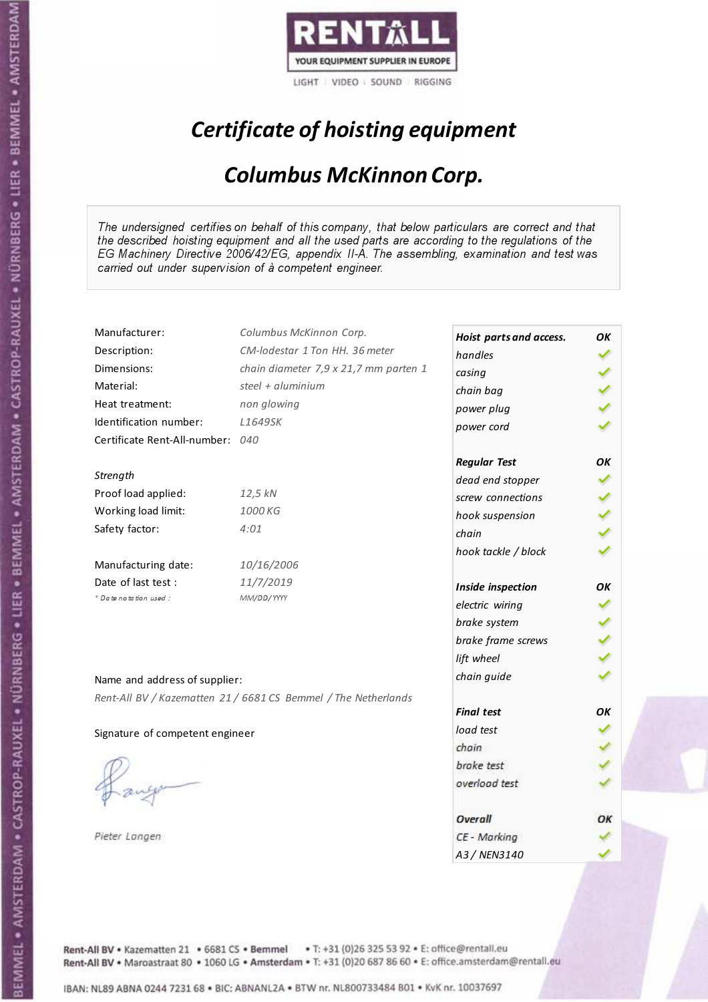

# Certificate of hoisting equipment

### Columbus McKinnon Corp.

The undersigned certifies on behalf of this company, that below particulars are correct and that the described hoisting equipment and all the used parts are according to the regulations of the EG Machinery Directive 2006/42/EG, appendix II-A. The assembling, examination and test was carried out under supervision of à competent engineer.

| Manufacturer:                   | Columbus McKinnon Corp.                                        | Hoist parts and access. | ΟK |
|---------------------------------|----------------------------------------------------------------|-------------------------|----|
| Description:                    | CM-lodestar 1 Ton HH, 36 meter                                 | handles                 |    |
| Dimensions:                     | chain diameter 7,9 x 21,7 mm parten 1                          | casing                  |    |
| Material:                       | steel + aluminium                                              | chain bag               |    |
| Heat treatment:                 | non glowing                                                    | power plug              |    |
| Identification number:          | L1649SK                                                        | power cord              |    |
| Certificate Rent-All-number:    | 040                                                            |                         |    |
|                                 |                                                                | <b>Regular Test</b>     | ΟK |
| Strength                        |                                                                | dead end stopper        |    |
| Proof load applied:             | 12,5 kN                                                        | screw connections       |    |
| Working load limit:             | 1000 KG                                                        | hook suspension         |    |
| Safety factor:                  | 4:01                                                           | chain                   |    |
|                                 |                                                                | hook tackle / block     |    |
| Manufacturing date:             | 10/16/2006                                                     |                         |    |
| Date of last test:              | 11/7/2019                                                      | Inside inspection       | ΟK |
| * Date notation used :          | MM/DD/YYYY                                                     | electric wiring         |    |
|                                 |                                                                | brake system            |    |
|                                 |                                                                | brake frame screws      |    |
|                                 |                                                                | lift wheel              |    |
|                                 |                                                                | chain guide             |    |
| Name and address of supplier:   |                                                                |                         |    |
|                                 | Rent-All BV / Kazematten 21 / 6681 CS Bemmel / The Netherlands | <b>Final test</b>       | OK |
|                                 |                                                                | load test               |    |
| Signature of competent engineer |                                                                | chain                   |    |
|                                 |                                                                | brake test              |    |
|                                 |                                                                |                         |    |
|                                 |                                                                | overload test           |    |
|                                 |                                                                | Overall                 | ОΚ |
| Pieter Langen                   |                                                                | CE - Marking            |    |
|                                 |                                                                | A3/NFN3140              |    |

Rent-All BV . Kazematten 21 . 6681 CS . Bemmel . T: +31 (0)26 325 53 92 . E: office@rentall.eu Rent-All BV · Maroastraat 80 · 1060 LG · Amsterdam · T: +31 (0)20 687 86 60 · E: office.amsterdam@rentall.eu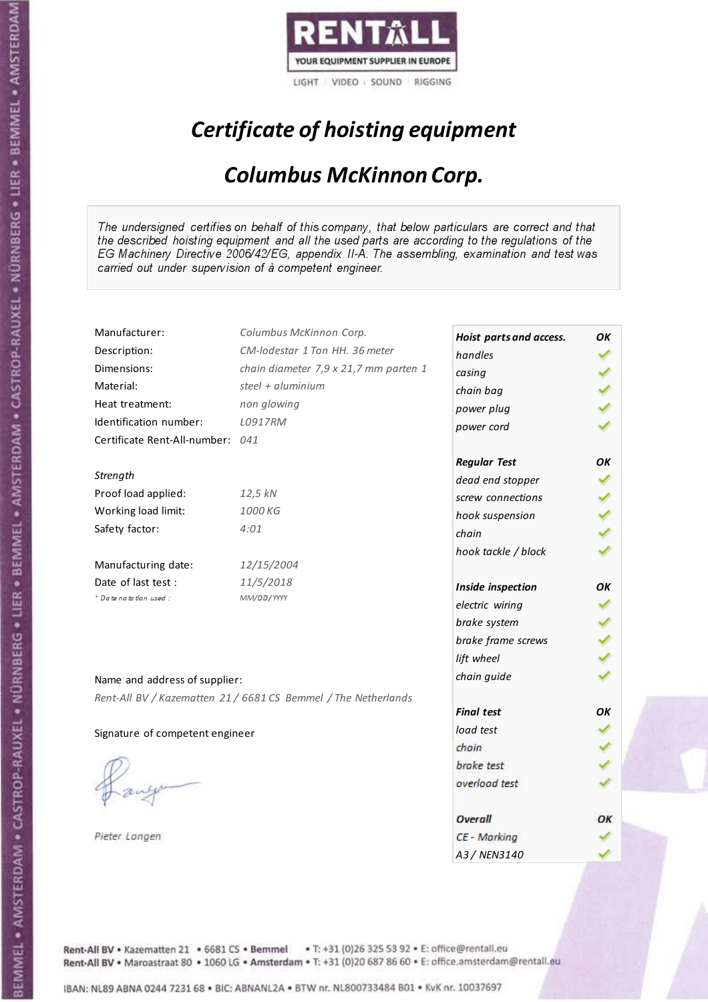

# Certificate of hoisting equipment

### Columbus McKinnon Corp.

The undersigned certifies on behalf of this company, that below particulars are correct and that the described hoisting equipment and all the used parts are according to the regulations of the EG Machinery Directive 2006/42/EG, appendix II-A. The assembling, examination and test was carried out under supervision of à competent engineer.

| Manufacturer:                    | Columbus McKinnon Corp.                                        | Hoist parts and access. | OK |
|----------------------------------|----------------------------------------------------------------|-------------------------|----|
| Description:                     | CM-lodestar 1 Ton HH. 36 meter                                 | handles                 |    |
| Dimensions:                      | chain diameter 7,9 x 21,7 mm parten 1                          | casing                  |    |
| Material:                        | steel + aluminium                                              | chain bag               |    |
| Heat treatment:                  | non glowing                                                    | power plug              |    |
| Identification number:           | L0917RM                                                        | power cord              |    |
| Certificate Rent-All-number: 041 |                                                                |                         |    |
|                                  |                                                                | <b>Regular Test</b>     | ΟK |
| Strength                         |                                                                | dead end stopper        |    |
| Proof load applied:              | 12,5 kN                                                        | screw connections       |    |
| Working load limit:              | 1000 KG                                                        | hook suspension         |    |
| Safety factor:                   | 4:01                                                           | chain                   |    |
|                                  |                                                                | hook tackle / block     |    |
| Manufacturing date:              | 12/15/2004                                                     |                         |    |
| Date of last test :              | 11/5/2018                                                      | Inside inspection       | OK |
| + Date notation used:            | MM/DD/YYYY                                                     | electric wiring         |    |
|                                  |                                                                | brake system            |    |
|                                  |                                                                | brake frame screws      |    |
|                                  |                                                                | lift wheel              |    |
| Name and address of supplier:    |                                                                | chain guide             |    |
|                                  | Rent-All BV / Kazematten 21 / 6681 CS Bemmel / The Netherlands |                         |    |
|                                  |                                                                | <b>Final test</b>       | OK |
| Signature of competent engineer  |                                                                | load test               |    |
|                                  |                                                                | chain                   |    |
|                                  |                                                                | brake test              |    |
|                                  |                                                                | overload test           |    |
|                                  |                                                                |                         |    |
|                                  |                                                                | Overall                 | ОΚ |
| Pieter Langen                    |                                                                | CE - Marking            |    |
|                                  |                                                                | A3/NFN3140              |    |

Rent-All BV . Kazematten 21 . 6681 CS . Bemmel . T: +31 (0)26 325 53 92 . E: office@rentall.eu Rent-All BV · Maroastraat 80 · 1060 LG · Amsterdam · T: +31 (0)20 687 86 60 · E: office.amsterdam@rentall.eu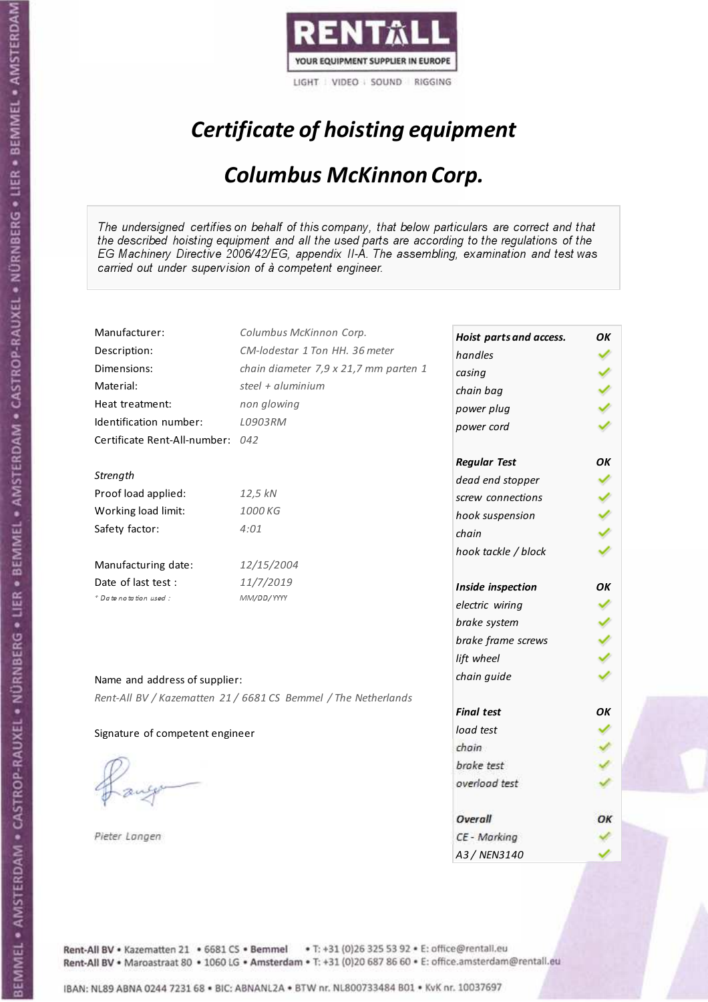

# Certificate of hoisting equipment

### Columbus McKinnon Corp.

The undersigned certifies on behalf of this company, that below particulars are correct and that the described hoisting equipment and all the used parts are according to the regulations of the EG Machinery Directive 2006/42/EG, appendix II-A. The assembling, examination and test was carried out under supervision of à competent engineer.

| Manufacturer:                   | Columbus McKinnon Corp.                                        | Hoist parts and access. | ΟK |
|---------------------------------|----------------------------------------------------------------|-------------------------|----|
| Description:                    | CM-lodestar 1 Ton HH, 36 meter                                 | handles                 |    |
| Dimensions:                     | chain diameter 7,9 x 21,7 mm parten 1                          | casing                  |    |
| Material:                       | steel + aluminium                                              | chain bag               |    |
| Heat treatment:                 | non glowing                                                    | power plug              |    |
| Identification number:          | L0903RM                                                        | power cord              |    |
| Certificate Rent-All-number:    | 042                                                            |                         |    |
|                                 |                                                                | <b>Regular Test</b>     | OK |
| Strength                        |                                                                | dead end stopper        |    |
| Proof load applied:             | 12,5 kN                                                        | screw connections       |    |
| Working load limit:             | 1000 KG                                                        | hook suspension         |    |
| Safety factor:                  | 4:01                                                           | chain                   |    |
|                                 |                                                                | hook tackle / block     |    |
| Manufacturing date:             | 12/15/2004                                                     |                         |    |
| Date of last test:              | 11/7/2019                                                      | Inside inspection       | ΟK |
| * Date notation used :          | MM/DD/YYYY                                                     | electric wiring         |    |
|                                 |                                                                | brake system            |    |
|                                 |                                                                | brake frame screws      |    |
|                                 |                                                                | lift wheel              |    |
|                                 |                                                                | chain guide             |    |
| Name and address of supplier:   |                                                                |                         |    |
|                                 | Rent-All BV / Kazematten 21 / 6681 CS Bemmel / The Netherlands | <b>Final test</b>       | OK |
| Signature of competent engineer |                                                                | load test               |    |
|                                 |                                                                | chain                   |    |
|                                 |                                                                | brake test              |    |
|                                 |                                                                | overload test           |    |
|                                 |                                                                |                         |    |
|                                 |                                                                | Overall                 | ОΚ |
| Pieter Langen                   |                                                                | CE - Marking            |    |
|                                 |                                                                | A3/NFN3140              |    |

Rent-All BV . Kazematten 21 . 6681 CS . Bemmel . T: +31 (0)26 325 53 92 . E: office@rentall.eu Rent-All BV · Maroastraat 80 · 1060 LG · Amsterdam · T: +31 (0)20 687 86 60 · E: office.amsterdam@rentall.eu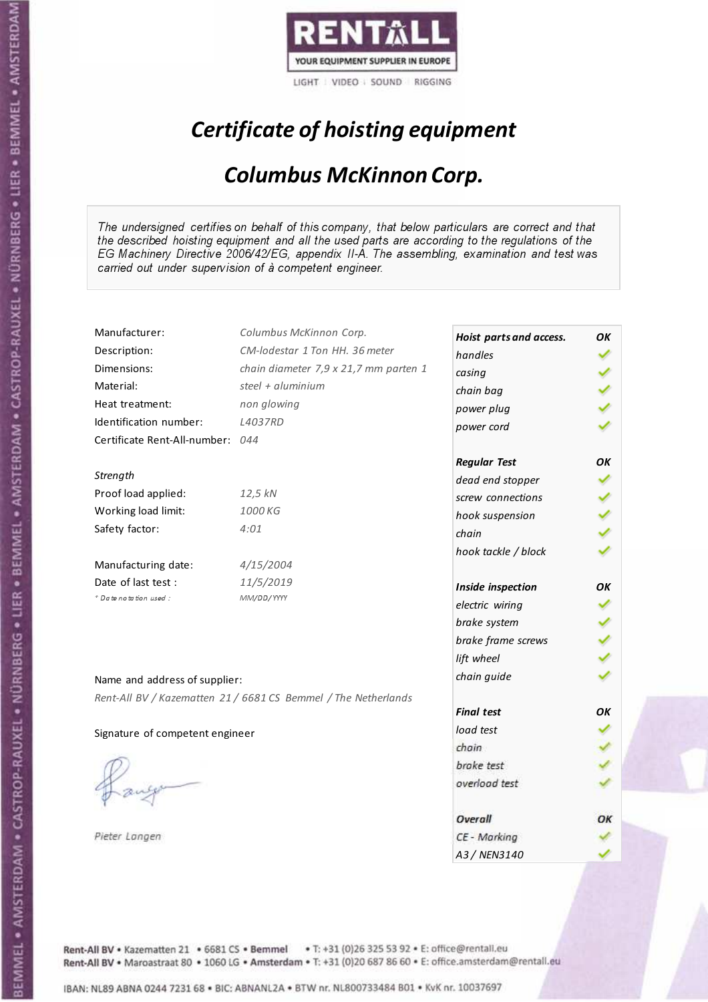

# Certificate of hoisting equipment

### Columbus McKinnon Corp.

The undersigned certifies on behalf of this company, that below particulars are correct and that the described hoisting equipment and all the used parts are according to the regulations of the EG Machinery Directive 2006/42/EG, appendix II-A. The assembling, examination and test was carried out under supervision of à competent engineer.

| Manufacturer:                    | Columbus McKinnon Corp.                                        | Hoist parts and access. | OK |
|----------------------------------|----------------------------------------------------------------|-------------------------|----|
| Description:                     | CM-lodestar 1 Ton HH, 36 meter                                 | handles                 |    |
| Dimensions:                      | chain diameter 7,9 x 21,7 mm parten 1                          | casing                  |    |
| Material:                        | steel + aluminium                                              | chain bag               |    |
| Heat treatment:                  | non glowing                                                    | power plug              |    |
| Identification number:           | <b>L4037RD</b>                                                 | power cord              |    |
| Certificate Rent-All-number: 044 |                                                                |                         |    |
|                                  |                                                                | <b>Regular Test</b>     | OK |
| Strength                         |                                                                | dead end stopper        |    |
| Proof load applied:              | 12,5 kN                                                        | screw connections       |    |
| Working load limit:              | 1000 KG                                                        | hook suspension         |    |
| Safety factor:                   | 4:01                                                           | chain                   |    |
|                                  |                                                                | hook tackle / block     |    |
| Manufacturing date:              | 4/15/2004                                                      |                         |    |
| Date of last test :              | 11/5/2019                                                      | Inside inspection       | OK |
| + Date notation used:            | MM/DD/YYYY                                                     | electric wiring         |    |
|                                  |                                                                | brake system            |    |
|                                  |                                                                | brake frame screws      |    |
|                                  |                                                                | lift wheel              |    |
| Name and address of supplier:    |                                                                | chain guide             |    |
|                                  | Rent-All BV / Kazematten 21 / 6681 CS Bemmel / The Netherlands |                         |    |
|                                  |                                                                | <b>Final test</b>       | OK |
| Signature of competent engineer  |                                                                | load test               |    |
|                                  |                                                                | chain                   |    |
|                                  |                                                                | brake test              |    |
|                                  |                                                                | overload test           |    |
|                                  |                                                                |                         |    |
|                                  |                                                                | Overall                 | ОΚ |
| Pieter Langen                    |                                                                | CE - Marking            |    |
|                                  |                                                                | A3 / NEN3140            |    |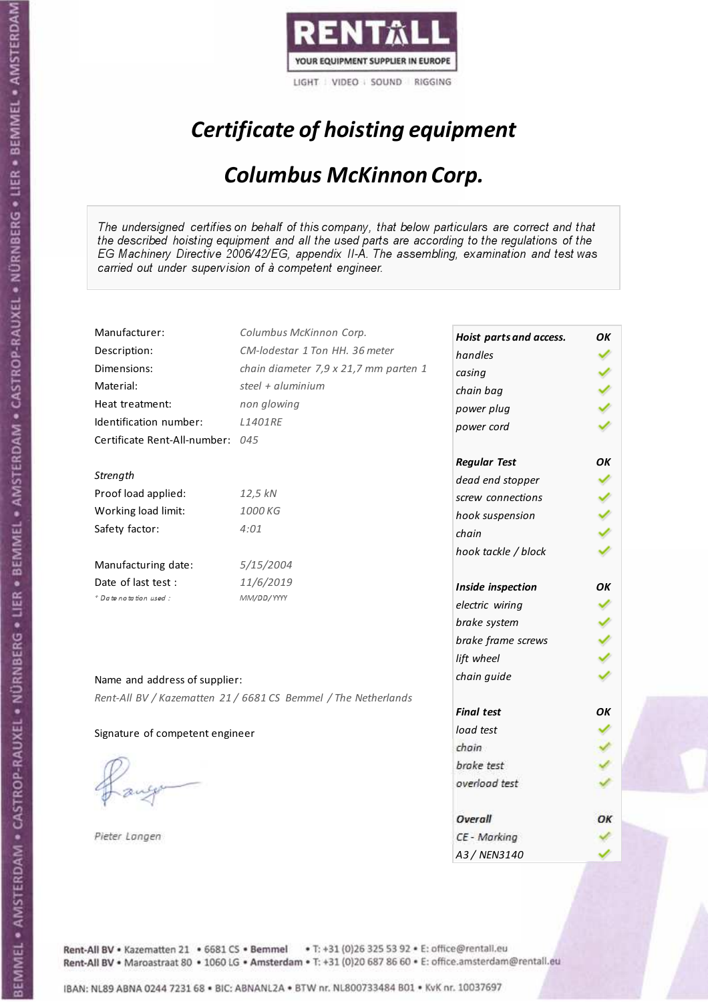

# Certificate of hoisting equipment

### Columbus McKinnon Corp.

The undersigned certifies on behalf of this company, that below particulars are correct and that the described hoisting equipment and all the used parts are according to the regulations of the EG Machinery Directive 2006/42/EG, appendix II-A. The assembling, examination and test was carried out under supervision of à competent engineer.

| Manufacturer:                    | Columbus McKinnon Corp.                                        | Hoist parts and access. | OK |
|----------------------------------|----------------------------------------------------------------|-------------------------|----|
| Description:                     | CM-lodestar 1 Ton HH, 36 meter                                 | handles                 |    |
| Dimensions:                      | chain diameter 7,9 x 21,7 mm parten 1                          | casing                  |    |
| Material:                        | steel + aluminium                                              | chain bag               |    |
| Heat treatment:                  | non glowing                                                    | power plug              |    |
| Identification number:           | <b>L1401RE</b>                                                 | power cord              |    |
| Certificate Rent-All-number: 045 |                                                                |                         |    |
|                                  |                                                                | <b>Regular Test</b>     | OK |
| Strength                         |                                                                | dead end stopper        |    |
| Proof load applied:              | 12,5 kN                                                        | screw connections       |    |
| Working load limit:              | 1000 KG                                                        | hook suspension         |    |
| Safety factor:                   | 4:01                                                           | chain                   |    |
|                                  |                                                                | hook tackle / block     |    |
| Manufacturing date:              | 5/15/2004                                                      |                         |    |
| Date of last test :              | 11/6/2019                                                      | Inside inspection       | OK |
| + Date notation used:            | MM/DD/YYYY                                                     | electric wiring         |    |
|                                  |                                                                | brake system            |    |
|                                  |                                                                | brake frame screws      |    |
|                                  |                                                                | lift wheel              |    |
| Name and address of supplier:    |                                                                | chain guide             |    |
|                                  | Rent-All BV / Kazematten 21 / 6681 CS Bemmel / The Netherlands |                         |    |
|                                  |                                                                | <b>Final test</b>       | OK |
| Signature of competent engineer  |                                                                | load test               |    |
|                                  |                                                                | chain                   |    |
|                                  |                                                                | brake test              |    |
|                                  |                                                                | overload test           |    |
|                                  |                                                                |                         |    |
|                                  |                                                                | Overall                 | ОΚ |
| Pieter Langen                    |                                                                | CE - Marking            |    |
|                                  |                                                                | A3 / NEN3140            |    |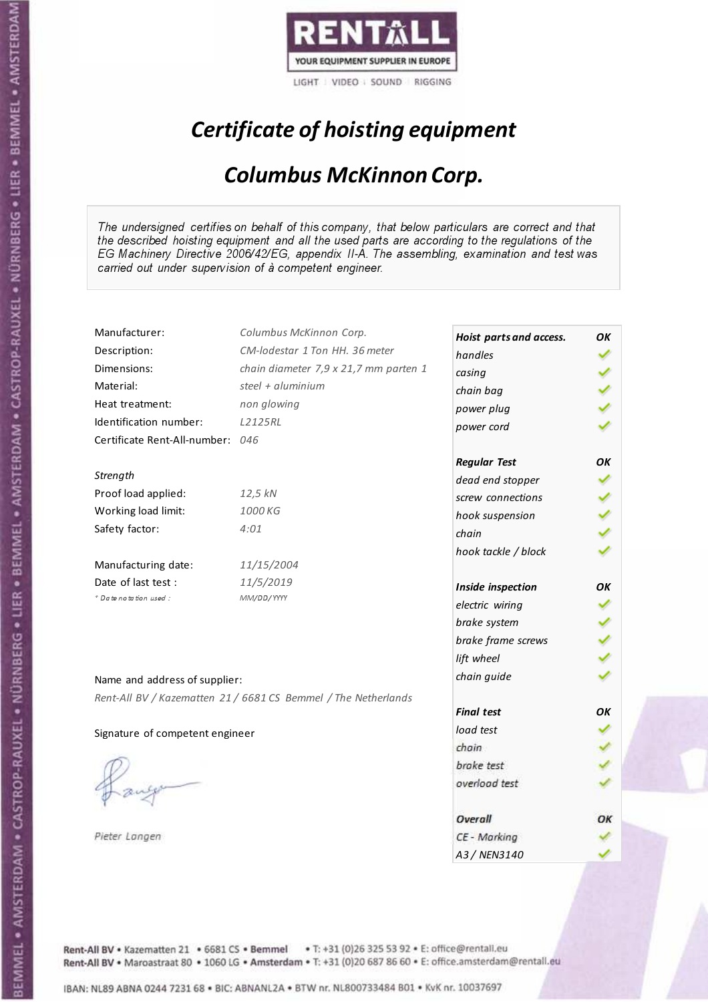

# Certificate of hoisting equipment

### Columbus McKinnon Corp.

The undersigned certifies on behalf of this company, that below particulars are correct and that the described hoisting equipment and all the used parts are according to the regulations of the EG Machinery Directive 2006/42/EG, appendix II-A. The assembling, examination and test was carried out under supervision of à competent engineer.

| Manufacturer:                    | Columbus McKinnon Corp.                                        |                         |    |
|----------------------------------|----------------------------------------------------------------|-------------------------|----|
| Description:                     | CM-lodestar 1 Ton HH, 36 meter                                 | Hoist parts and access. | ΟK |
| Dimensions:                      | chain diameter 7,9 x 21,7 mm parten 1                          | handles                 |    |
| Material:                        | steel + aluminium                                              | casing                  |    |
| Heat treatment:                  | non glowing                                                    | chain bag               |    |
| Identification number:           | L2125RL                                                        | power plug              |    |
|                                  |                                                                | power cord              |    |
| Certificate Rent-All-number: 046 |                                                                |                         |    |
|                                  |                                                                | <b>Regular Test</b>     | OK |
| Strength                         |                                                                | dead end stopper        |    |
| Proof load applied:              | 12,5 kN                                                        | screw connections       |    |
| Working load limit:              | 1000 KG                                                        | hook suspension         |    |
| Safety factor:                   | 4:01                                                           | chain                   |    |
|                                  |                                                                | hook tackle / block     |    |
| Manufacturing date:              | 11/15/2004                                                     |                         |    |
| Date of last test :              | 11/5/2019                                                      | Inside inspection       | OK |
| * Date notation used :           | MM/DD/YYYY                                                     | electric wiring         |    |
|                                  |                                                                | brake system            |    |
|                                  |                                                                | brake frame screws      |    |
|                                  |                                                                | lift wheel              |    |
|                                  |                                                                | chain guide             |    |
| Name and address of supplier:    |                                                                |                         |    |
|                                  | Rent-All BV / Kazematten 21 / 6681 CS Bemmel / The Netherlands | <b>Final test</b>       | OK |
| Signature of competent engineer  |                                                                | load test               |    |
|                                  |                                                                | chain                   |    |
|                                  |                                                                | brake test              |    |
|                                  |                                                                | overload test           |    |
|                                  |                                                                |                         |    |
|                                  |                                                                | Overall                 | ОΚ |
| Pieter Langen                    |                                                                | CE - Marking            |    |
|                                  |                                                                | A3 / NEN3140            |    |

Rent-All BV . Kazematten 21 . 6681 CS . Bemmel . T: +31 (0)26 325 53 92 . E: office@rentall.eu Rent-All BV · Maroastraat 80 · 1060 LG · Amsterdam · T: +31 (0)20 687 86 60 · E: office.amsterdam@rentall.eu

BEMMEL • AMSTERDAM • CASTROP-RAUXEL • NÜRNBERG • LIER • BEMMEL • AMSTERDAM • CASTROP-RAUXEL • NÜRNBERG • LIER • BEMMEL • AMSTERDAM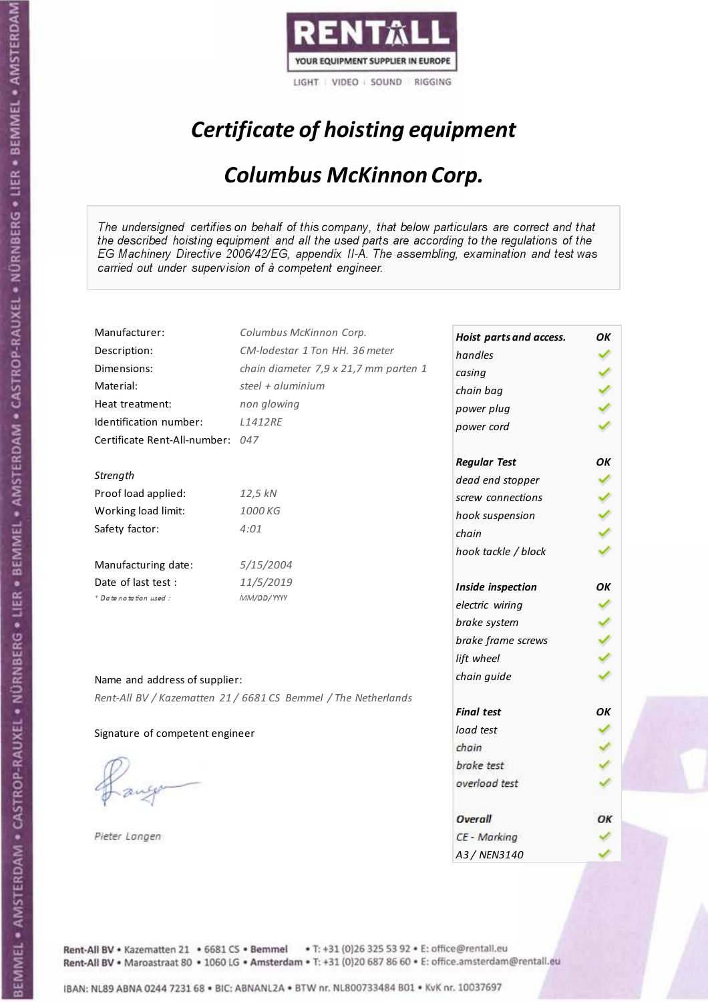

# Certificate of hoisting equipment

### Columbus McKinnon Corp.

The undersigned certifies on behalf of this company, that below particulars are correct and that the described hoisting equipment and all the used parts are according to the regulations of the EG Machinery Directive 2006/42/EG, appendix II-A. The assembling, examination and test was carried out under supervision of à competent engineer.

| Manufacturer:                    | Columbus McKinnon Corp.                                        | Hoist parts and access. | OK |
|----------------------------------|----------------------------------------------------------------|-------------------------|----|
| Description:                     | CM-lodestar 1 Ton HH. 36 meter                                 | handles                 |    |
| Dimensions:                      | chain diameter 7,9 x 21,7 mm parten 1                          | casing                  |    |
| Material:                        | steel + aluminium                                              | chain bag               |    |
| Heat treatment:                  | non glowing                                                    | power plug              |    |
| Identification number:           | <b>L1412RE</b>                                                 | power cord              |    |
| Certificate Rent-All-number: 047 |                                                                |                         |    |
|                                  |                                                                | <b>Regular Test</b>     | ΟK |
| Strength                         |                                                                | dead end stopper        |    |
| Proof load applied:              | 12,5 kN                                                        | screw connections       |    |
| Working load limit:              | 1000 KG                                                        | hook suspension         |    |
| Safety factor:                   | 4:01                                                           | chain                   |    |
|                                  |                                                                | hook tackle / block     |    |
| Manufacturing date:              | 5/15/2004                                                      |                         |    |
| Date of last test :              | 11/5/2019                                                      | Inside inspection       | OK |
| + Date notation used:            | MM/DD/YYYY                                                     | electric wiring         |    |
|                                  |                                                                | brake system            |    |
|                                  |                                                                | brake frame screws      |    |
|                                  |                                                                | lift wheel              |    |
| Name and address of supplier:    |                                                                | chain guide             |    |
|                                  | Rent-All BV / Kazematten 21 / 6681 CS Bemmel / The Netherlands |                         |    |
|                                  |                                                                | <b>Final test</b>       | OK |
| Signature of competent engineer  |                                                                | load test               |    |
|                                  |                                                                | chain                   |    |
|                                  |                                                                | brake test              |    |
|                                  |                                                                | overload test           |    |
|                                  |                                                                |                         |    |
|                                  |                                                                | Overall                 | ОΚ |
| Pieter Langen                    |                                                                | CE - Marking            |    |
|                                  |                                                                | A3/NFN3140              |    |

Rent-All BV . Kazematten 21 . 6681 CS . Bemmel . T: +31 (0)26 325 53 92 . E: office@rentall.eu Rent-All BV · Maroastraat 80 · 1060 LG · Amsterdam · T: +31 (0)20 687 86 60 · E: office.amsterdam@rentall.eu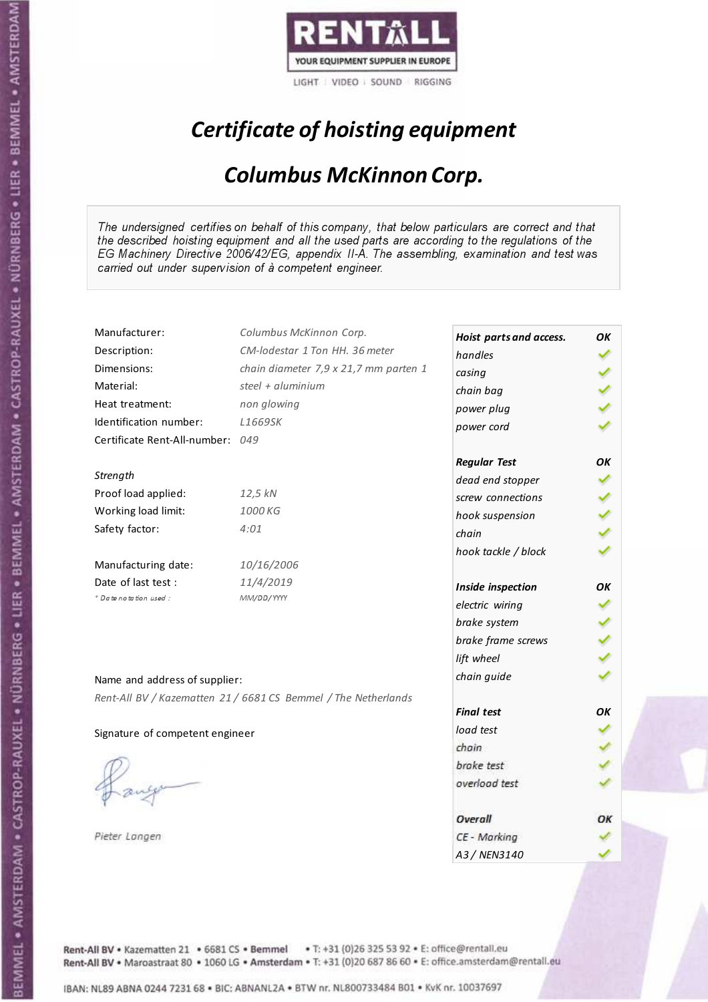

# Certificate of hoisting equipment

### Columbus McKinnon Corp.

The undersigned certifies on behalf of this company, that below particulars are correct and that the described hoisting equipment and all the used parts are according to the regulations of the EG Machinery Directive 2006/42/EG, appendix II-A. The assembling, examination and test was carried out under supervision of à competent engineer.

| Manufacturer:                   | Columbus McKinnon Corp.                                        |                                    | ΟK |
|---------------------------------|----------------------------------------------------------------|------------------------------------|----|
| Description:                    | CM-lodestar 1 Ton HH, 36 meter                                 | Hoist parts and access.<br>handles |    |
| Dimensions:                     | chain diameter 7,9 x 21,7 mm parten 1                          |                                    |    |
| Material:                       | steel + aluminium                                              | casing                             |    |
| Heat treatment:                 | non glowing                                                    | chain bag                          |    |
| Identification number:          | L1669SK                                                        | power plug                         |    |
| Certificate Rent-All-number:    | 049                                                            | power cord                         |    |
|                                 |                                                                |                                    |    |
|                                 |                                                                | <b>Regular Test</b>                | OK |
| Strength                        |                                                                | dead end stopper                   |    |
| Proof load applied:             | 12,5 kN                                                        | screw connections                  |    |
| Working load limit:             | 1000 KG                                                        | hook suspension                    |    |
| Safety factor:                  | 4:01                                                           | chain                              |    |
|                                 |                                                                | hook tackle / block                |    |
| Manufacturing date:             | 10/16/2006                                                     |                                    |    |
| Date of last test :             | 11/4/2019                                                      | Inside inspection                  | OK |
| * Date notation used :          | MM/DD/YYYY                                                     | electric wiring                    |    |
|                                 |                                                                | brake system                       |    |
|                                 |                                                                | brake frame screws                 |    |
|                                 |                                                                | lift wheel                         |    |
|                                 |                                                                | chain guide                        |    |
| Name and address of supplier:   |                                                                |                                    |    |
|                                 | Rent-All BV / Kazematten 21 / 6681 CS Bemmel / The Netherlands | <b>Final test</b>                  | OK |
| Signature of competent engineer |                                                                | load test                          |    |
|                                 |                                                                | chain                              |    |
|                                 |                                                                | brake test                         |    |
|                                 |                                                                | overload test                      |    |
|                                 |                                                                |                                    |    |
|                                 |                                                                | Overall                            | ОΚ |
| Pieter Langen                   |                                                                | CE - Marking                       |    |
|                                 |                                                                | A3 / NEN3140                       |    |

Rent-All BV . Kazematten 21 . 6681 CS . Bemmel . T: +31 (0)26 325 53 92 . E: office@rentall.eu Rent-All BV · Maroastraat 80 · 1060 LG · Amsterdam · T: +31 (0)20 687 86 60 · E: office.amsterdam@rentall.eu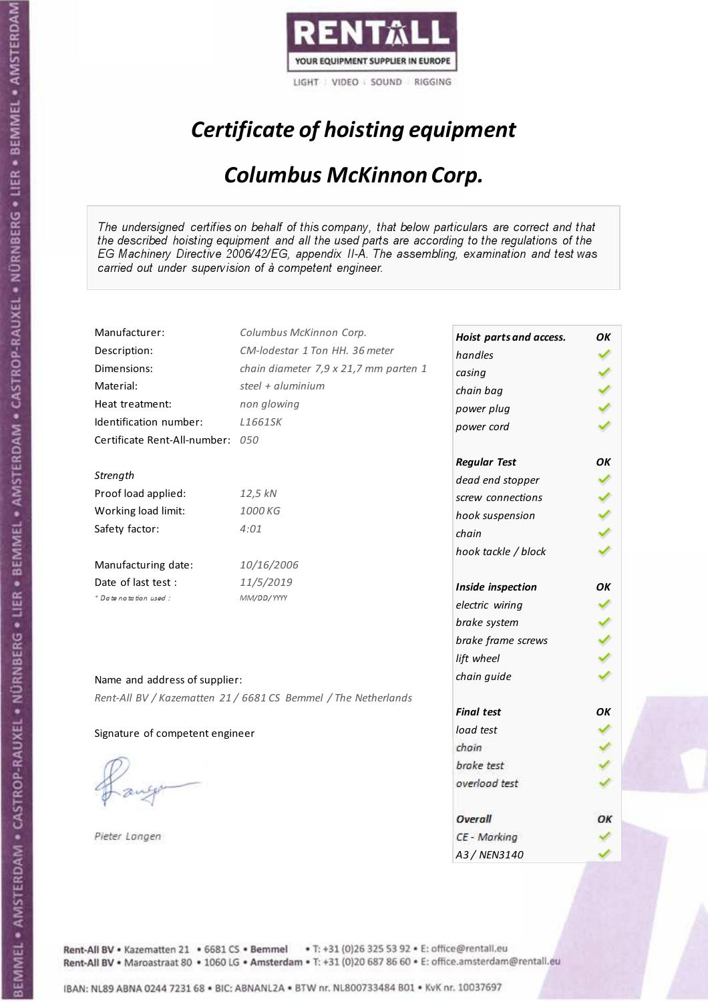

# Certificate of hoisting equipment

### Columbus McKinnon Corp.

The undersigned certifies on behalf of this company, that below particulars are correct and that the described hoisting equipment and all the used parts are according to the regulations of the EG Machinery Directive 2006/42/EG, appendix II-A. The assembling, examination and test was carried out under supervision of à competent engineer.

| Manufacturer:                   | Columbus McKinnon Corp.                                        | Hoist parts and access. | ΟK |
|---------------------------------|----------------------------------------------------------------|-------------------------|----|
| Description:                    | CM-lodestar 1 Ton HH, 36 meter                                 | handles                 |    |
| Dimensions:                     | chain diameter 7,9 x 21,7 mm parten 1                          | casing                  |    |
| Material:                       | steel + aluminium                                              | chain bag               |    |
| Heat treatment:                 | non glowing                                                    | power plug              |    |
| Identification number:          | L1661SK                                                        | power cord              |    |
| Certificate Rent-All-number:    | 050                                                            |                         |    |
|                                 |                                                                | <b>Regular Test</b>     | ΟK |
| Strength                        |                                                                | dead end stopper        |    |
| Proof load applied:             | 12,5 kN                                                        | screw connections       |    |
| Working load limit:             | 1000 KG                                                        | hook suspension         |    |
| Safety factor:                  | 4:01                                                           | chain                   |    |
|                                 |                                                                | hook tackle / block     |    |
| Manufacturing date:             | 10/16/2006                                                     |                         |    |
| Date of last test:              | 11/5/2019                                                      | Inside inspection       | ΟK |
| * Date notation used :          | MM/DD/YYYY                                                     | electric wiring         |    |
|                                 |                                                                | brake system            |    |
|                                 |                                                                | brake frame screws      |    |
|                                 |                                                                | lift wheel              |    |
|                                 |                                                                | chain guide             |    |
| Name and address of supplier:   |                                                                |                         |    |
|                                 | Rent-All BV / Kazematten 21 / 6681 CS Bemmel / The Netherlands | <b>Final test</b>       | OK |
|                                 |                                                                | load test               |    |
| Signature of competent engineer |                                                                | chain                   |    |
|                                 |                                                                |                         |    |
|                                 |                                                                | brake test              |    |
|                                 |                                                                | overload test           |    |
|                                 |                                                                | Overall                 | ОΚ |
| Pieter Langen                   |                                                                | CE - Marking            |    |
|                                 |                                                                | A3/NFN3140              |    |

Rent-All BV . Kazematten 21 . 6681 CS . Bemmel . T: +31 (0)26 325 53 92 . E: office@rentall.eu Rent-All BV · Maroastraat 80 · 1060 LG · Amsterdam · T: +31 (0)20 687 86 60 · E: office.amsterdam@rentall.eu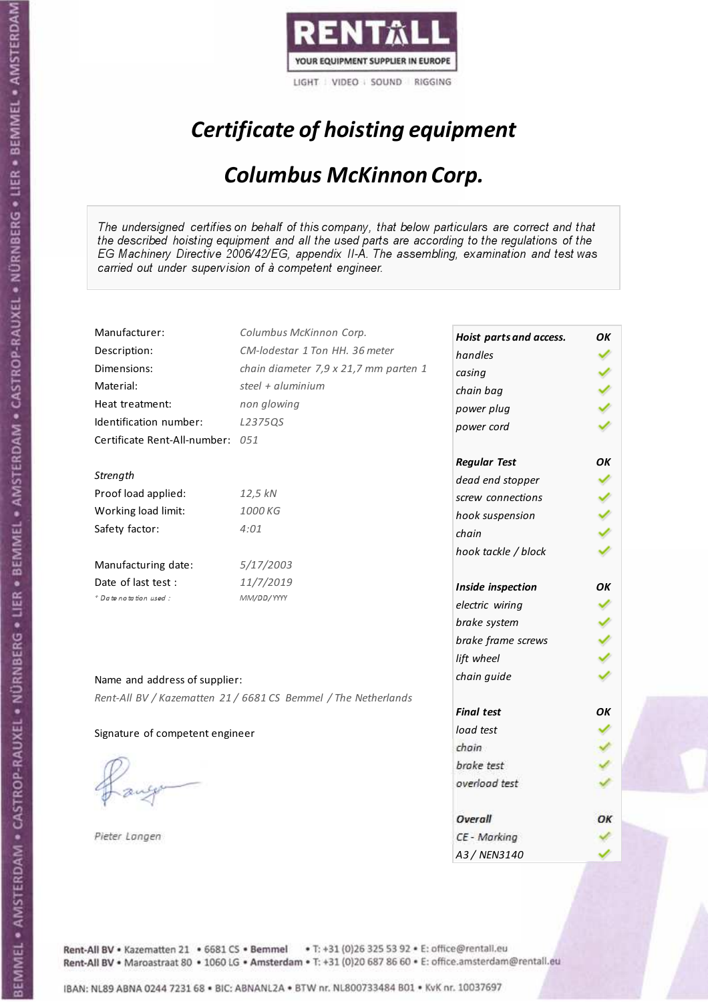

# Certificate of hoisting equipment

### Columbus McKinnon Corp.

The undersigned certifies on behalf of this company, that below particulars are correct and that the described hoisting equipment and all the used parts are according to the regulations of the EG Machinery Directive 2006/42/EG, appendix II-A. The assembling, examination and test was carried out under supervision of à competent engineer.

| Manufacturer:                    | Columbus McKinnon Corp.                                        | Hoist parts and access. | ΟK  |
|----------------------------------|----------------------------------------------------------------|-------------------------|-----|
| Description:                     | CM-lodestar 1 Ton HH, 36 meter                                 | handles                 |     |
| Dimensions:                      | chain diameter 7,9 x 21,7 mm parten 1                          | casing                  |     |
| Material:                        | steel + aluminium                                              | chain bag               |     |
| Heat treatment:                  | non glowing                                                    | power plug              |     |
| Identification number:           | L2375QS                                                        | power cord              |     |
| Certificate Rent-All-number: 051 |                                                                |                         |     |
|                                  |                                                                | <b>Regular Test</b>     | OK  |
| Strength                         |                                                                | dead end stopper        |     |
| Proof load applied:              | 12,5 kN                                                        | screw connections       |     |
| Working load limit:              | 1000 KG                                                        | hook suspension         |     |
| Safety factor:                   | 4:01                                                           | chain                   | くくく |
|                                  |                                                                | hook tackle / block     |     |
| Manufacturing date:              | 5/17/2003                                                      |                         |     |
| Date of last test :              | 11/7/2019                                                      | Inside inspection       | ОΚ  |
| + Date notation used:            | MM/DD/YYYY                                                     | electric wiring         |     |
|                                  |                                                                | brake system            |     |
|                                  |                                                                | brake frame screws      |     |
|                                  |                                                                | lift wheel              |     |
| Name and address of supplier:    |                                                                | chain guide             |     |
|                                  | Rent-All BV / Kazematten 21 / 6681 CS Bemmel / The Netherlands |                         |     |
|                                  |                                                                | <b>Final test</b>       | ΟK  |
| Signature of competent engineer  |                                                                | load test               |     |
|                                  |                                                                | chain                   |     |
|                                  |                                                                | brake test              |     |
|                                  |                                                                | overload test           |     |
|                                  |                                                                |                         |     |
|                                  |                                                                | Overall                 | ОК  |
| Pieter Langen                    |                                                                | CE - Marking            |     |
|                                  |                                                                | A3 / NEN3140            |     |

Rent-All BV . Kazematten 21 . 6681 CS . Bemmel . T: +31 (0)26 325 53 92 . E: office@rentall.eu Rent-All BV · Maroastraat 80 · 1060 LG · Amsterdam · T: +31 (0)20 687 86 60 · E: office.amsterdam@rentall.eu

IBAN: NL89 ABNA 0244 7231 68 . BIC: ABNANL2A . BTW nr. NL800733484 B01 . KvK nr. 10037697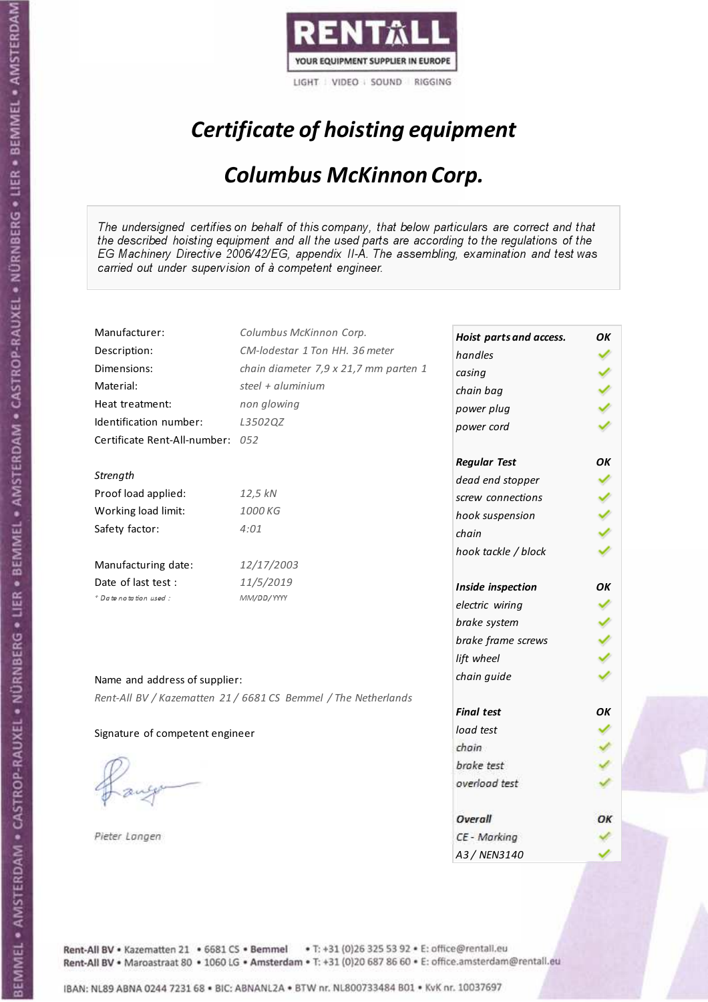

# Certificate of hoisting equipment

### Columbus McKinnon Corp.

The undersigned certifies on behalf of this company, that below particulars are correct and that the described hoisting equipment and all the used parts are according to the regulations of the EG Machinery Directive 2006/42/EG, appendix II-A. The assembling, examination and test was carried out under supervision of à competent engineer.

| Manufacturer:                    | Columbus McKinnon Corp.                                        | Hoist parts and access. | OK |
|----------------------------------|----------------------------------------------------------------|-------------------------|----|
| Description:                     | CM-lodestar 1 Ton HH. 36 meter                                 | handles                 |    |
| Dimensions:                      | chain diameter 7,9 x 21,7 mm parten 1                          | casing                  |    |
| Material:                        | steel + aluminium                                              | chain bag               |    |
| Heat treatment:                  | non glowing                                                    | power plug              |    |
| Identification number:           | L3502QZ                                                        | power cord              |    |
| Certificate Rent-All-number: 052 |                                                                |                         |    |
|                                  |                                                                | <b>Regular Test</b>     | ΟK |
| Strength                         |                                                                | dead end stopper        |    |
| Proof load applied:              | 12,5 kN                                                        | screw connections       |    |
| Working load limit:              | 1000 KG                                                        | hook suspension         |    |
| Safety factor:                   | 4:01                                                           | chain                   |    |
|                                  |                                                                | hook tackle / block     |    |
| Manufacturing date:              | 12/17/2003                                                     |                         |    |
| Date of last test :              | 11/5/2019                                                      | Inside inspection       | OΚ |
| + Date notation used:            | MM/DD/YYYY                                                     | electric wiring         |    |
|                                  |                                                                | brake system            |    |
|                                  |                                                                | brake frame screws      |    |
|                                  |                                                                | lift wheel              |    |
| Name and address of supplier:    |                                                                | chain guide             |    |
|                                  | Rent-All BV / Kazematten 21 / 6681 CS Bemmel / The Netherlands |                         |    |
|                                  |                                                                | <b>Final test</b>       | OK |
| Signature of competent engineer  |                                                                | load test               |    |
|                                  |                                                                | chain                   |    |
|                                  |                                                                | brake test              |    |
|                                  |                                                                | overload test           |    |
|                                  |                                                                |                         |    |
|                                  |                                                                | Overall                 | ОΚ |
| Pieter Langen                    |                                                                | CE - Marking            |    |
|                                  |                                                                | A3/NFN3140              |    |

Rent-All BV . Kazematten 21 . 6681 CS . Bemmel . T: +31 (0)26 325 53 92 . E: office@rentall.eu Rent-All BV · Maroastraat 80 · 1060 LG · Amsterdam · T: +31 (0)20 687 86 60 · E: office.amsterdam@rentall.eu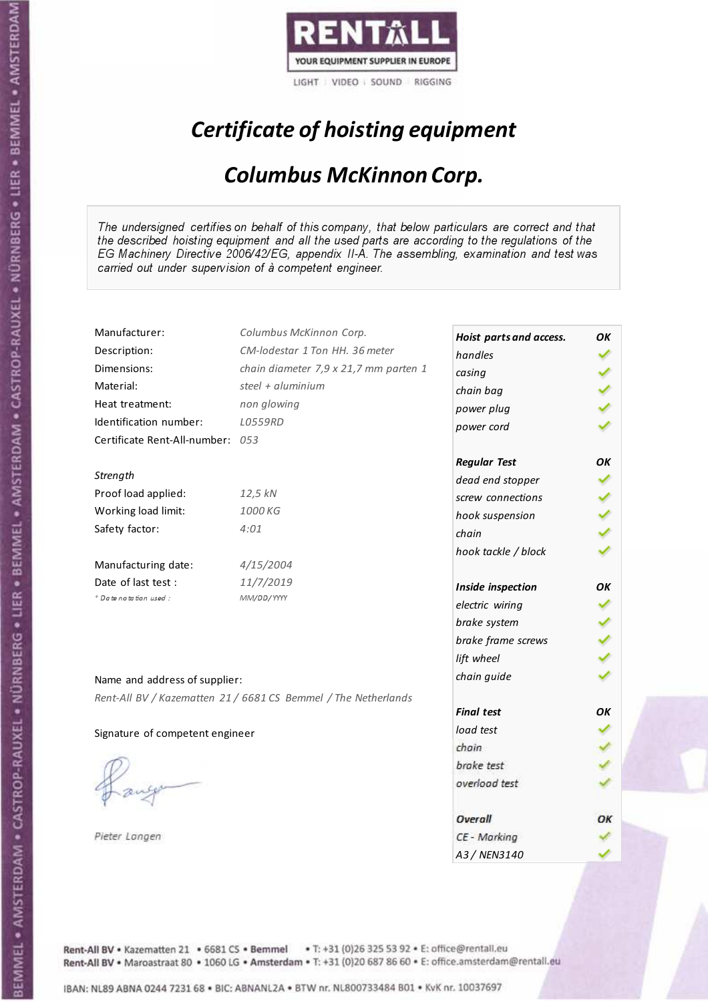

# Certificate of hoisting equipment

### Columbus McKinnon Corp.

The undersigned certifies on behalf of this company, that below particulars are correct and that the described hoisting equipment and all the used parts are according to the regulations of the EG Machinery Directive 2006/42/EG, appendix II-A. The assembling, examination and test was carried out under supervision of à competent engineer.

| Manufacturer:                    | Columbus McKinnon Corp.                                        | Hoist parts and access. | OK |
|----------------------------------|----------------------------------------------------------------|-------------------------|----|
| Description:                     | CM-lodestar 1 Ton HH, 36 meter                                 | handles                 |    |
| Dimensions:                      | chain diameter 7,9 x 21,7 mm parten 1                          | casing                  |    |
| Material:                        | steel + aluminium                                              | chain bag               |    |
| Heat treatment:                  | non glowing                                                    | power plug              |    |
| Identification number:           | L0559RD                                                        | power cord              |    |
| Certificate Rent-All-number: 053 |                                                                |                         |    |
|                                  |                                                                | <b>Regular Test</b>     | OK |
| Strength                         |                                                                | dead end stopper        |    |
| Proof load applied:              | 12,5 kN                                                        | screw connections       |    |
| Working load limit:              | 1000 KG                                                        | hook suspension         |    |
| Safety factor:                   | 4:01                                                           | chain                   |    |
|                                  |                                                                | hook tackle / block     |    |
| Manufacturing date:              | 4/15/2004                                                      |                         |    |
| Date of last test :              | 11/7/2019                                                      | Inside inspection       | OK |
| + Date notation used:            | MM/DD/YYYY                                                     | electric wiring         |    |
|                                  |                                                                | brake system            |    |
|                                  |                                                                | brake frame screws      |    |
|                                  |                                                                | lift wheel              |    |
| Name and address of supplier:    |                                                                | chain guide             |    |
|                                  | Rent-All BV / Kazematten 21 / 6681 CS Bemmel / The Netherlands |                         |    |
|                                  |                                                                | <b>Final test</b>       | OK |
| Signature of competent engineer  |                                                                | load test               |    |
|                                  |                                                                | chain                   |    |
|                                  |                                                                | brake test              |    |
|                                  |                                                                | overload test           |    |
|                                  |                                                                |                         |    |
|                                  |                                                                | Overall                 | ОΚ |
| Pieter Langen                    |                                                                | CE - Marking            |    |
|                                  |                                                                | A3 / NEN3140            |    |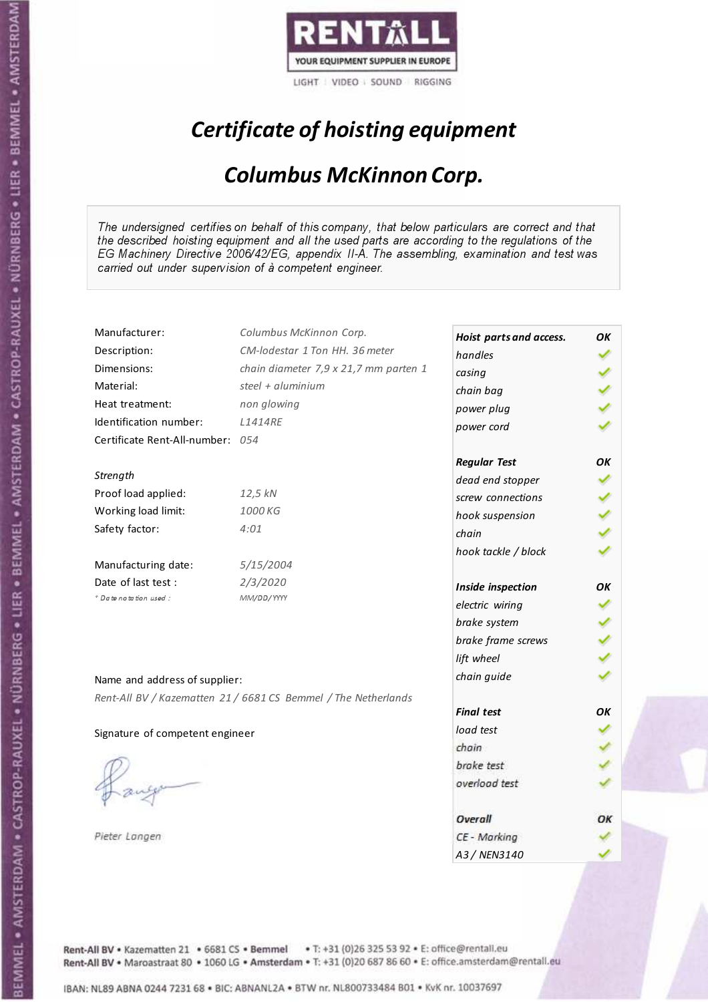

# Certificate of hoisting equipment

### Columbus McKinnon Corp.

The undersigned certifies on behalf of this company, that below particulars are correct and that the described hoisting equipment and all the used parts are according to the regulations of the EG Machinery Directive 2006/42/EG, appendix II-A. The assembling, examination and test was carried out under supervision of à competent engineer.

| Manufacturer:                    | Columbus McKinnon Corp.                                        | Hoist parts and access. | OK |
|----------------------------------|----------------------------------------------------------------|-------------------------|----|
| Description:                     | CM-lodestar 1 Ton HH, 36 meter                                 | handles                 |    |
| Dimensions:                      | chain diameter 7,9 x 21,7 mm parten 1                          | casing                  |    |
| Material:                        | steel + aluminium                                              | chain bag               |    |
| Heat treatment:                  | non glowing                                                    | power plug              |    |
| Identification number:           | <b>L1414RE</b>                                                 | power cord              |    |
| Certificate Rent-All-number: 054 |                                                                |                         |    |
|                                  |                                                                | <b>Regular Test</b>     | OK |
| Strength                         |                                                                | dead end stopper        |    |
| Proof load applied:              | 12,5 kN                                                        | screw connections       |    |
| Working load limit:              | 1000 KG                                                        | hook suspension         |    |
| Safety factor:                   | 4:01                                                           | chain                   |    |
|                                  |                                                                | hook tackle / block     |    |
| Manufacturing date:              | 5/15/2004                                                      |                         |    |
| Date of last test :              | 2/3/2020                                                       | Inside inspection       | OK |
| + Date notation used:            | MM/DD/YYYY                                                     | electric wiring         |    |
|                                  |                                                                | brake system            |    |
|                                  |                                                                | brake frame screws      |    |
|                                  |                                                                | lift wheel              |    |
| Name and address of supplier:    |                                                                | chain guide             |    |
|                                  | Rent-All BV / Kazematten 21 / 6681 CS Bemmel / The Netherlands |                         |    |
|                                  |                                                                | <b>Final test</b>       | OK |
| Signature of competent engineer  |                                                                | load test               |    |
|                                  |                                                                | chain                   |    |
|                                  |                                                                | brake test              |    |
|                                  |                                                                | overload test           |    |
|                                  |                                                                |                         |    |
|                                  |                                                                | Overall                 | ОΚ |
| Pieter Langen                    |                                                                | CE - Marking            |    |
|                                  |                                                                | A3 / NEN3140            |    |

Rent-All BV . Kazematten 21 . 6681 CS . Bemmel . T: +31 (0)26 325 53 92 . E: office@rentall.eu Rent-All BV · Maroastraat 80 · 1060 LG · Amsterdam · T: +31 (0)20 687 86 60 · E: office.amsterdam@rentall.eu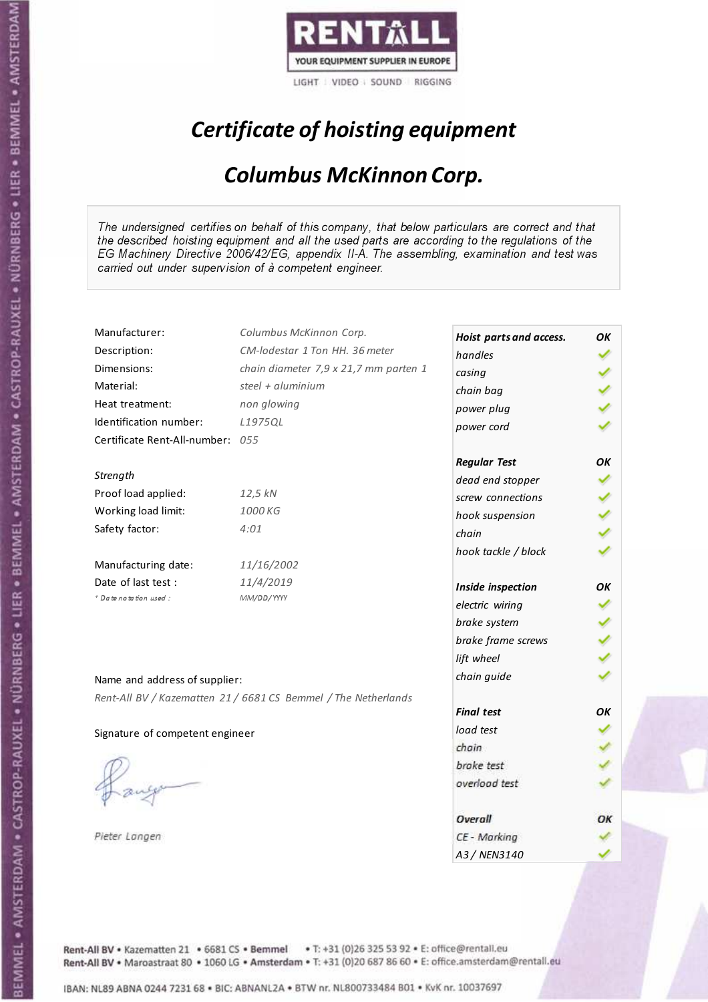

# Certificate of hoisting equipment

### Columbus McKinnon Corp.

The undersigned certifies on behalf of this company, that below particulars are correct and that the described hoisting equipment and all the used parts are according to the regulations of the EG Machinery Directive 2006/42/EG, appendix II-A. The assembling, examination and test was carried out under supervision of à competent engineer.

| Manufacturer:                    | Columbus McKinnon Corp.                                        | Hoist parts and access. | OK |
|----------------------------------|----------------------------------------------------------------|-------------------------|----|
| Description:                     | CM-lodestar 1 Ton HH. 36 meter                                 | handles                 |    |
| Dimensions:                      | chain diameter 7,9 x 21,7 mm parten 1                          | casing                  |    |
| Material:                        | steel + aluminium                                              | chain bag               |    |
| Heat treatment:                  | non glowing                                                    | power plug              |    |
| Identification number:           | L1975QL                                                        | power cord              |    |
| Certificate Rent-All-number: 055 |                                                                |                         |    |
|                                  |                                                                | <b>Regular Test</b>     | ΟK |
| Strength                         |                                                                | dead end stopper        |    |
| Proof load applied:              | 12,5 kN                                                        | screw connections       |    |
| Working load limit:              | 1000 KG                                                        | hook suspension         |    |
| Safety factor:                   | 4:01                                                           | chain                   |    |
|                                  |                                                                | hook tackle / block     |    |
| Manufacturing date:              | 11/16/2002                                                     |                         |    |
| Date of last test :              | 11/4/2019                                                      | Inside inspection       | OΚ |
| + Date notation used:            | MM/DD/YYYY                                                     | electric wiring         |    |
|                                  |                                                                | brake system            |    |
|                                  |                                                                | brake frame screws      |    |
|                                  |                                                                | lift wheel              |    |
| Name and address of supplier:    |                                                                | chain guide             |    |
|                                  |                                                                |                         |    |
|                                  | Rent-All BV / Kazematten 21 / 6681 CS Bemmel / The Netherlands | <b>Final test</b>       | OK |
| Signature of competent engineer  |                                                                | load test               |    |
|                                  |                                                                | chain                   |    |
|                                  |                                                                | brake test              |    |
|                                  |                                                                | overload test           |    |
|                                  |                                                                |                         |    |
|                                  |                                                                | Overall                 | ОΚ |
| Pieter Langen                    |                                                                | CE - Marking            |    |
|                                  |                                                                | A3/NFN3140              |    |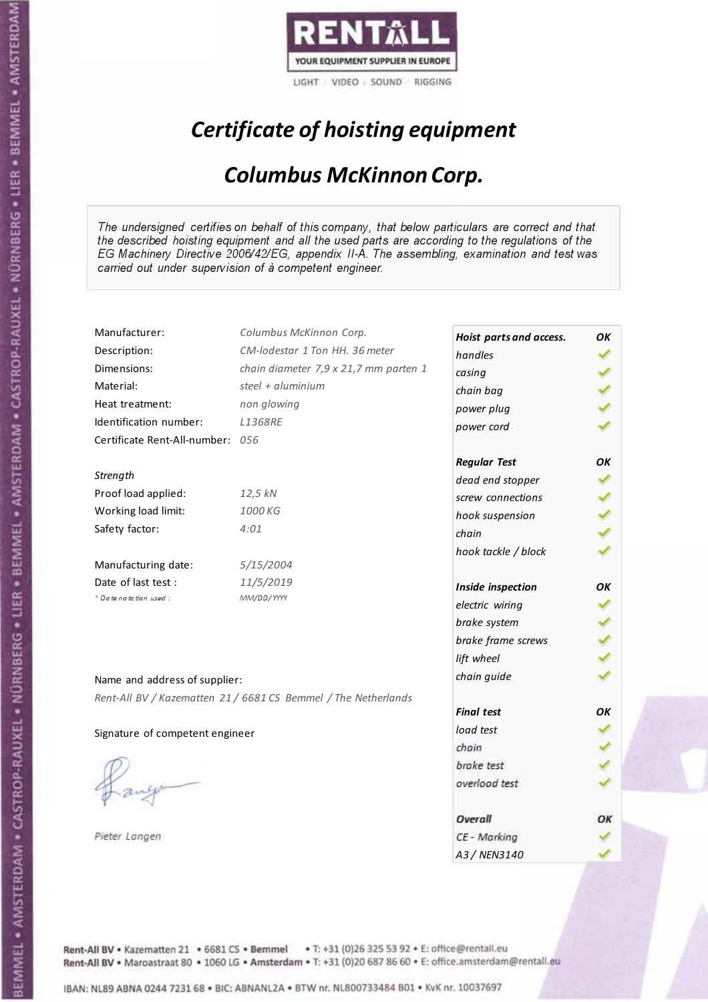

# Certificate of hoisting equipment

### Columbus McKinnon Corp.

The undersigned certifies on behalf of this company, that below particulars are correct and that the described hoisting equipment and all the used parts are according to the regulations of the EG Machinery Directive 2006/42/EG, appendix II-A. The assembling, examination and test was carried out under supervision of à competent engineer.

| Manufacturer:                    | Columbus McKinnon Corp.                                        | Hoist parts and access. | OK |
|----------------------------------|----------------------------------------------------------------|-------------------------|----|
| Description:                     | CM-lodestar 1 Ton HH, 36 meter                                 | handles                 |    |
| Dimensions:                      | chain diameter 7,9 x 21,7 mm parten 1                          | casing                  |    |
| Material:                        | steel + aluminium                                              | chain bag               |    |
| Heat treatment:                  | non glowing                                                    | power plug              |    |
| Identification number:           | L1368RE                                                        | power cord              |    |
| Certificate Rent-All-number: 056 |                                                                |                         |    |
|                                  |                                                                | <b>Regular Test</b>     | OK |
| Strength                         |                                                                | dead end stopper        |    |
| Proof load applied:              | 12,5 kN                                                        | screw connections       |    |
| Working load limit:              | 1000 KG                                                        | hook suspension         |    |
| Safety factor:                   | 4:01                                                           | chain                   |    |
|                                  |                                                                | hook tackle / block     |    |
| Manufacturing date:              | 5/15/2004                                                      |                         |    |
| Date of last test :              | 11/5/2019                                                      | Inside inspection       | OK |
| + Date notation used:            | MM/DD/YYYY                                                     | electric wiring         |    |
|                                  |                                                                | brake system            |    |
|                                  |                                                                | brake frame screws      |    |
|                                  |                                                                | lift wheel              |    |
| Name and address of supplier:    |                                                                | chain guide             |    |
|                                  | Rent-All BV / Kazematten 21 / 6681 CS Bemmel / The Netherlands |                         |    |
|                                  |                                                                | <b>Final test</b>       | OK |
| Signature of competent engineer  |                                                                | load test               |    |
|                                  |                                                                | chain                   |    |
|                                  |                                                                | brake test              |    |
|                                  |                                                                | overload test           |    |
|                                  |                                                                |                         |    |
|                                  |                                                                | Overall                 | ОΚ |
| Pieter Langen                    |                                                                | CE - Marking            |    |
|                                  |                                                                | A3 / NEN3140            |    |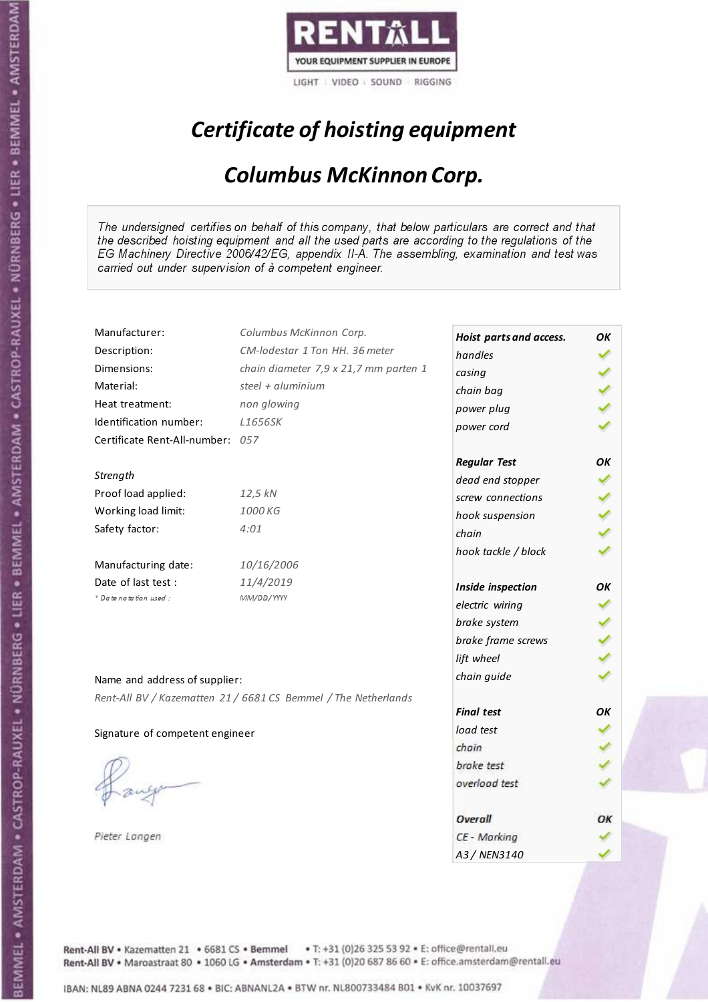

# Certificate of hoisting equipment

### Columbus McKinnon Corp.

The undersigned certifies on behalf of this company, that below particulars are correct and that the described hoisting equipment and all the used parts are according to the regulations of the EG Machinery Directive 2006/42/EG, appendix II-A. The assembling, examination and test was carried out under supervision of à competent engineer.

| Manufacturer:                                 | Columbus McKinnon Corp.                                        | Hoist parts and access. | ΟK |
|-----------------------------------------------|----------------------------------------------------------------|-------------------------|----|
| Description:                                  | CM-lodestar 1 Ton HH, 36 meter                                 | handles                 |    |
| Dimensions:                                   | chain diameter 7,9 x 21,7 mm parten 1                          | casing                  |    |
| Material:                                     | steel + aluminium                                              | chain bag               |    |
| Heat treatment:                               | non glowing                                                    |                         |    |
| Identification number:                        | L1656SK                                                        | power plug              |    |
| Certificate Rent-All-number: 057              |                                                                | power cord              |    |
|                                               |                                                                |                         | OK |
| Strength                                      |                                                                | <b>Regular Test</b>     |    |
| Proof load applied:                           | 12,5 kN                                                        | dead end stopper        |    |
| Working load limit:                           | 1000 KG                                                        | screw connections       |    |
| Safety factor:                                | 4:01                                                           | hook suspension         |    |
|                                               |                                                                | chain                   |    |
|                                               |                                                                | hook tackle / block     |    |
| Manufacturing date:                           | 10/16/2006                                                     |                         |    |
| Date of last test :<br>* Date notation used : | 11/4/2019                                                      | Inside inspection       | OK |
|                                               | MM/DD/YYYY                                                     | electric wiring         |    |
|                                               |                                                                | brake system            |    |
|                                               |                                                                | brake frame screws      |    |
|                                               |                                                                | lift wheel              |    |
| Name and address of supplier:                 |                                                                | chain guide             |    |
|                                               | Rent-All BV / Kazematten 21 / 6681 CS Bemmel / The Netherlands |                         |    |
|                                               |                                                                | <b>Final test</b>       | OK |
| Signature of competent engineer               |                                                                | load test               |    |
|                                               |                                                                | chain                   |    |
|                                               |                                                                | brake test              |    |
|                                               |                                                                | overload test           |    |
|                                               |                                                                |                         |    |
|                                               |                                                                | Overall                 | ОΚ |
| Pieter Langen                                 |                                                                | CE - Marking            |    |
|                                               |                                                                | A3 / NEN3140            |    |

Rent-All BV . Kazematten 21 . 6681 CS . Bemmel . T: +31 (0)26 325 53 92 . E: office@rentall.eu Rent-All BV · Maroastraat 80 · 1060 LG · Amsterdam · T: +31 (0)20 687 86 60 · E: office.amsterdam@rentall.eu

IBAN: NL89 ABNA 0244 7231 68 . BIC: ABNANL2A . BTW nr. NL800733484 B01 . KvK nr. 10037697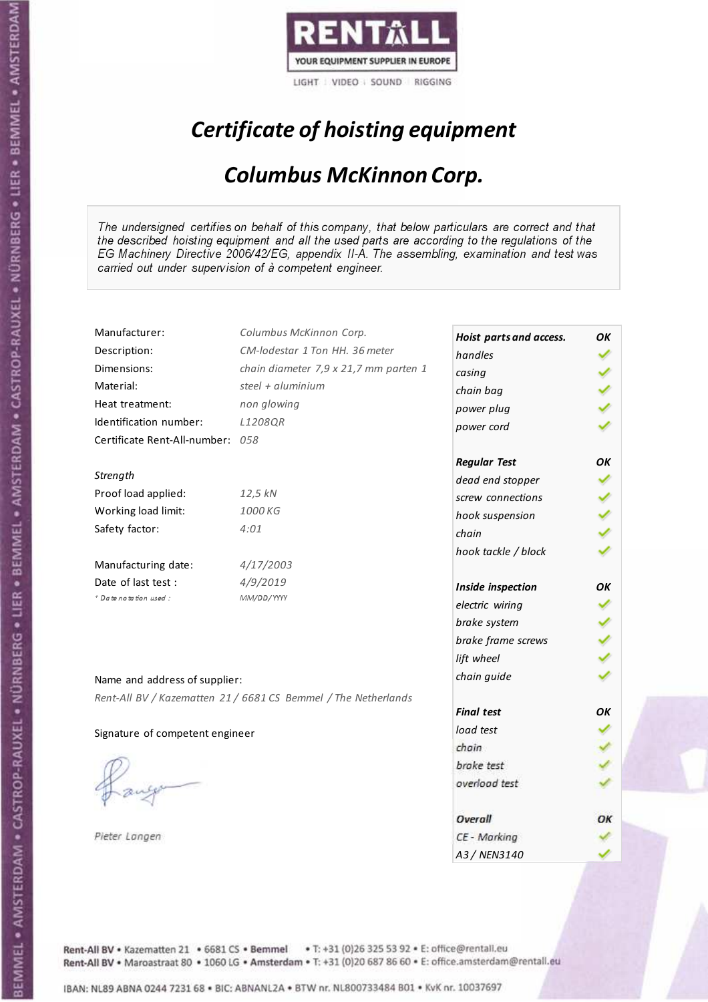

# Certificate of hoisting equipment

### Columbus McKinnon Corp.

The undersigned certifies on behalf of this company, that below particulars are correct and that the described hoisting equipment and all the used parts are according to the regulations of the EG Machinery Directive 2006/42/EG, appendix II-A. The assembling, examination and test was carried out under supervision of à competent engineer.

| Manufacturer:                    | Columbus McKinnon Corp.                                        | Hoist parts and access. | OK |
|----------------------------------|----------------------------------------------------------------|-------------------------|----|
| Description:                     | CM-lodestar 1 Ton HH, 36 meter                                 | handles                 |    |
| Dimensions:                      | chain diameter 7,9 x 21,7 mm parten 1                          | casing                  |    |
| Material:                        | steel + aluminium                                              | chain bag               |    |
| Heat treatment:                  | non glowing                                                    | power plug              |    |
| Identification number:           | L1208QR                                                        | power cord              |    |
| Certificate Rent-All-number: 058 |                                                                |                         |    |
|                                  |                                                                | <b>Regular Test</b>     | OK |
| Strength                         |                                                                | dead end stopper        |    |
| Proof load applied:              | 12,5 kN                                                        | screw connections       |    |
| Working load limit:              | 1000 KG                                                        | hook suspension         |    |
| Safety factor:                   | 4:01                                                           | chain                   |    |
|                                  |                                                                | hook tackle / block     |    |
| Manufacturing date:              | 4/17/2003                                                      |                         |    |
| Date of last test:               | 4/9/2019                                                       | Inside inspection       | OΚ |
| * Date notation used :           | MM/DD/YYYY                                                     | electric wiring         |    |
|                                  |                                                                | brake system            |    |
|                                  |                                                                | brake frame screws      |    |
|                                  |                                                                | lift wheel              |    |
| Name and address of supplier:    |                                                                | chain guide             |    |
|                                  | Rent-All BV / Kazematten 21 / 6681 CS Bemmel / The Netherlands |                         |    |
|                                  |                                                                | <b>Final test</b>       | OK |
| Signature of competent engineer  |                                                                | load test               |    |
|                                  |                                                                | chain                   |    |
|                                  |                                                                | brake test              |    |
|                                  |                                                                | overload test           |    |
|                                  |                                                                |                         |    |
|                                  |                                                                | Overall                 | ОΚ |
| Pieter Langen                    |                                                                | CE - Marking            |    |
|                                  |                                                                | A3/NFN3140              |    |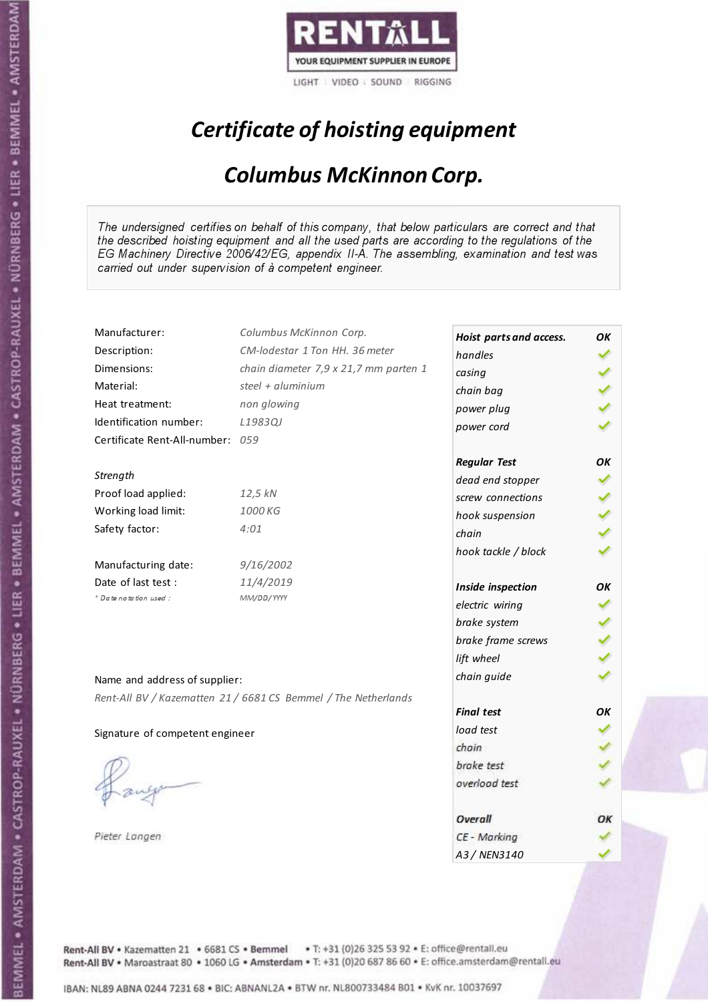

# Certificate of hoisting equipment

### Columbus McKinnon Corp.

The undersigned certifies on behalf of this company, that below particulars are correct and that the described hoisting equipment and all the used parts are according to the regulations of the EG Machinery Directive 2006/42/EG, appendix II-A. The assembling, examination and test was carried out under supervision of à competent engineer.

| Manufacturer:                    | Columbus McKinnon Corp.                                        | Hoist parts and access. | OK |
|----------------------------------|----------------------------------------------------------------|-------------------------|----|
| Description:                     | CM-lodestar 1 Ton HH, 36 meter                                 | handles                 |    |
| Dimensions:                      | chain diameter 7,9 x 21,7 mm parten 1                          | casing                  |    |
| Material:                        | steel + aluminium                                              | chain bag               |    |
| Heat treatment:                  | non glowing                                                    | power plug              |    |
| Identification number:           | L1983QJ                                                        | power cord              |    |
| Certificate Rent-All-number: 059 |                                                                |                         |    |
|                                  |                                                                | <b>Regular Test</b>     | OK |
| Strength                         |                                                                | dead end stopper        |    |
| Proof load applied:              | 12,5 kN                                                        | screw connections       |    |
| Working load limit:              | 1000 KG                                                        | hook suspension         |    |
| Safety factor:                   | 4:01                                                           | chain                   |    |
|                                  |                                                                | hook tackle / block     |    |
| Manufacturing date:              | 9/16/2002                                                      |                         |    |
| Date of last test :              | 11/4/2019                                                      | Inside inspection       | OK |
| + Date notation used:            | MM/DD/YYYY                                                     | electric wiring         |    |
|                                  |                                                                | brake system            |    |
|                                  |                                                                | brake frame screws      |    |
|                                  |                                                                | lift wheel              |    |
| Name and address of supplier:    |                                                                | chain guide             |    |
|                                  | Rent-All BV / Kazematten 21 / 6681 CS Bemmel / The Netherlands |                         |    |
|                                  |                                                                | <b>Final test</b>       | OK |
| Signature of competent engineer  |                                                                | load test               |    |
|                                  |                                                                | chain                   |    |
|                                  |                                                                | brake test              |    |
|                                  |                                                                | overload test           |    |
|                                  |                                                                |                         |    |
|                                  |                                                                | Overall                 | ОΚ |
| Pieter Langen                    |                                                                | CE - Marking            |    |
|                                  |                                                                | A3 / NEN3140            |    |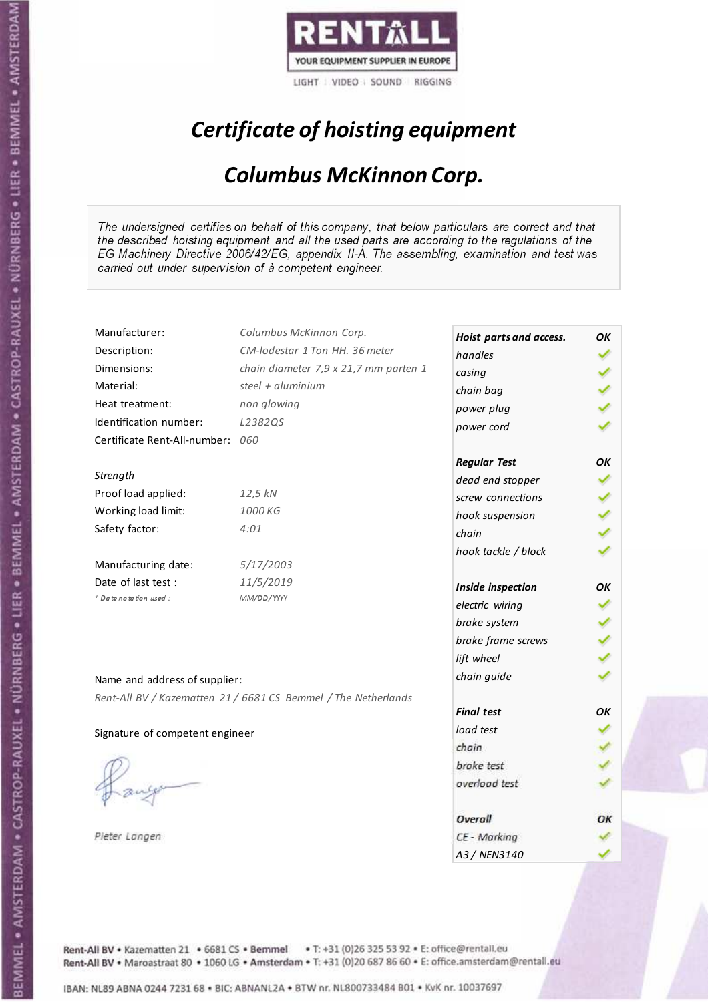

# Certificate of hoisting equipment

### Columbus McKinnon Corp.

The undersigned certifies on behalf of this company, that below particulars are correct and that the described hoisting equipment and all the used parts are according to the regulations of the EG Machinery Directive 2006/42/EG, appendix II-A. The assembling, examination and test was carried out under supervision of à competent engineer.

| Manufacturer:                    | Columbus McKinnon Corp.                                        | Hoist parts and access. | OK |
|----------------------------------|----------------------------------------------------------------|-------------------------|----|
| Description:                     | CM-lodestar 1 Ton HH. 36 meter                                 | handles                 |    |
| Dimensions:                      | chain diameter 7,9 x 21,7 mm parten 1                          | casing                  |    |
| Material:                        | steel + aluminium                                              | chain bag               |    |
| Heat treatment:                  | non glowing                                                    | power plug              |    |
| Identification number:           | L2382QS                                                        | power cord              |    |
| Certificate Rent-All-number: 060 |                                                                |                         |    |
|                                  |                                                                | <b>Regular Test</b>     | ΟK |
| Strength                         |                                                                | dead end stopper        |    |
| Proof load applied:              | 12,5 kN                                                        | screw connections       |    |
| Working load limit:              | 1000 KG                                                        | hook suspension         |    |
| Safety factor:                   | 4:01                                                           | chain                   |    |
|                                  |                                                                | hook tackle / block     |    |
| Manufacturing date:              | 5/17/2003                                                      |                         |    |
| Date of last test :              | 11/5/2019                                                      | Inside inspection       | OΚ |
| + Date notation used:            | MM/DD/YYYY                                                     | electric wiring         |    |
|                                  |                                                                | brake system            |    |
|                                  |                                                                | brake frame screws      |    |
|                                  |                                                                | lift wheel              |    |
| Name and address of supplier:    |                                                                | chain guide             |    |
|                                  | Rent-All BV / Kazematten 21 / 6681 CS Bemmel / The Netherlands |                         |    |
|                                  |                                                                | <b>Final test</b>       | OK |
| Signature of competent engineer  |                                                                | load test               |    |
|                                  |                                                                | chain                   |    |
|                                  |                                                                | brake test              |    |
|                                  |                                                                | overload test           |    |
|                                  |                                                                |                         |    |
|                                  |                                                                | Overall                 | ОΚ |
| Pieter Langen                    |                                                                | CE - Marking            |    |
|                                  |                                                                | A3/NFN3140              |    |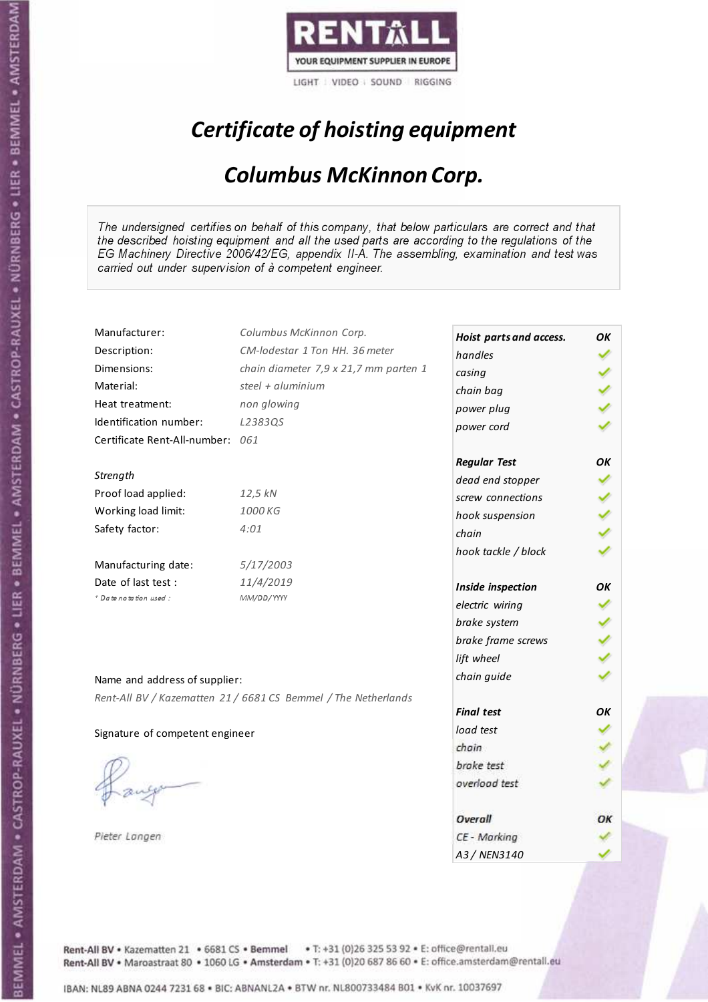

# Certificate of hoisting equipment

### Columbus McKinnon Corp.

The undersigned certifies on behalf of this company, that below particulars are correct and that the described hoisting equipment and all the used parts are according to the regulations of the EG Machinery Directive 2006/42/EG, appendix II-A. The assembling, examination and test was carried out under supervision of à competent engineer.

| Manufacturer:                    | Columbus McKinnon Corp.                                        | Hoist parts and access. | OK |
|----------------------------------|----------------------------------------------------------------|-------------------------|----|
| Description:                     | CM-lodestar 1 Ton HH, 36 meter                                 | handles                 |    |
| Dimensions:                      | chain diameter 7,9 x 21,7 mm parten 1                          | casing                  |    |
| Material:                        | steel + aluminium                                              | chain bag               |    |
| Heat treatment:                  | non glowing                                                    | power plug              |    |
| Identification number:           | L2383QS                                                        | power cord              |    |
| Certificate Rent-All-number: 061 |                                                                |                         |    |
|                                  |                                                                | <b>Regular Test</b>     | OK |
| Strength                         |                                                                | dead end stopper        |    |
| Proof load applied:              | 12,5 kN                                                        | screw connections       |    |
| Working load limit:              | 1000 KG                                                        | hook suspension         |    |
| Safety factor:                   | 4:01                                                           | chain                   |    |
|                                  |                                                                | hook tackle / block     |    |
| Manufacturing date:              | 5/17/2003                                                      |                         |    |
| Date of last test:               | 11/4/2019                                                      | Inside inspection       | OK |
| + Date notation used:            | MM/DD/YYYY                                                     | electric wiring         |    |
|                                  |                                                                | brake system            |    |
|                                  |                                                                | brake frame screws      |    |
|                                  |                                                                | lift wheel              |    |
| Name and address of supplier:    |                                                                | chain guide             |    |
|                                  | Rent-All BV / Kazematten 21 / 6681 CS Bemmel / The Netherlands |                         |    |
|                                  |                                                                | <b>Final test</b>       | OΚ |
| Signature of competent engineer  |                                                                | load test               |    |
|                                  |                                                                | chain                   |    |
|                                  |                                                                | brake test              |    |
|                                  |                                                                | overload test           |    |
|                                  |                                                                |                         |    |
|                                  |                                                                | Overall                 | ОΚ |
| Pieter Langen                    |                                                                | CE - Marking            |    |
|                                  |                                                                | A3 / NEN3140            |    |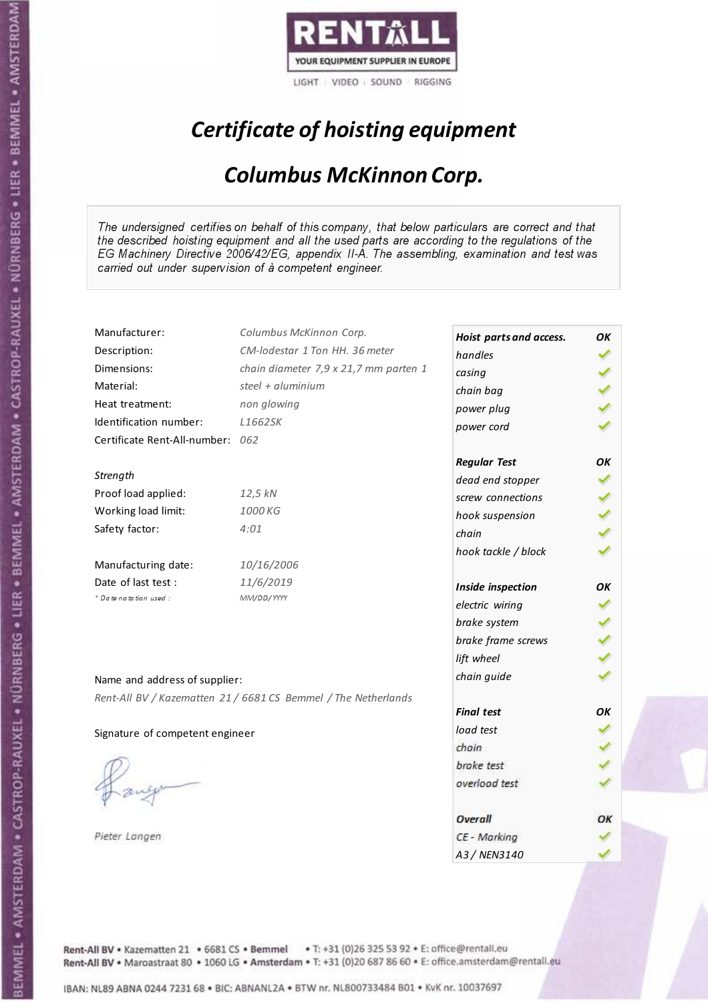

# Certificate of hoisting equipment

### Columbus McKinnon Corp.

The undersigned certifies on behalf of this company, that below particulars are correct and that the described hoisting equipment and all the used parts are according to the regulations of the EG Machinery Directive 2006/42/EG, appendix II-A. The assembling, examination and test was carried out under supervision of à competent engineer.

| Manufacturer:                    | Columbus McKinnon Corp.                                        | Hoist parts and access. | ΟK |
|----------------------------------|----------------------------------------------------------------|-------------------------|----|
| Description:                     | CM-lodestar 1 Ton HH, 36 meter                                 | handles                 |    |
| Dimensions:                      | chain diameter 7,9 x 21,7 mm parten 1                          | casing                  |    |
| Material:                        | steel + aluminium                                              | chain bag               |    |
| Heat treatment:                  | non glowing                                                    | power plug              |    |
| Identification number:           | L1662SK                                                        | power cord              |    |
| Certificate Rent-All-number: 062 |                                                                |                         |    |
|                                  |                                                                | <b>Regular Test</b>     | ΟK |
| Strength                         |                                                                | dead end stopper        |    |
| Proof load applied:              | 12,5 kN                                                        | screw connections       |    |
| Working load limit:              | 1000 KG                                                        | hook suspension         |    |
| Safety factor:                   | 4:01                                                           | chain                   |    |
|                                  |                                                                | hook tackle / block     |    |
| Manufacturing date:              | 10/16/2006                                                     |                         |    |
| Date of last test:               | 11/6/2019                                                      | Inside inspection       | OΚ |
| * Date notation used :           | MM/DD/YYYY                                                     | electric wiring         |    |
|                                  |                                                                | brake system            |    |
|                                  |                                                                | brake frame screws      |    |
|                                  |                                                                | lift wheel              |    |
| Name and address of supplier:    |                                                                | chain guide             |    |
|                                  | Rent-All BV / Kazematten 21 / 6681 CS Bemmel / The Netherlands |                         |    |
|                                  |                                                                | <b>Final test</b>       | OK |
| Signature of competent engineer  |                                                                | load test               |    |
|                                  |                                                                | chain                   |    |
|                                  |                                                                | brake test              |    |
|                                  |                                                                | overload test           |    |
|                                  |                                                                |                         |    |
|                                  |                                                                | Overall                 | ОΚ |
| Pieter Langen                    |                                                                | CE - Marking            |    |
|                                  |                                                                | A3/NFN3140              |    |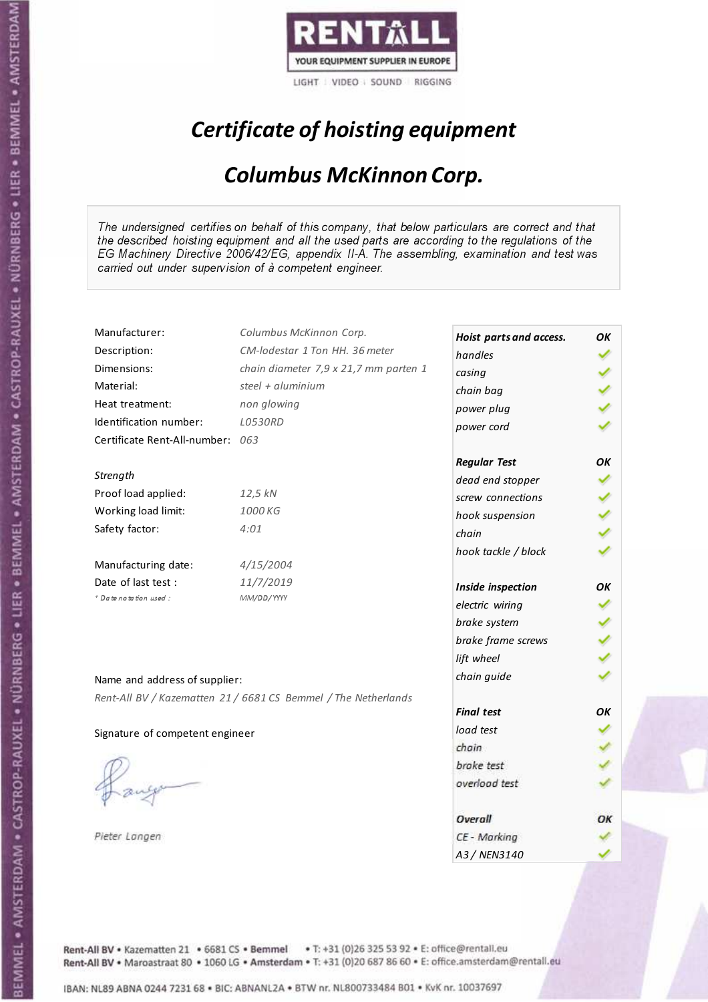

# Certificate of hoisting equipment

### Columbus McKinnon Corp.

The undersigned certifies on behalf of this company, that below particulars are correct and that the described hoisting equipment and all the used parts are according to the regulations of the EG Machinery Directive 2006/42/EG, appendix II-A. The assembling, examination and test was carried out under supervision of à competent engineer.

| Manufacturer:                    | Columbus McKinnon Corp.                                        | Hoist parts and access. | OK |
|----------------------------------|----------------------------------------------------------------|-------------------------|----|
| Description:                     | CM-lodestar 1 Ton HH, 36 meter                                 | handles                 |    |
| Dimensions:                      | chain diameter 7,9 x 21,7 mm parten 1                          | casing                  |    |
| Material:                        | steel + aluminium                                              | chain bag               |    |
| Heat treatment:                  | non glowing                                                    | power plug              |    |
| Identification number:           | <b>LO530RD</b>                                                 | power cord              |    |
| Certificate Rent-All-number: 063 |                                                                |                         |    |
|                                  |                                                                | <b>Regular Test</b>     | OK |
| Strength                         |                                                                | dead end stopper        |    |
| Proof load applied:              | 12,5 kN                                                        | screw connections       |    |
| Working load limit:              | 1000 KG                                                        | hook suspension         |    |
| Safety factor:                   | 4:01                                                           | chain                   |    |
|                                  |                                                                | hook tackle / block     |    |
| Manufacturing date:              | 4/15/2004                                                      |                         |    |
| Date of last test :              | 11/7/2019                                                      | Inside inspection       | OK |
| + Date notation used:            | MM/DD/YYYY                                                     | electric wiring         |    |
|                                  |                                                                | brake system            |    |
|                                  |                                                                | brake frame screws      |    |
|                                  |                                                                | lift wheel              |    |
| Name and address of supplier:    |                                                                | chain guide             |    |
|                                  | Rent-All BV / Kazematten 21 / 6681 CS Bemmel / The Netherlands |                         |    |
|                                  |                                                                | <b>Final test</b>       | OK |
| Signature of competent engineer  |                                                                | load test               |    |
|                                  |                                                                | chain                   |    |
|                                  |                                                                | brake test              |    |
|                                  |                                                                | overload test           |    |
|                                  |                                                                |                         |    |
|                                  |                                                                | Overall                 | ОΚ |
| Pieter Langen                    |                                                                | CE - Marking            |    |
|                                  |                                                                | A3 / NEN3140            |    |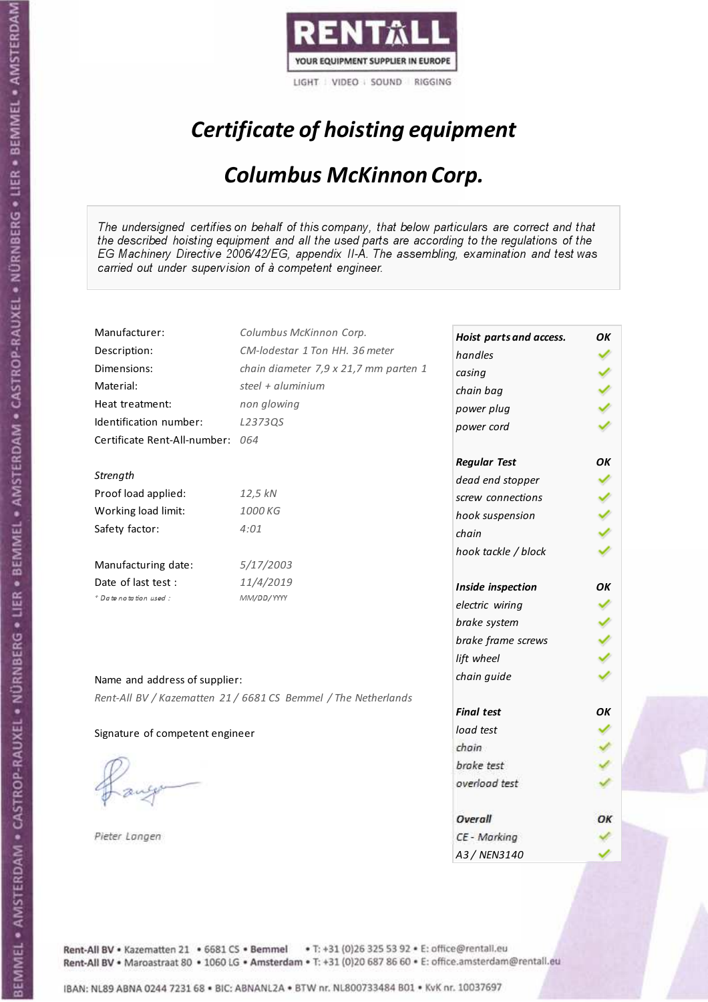

# Certificate of hoisting equipment

### Columbus McKinnon Corp.

The undersigned certifies on behalf of this company, that below particulars are correct and that the described hoisting equipment and all the used parts are according to the regulations of the EG Machinery Directive 2006/42/EG, appendix II-A. The assembling, examination and test was carried out under supervision of à competent engineer.

| Manufacturer:                    | Columbus McKinnon Corp.                                        | Hoist parts and access. | OK |
|----------------------------------|----------------------------------------------------------------|-------------------------|----|
| Description:                     | CM-lodestar 1 Ton HH. 36 meter                                 | handles                 |    |
| Dimensions:                      | chain diameter 7,9 x 21,7 mm parten 1                          | casing                  |    |
| Material:                        | steel + aluminium                                              | chain bag               |    |
| Heat treatment:                  | non glowing                                                    | power plug              |    |
| Identification number:           | L2373QS                                                        | power cord              |    |
| Certificate Rent-All-number: 064 |                                                                |                         |    |
|                                  |                                                                | <b>Regular Test</b>     | ΟK |
| Strength                         |                                                                | dead end stopper        |    |
| Proof load applied:              | 12,5 kN                                                        | screw connections       |    |
| Working load limit:              | 1000 KG                                                        | hook suspension         |    |
| Safety factor:                   | 4:01                                                           | chain                   |    |
|                                  |                                                                | hook tackle / block     |    |
| Manufacturing date:              | 5/17/2003                                                      |                         |    |
| Date of last test :              | 11/4/2019                                                      | Inside inspection       | OΚ |
| + Date notation used:            | MM/DD/YYYY                                                     | electric wiring         |    |
|                                  |                                                                | brake system            |    |
|                                  |                                                                | brake frame screws      |    |
|                                  |                                                                | lift wheel              |    |
| Name and address of supplier:    |                                                                | chain guide             |    |
|                                  | Rent-All BV / Kazematten 21 / 6681 CS Bemmel / The Netherlands |                         |    |
|                                  |                                                                | <b>Final test</b>       | OK |
| Signature of competent engineer  |                                                                | load test               |    |
|                                  |                                                                | chain                   |    |
|                                  |                                                                | brake test              |    |
|                                  |                                                                | overload test           |    |
|                                  |                                                                |                         |    |
|                                  |                                                                | Overall                 | ОΚ |
| Pieter Langen                    |                                                                | CE - Marking            |    |
|                                  |                                                                | A3/NFN3140              |    |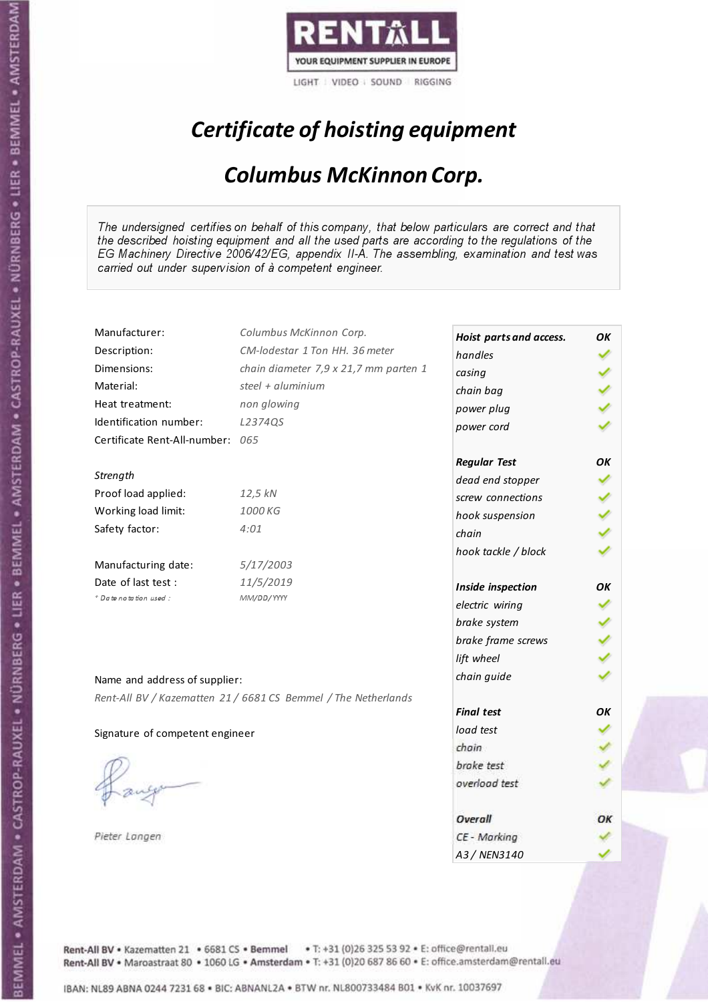

# Certificate of hoisting equipment

### Columbus McKinnon Corp.

The undersigned certifies on behalf of this company, that below particulars are correct and that the described hoisting equipment and all the used parts are according to the regulations of the EG Machinery Directive 2006/42/EG, appendix II-A. The assembling, examination and test was carried out under supervision of à competent engineer.

| Manufacturer:                    | Columbus McKinnon Corp.                                        | Hoist parts and access. | OK |
|----------------------------------|----------------------------------------------------------------|-------------------------|----|
| Description:                     | CM-lodestar 1 Ton HH. 36 meter                                 | handles                 |    |
| Dimensions:                      | chain diameter 7,9 x 21,7 mm parten 1                          | casing                  |    |
| Material:                        | steel + aluminium                                              | chain bag               |    |
| Heat treatment:                  | non glowing                                                    | power plug              |    |
| Identification number:           | L2374QS                                                        | power cord              |    |
| Certificate Rent-All-number: 065 |                                                                |                         |    |
|                                  |                                                                | <b>Regular Test</b>     | ΟK |
| Strength                         |                                                                | dead end stopper        |    |
| Proof load applied:              | 12,5 kN                                                        | screw connections       |    |
| Working load limit:              | 1000 KG                                                        | hook suspension         |    |
| Safety factor:                   | 4:01                                                           | chain                   |    |
|                                  |                                                                | hook tackle / block     |    |
| Manufacturing date:              | 5/17/2003                                                      |                         |    |
| Date of last test :              | 11/5/2019                                                      | Inside inspection       | OΚ |
| + Date notation used:            | MM/DD/YYYY                                                     | electric wiring         |    |
|                                  |                                                                | brake system            |    |
|                                  |                                                                | brake frame screws      |    |
|                                  |                                                                | lift wheel              |    |
| Name and address of supplier:    |                                                                | chain guide             |    |
|                                  | Rent-All BV / Kazematten 21 / 6681 CS Bemmel / The Netherlands |                         |    |
|                                  |                                                                | <b>Final test</b>       | OK |
| Signature of competent engineer  |                                                                | load test               |    |
|                                  |                                                                | chain                   |    |
|                                  |                                                                | brake test              |    |
|                                  |                                                                | overload test           |    |
|                                  |                                                                |                         |    |
|                                  |                                                                | Overall                 | ОΚ |
| Pieter Langen                    |                                                                | CE - Marking            |    |
|                                  |                                                                | A3/NFN3140              |    |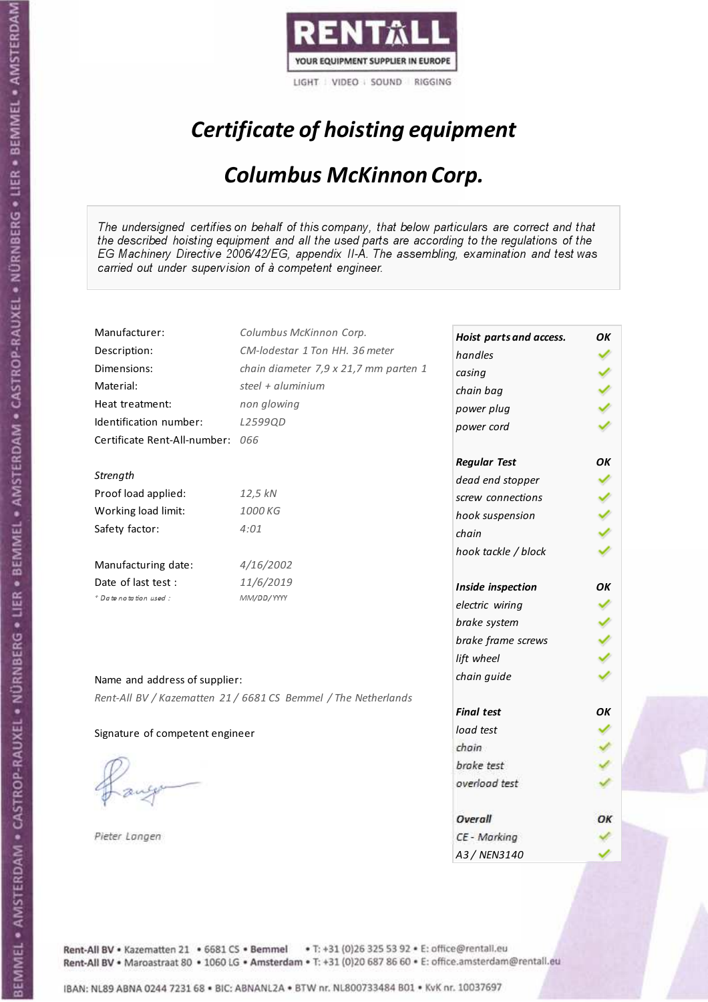

# Certificate of hoisting equipment

### Columbus McKinnon Corp.

The undersigned certifies on behalf of this company, that below particulars are correct and that the described hoisting equipment and all the used parts are according to the regulations of the EG Machinery Directive 2006/42/EG, appendix II-A. The assembling, examination and test was carried out under supervision of à competent engineer.

| Manufacturer:                    | Columbus McKinnon Corp.                                        | Hoist parts and access. | OK |
|----------------------------------|----------------------------------------------------------------|-------------------------|----|
| Description:                     | CM-lodestar 1 Ton HH, 36 meter                                 | handles                 |    |
| Dimensions:                      | chain diameter 7,9 x 21,7 mm parten 1                          | casing                  |    |
| Material:                        | steel + aluminium                                              | chain bag               |    |
| Heat treatment:                  | non glowing                                                    | power plug              |    |
| Identification number:           | L2599QD                                                        | power cord              |    |
| Certificate Rent-All-number: 066 |                                                                |                         |    |
|                                  |                                                                | <b>Regular Test</b>     | OK |
| Strength                         |                                                                | dead end stopper        |    |
| Proof load applied:              | 12,5 kN                                                        | screw connections       |    |
| Working load limit:              | 1000 KG                                                        | hook suspension         |    |
| Safety factor:                   | 4:01                                                           | chain                   |    |
|                                  |                                                                | hook tackle / block     |    |
| Manufacturing date:              | 4/16/2002                                                      |                         |    |
| Date of last test :              | 11/6/2019                                                      | Inside inspection       | OK |
| + Date notation used:            | MM/DD/YYYY                                                     | electric wiring         |    |
|                                  |                                                                | brake system            |    |
|                                  |                                                                | brake frame screws      |    |
|                                  |                                                                | lift wheel              |    |
| Name and address of supplier:    |                                                                | chain guide             |    |
|                                  | Rent-All BV / Kazematten 21 / 6681 CS Bemmel / The Netherlands |                         |    |
|                                  |                                                                | <b>Final test</b>       | OK |
| Signature of competent engineer  |                                                                | load test               |    |
|                                  |                                                                | chain                   |    |
|                                  |                                                                | brake test              |    |
|                                  |                                                                | overload test           |    |
|                                  |                                                                |                         |    |
|                                  |                                                                | Overall                 | ОΚ |
| Pieter Langen                    |                                                                | CE - Marking            |    |
|                                  |                                                                | A3 / NEN3140            |    |

Rent-All BV . Kazematten 21 . 6681 CS . Bemmel . T: +31 (0)26 325 53 92 . E: office@rentall.eu Rent-All BV · Maroastraat 80 · 1060 LG · Amsterdam · T: +31 (0)20 687 86 60 · E: office.amsterdam@rentall.eu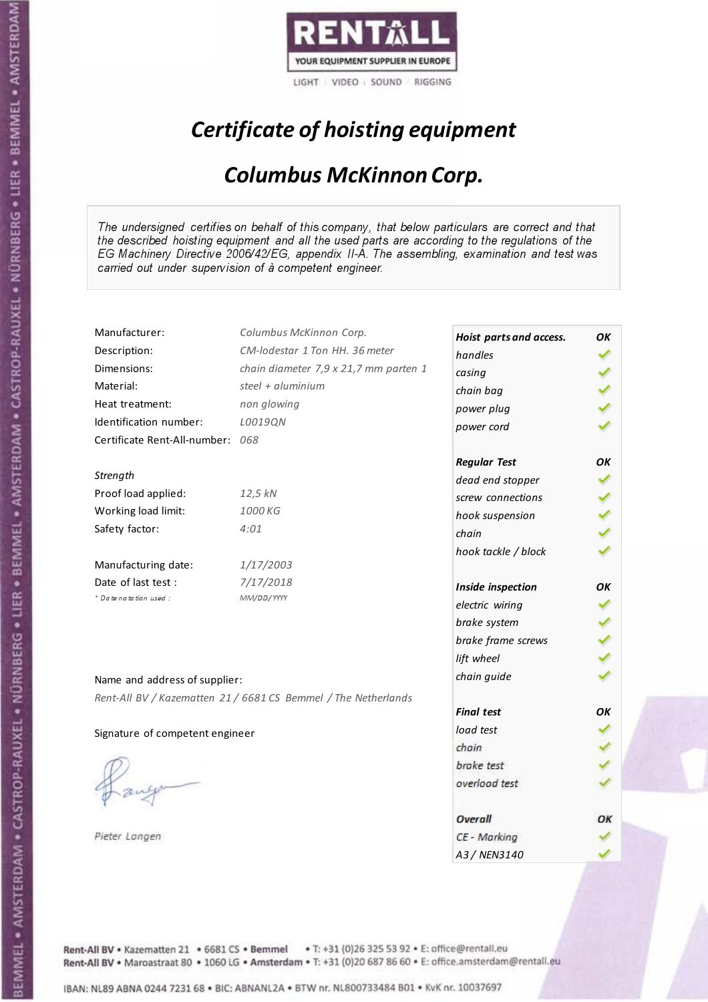

# Certificate of hoisting equipment

### Columbus McKinnon Corp.

The undersigned certifies on behalf of this company, that below particulars are correct and that the described hoisting equipment and all the used parts are according to the regulations of the EG Machinery Directive 2006/42/EG, appendix II-A. The assembling, examination and test was carried out under supervision of à competent engineer.

| Manufacturer:                    | Columbus McKinnon Corp.                                        | Hoist parts and access. | OK |
|----------------------------------|----------------------------------------------------------------|-------------------------|----|
| Description:                     | CM-lodestar 1 Ton HH, 36 meter                                 | handles                 |    |
| Dimensions:                      | chain diameter 7,9 x 21,7 mm parten 1                          | casing                  |    |
| Material:                        | steel + aluminium                                              | chain bag               |    |
| Heat treatment:                  | non glowing                                                    | power plug              |    |
| Identification number:           | L0019QN                                                        | power cord              |    |
| Certificate Rent-All-number: 068 |                                                                |                         |    |
|                                  |                                                                | <b>Regular Test</b>     | OK |
| Strength                         |                                                                | dead end stopper        |    |
| Proof load applied:              | 12,5 kN                                                        | screw connections       |    |
| Working load limit:              | 1000 KG                                                        | hook suspension         |    |
| Safety factor:                   | 4:01                                                           | chain                   |    |
|                                  |                                                                | hook tackle / block     |    |
| Manufacturing date:              | 1/17/2003                                                      |                         |    |
| Date of last test:               | 7/17/2018                                                      | Inside inspection       | OK |
| + Date notation used:            | MM/DD/YYYY                                                     | electric wiring         |    |
|                                  |                                                                | brake system            |    |
|                                  |                                                                | brake frame screws      |    |
|                                  |                                                                | lift wheel              |    |
| Name and address of supplier:    |                                                                | chain guide             |    |
|                                  | Rent-All BV / Kazematten 21 / 6681 CS Bemmel / The Netherlands |                         |    |
|                                  |                                                                | <b>Final test</b>       | OΚ |
| Signature of competent engineer  |                                                                | load test               |    |
|                                  |                                                                | chain                   |    |
|                                  |                                                                | brake test              |    |
|                                  |                                                                | overload test           |    |
|                                  |                                                                |                         |    |
|                                  |                                                                | Overall                 | ОΚ |
| Pieter Langen                    |                                                                | CE - Marking            |    |
|                                  |                                                                | A3 / NEN3140            |    |

Rent-All BV . Kazematten 21 . 6681 CS . Bemmel . T: +31 (0)26 325 53 92 . E: office@rentall.eu Rent-All BV · Maroastraat 80 · 1060 LG · Amsterdam · T: +31 (0)20 687 86 60 · E: office.amsterdam@rentall.eu

IBAN: NL89 ABNA 0244 7231 68 . BIC: ABNANL2A . BTW nr. NL800733484 B01 . KvK nr. 10037697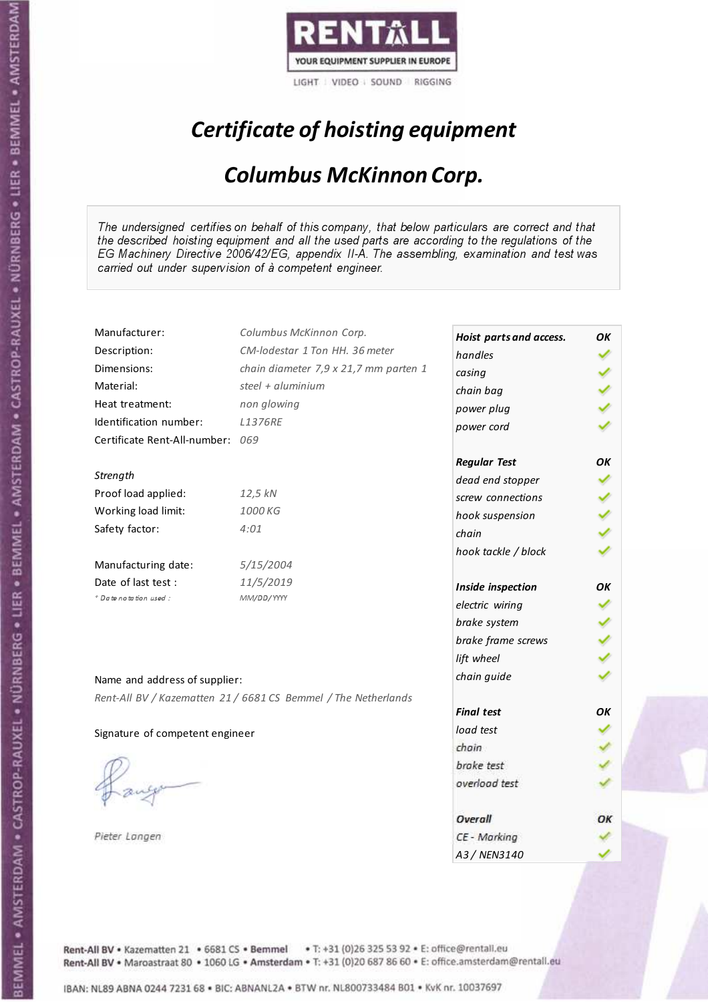

# Certificate of hoisting equipment

### Columbus McKinnon Corp.

The undersigned certifies on behalf of this company, that below particulars are correct and that the described hoisting equipment and all the used parts are according to the regulations of the EG Machinery Directive 2006/42/EG, appendix II-A. The assembling, examination and test was carried out under supervision of à competent engineer.

| Manufacturer:                    | Columbus McKinnon Corp.                                        | Hoist parts and access. | OK |
|----------------------------------|----------------------------------------------------------------|-------------------------|----|
| Description:                     | CM-lodestar 1 Ton HH, 36 meter                                 | handles                 |    |
| Dimensions:                      | chain diameter 7,9 x 21,7 mm parten 1                          | casing                  |    |
| Material:                        | steel + aluminium                                              | chain bag               |    |
| Heat treatment:                  | non glowing                                                    | power plug              |    |
| Identification number:           | <b>L1376RE</b>                                                 | power cord              |    |
| Certificate Rent-All-number: 069 |                                                                |                         |    |
|                                  |                                                                | <b>Regular Test</b>     | OK |
| Strength                         |                                                                | dead end stopper        |    |
| Proof load applied:              | 12,5 kN                                                        | screw connections       |    |
| Working load limit:              | 1000 KG                                                        | hook suspension         |    |
| Safety factor:                   | 4:01                                                           | chain                   |    |
|                                  |                                                                | hook tackle / block     |    |
| Manufacturing date:              | 5/15/2004                                                      |                         |    |
| Date of last test:               | 11/5/2019                                                      | Inside inspection       | OΚ |
| * Date notation used :           | MM/DD/YYYY                                                     | electric wiring         |    |
|                                  |                                                                | brake system            |    |
|                                  |                                                                | brake frame screws      |    |
|                                  |                                                                | lift wheel              |    |
| Name and address of supplier:    |                                                                | chain guide             |    |
|                                  | Rent-All BV / Kazematten 21 / 6681 CS Bemmel / The Netherlands |                         |    |
|                                  |                                                                | <b>Final test</b>       | OK |
| Signature of competent engineer  |                                                                | load test               |    |
|                                  |                                                                | chain                   |    |
|                                  |                                                                | brake test              |    |
|                                  |                                                                | overload test           |    |
|                                  |                                                                |                         |    |
|                                  |                                                                | Overall                 | ОΚ |
| Pieter Langen                    |                                                                | CE - Marking            |    |
|                                  |                                                                | A3/NFN3140              |    |

Rent-All BV . Kazematten 21 . 6681 CS . Bemmel . T: +31 (0)26 325 53 92 . E: office@rentall.eu Rent-All BV · Maroastraat 80 · 1060 LG · Amsterdam · T: +31 (0)20 687 86 60 · E: office.amsterdam@rentall.eu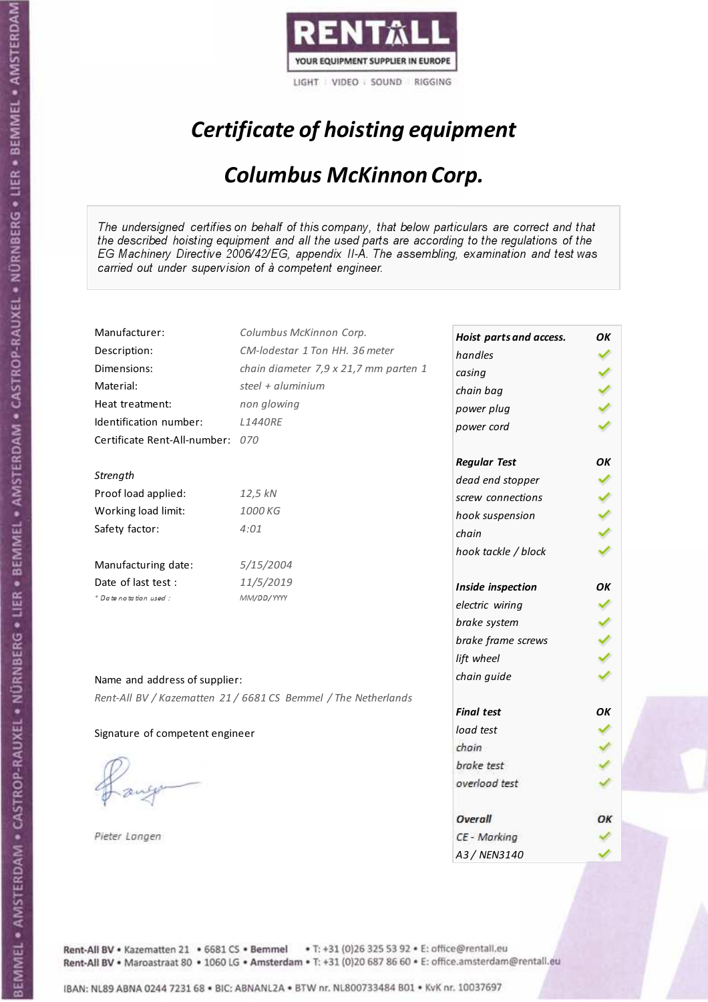

# Certificate of hoisting equipment

### Columbus McKinnon Corp.

The undersigned certifies on behalf of this company, that below particulars are correct and that the described hoisting equipment and all the used parts are according to the regulations of the EG Machinery Directive 2006/42/EG, appendix II-A. The assembling, examination and test was carried out under supervision of à competent engineer.

| Manufacturer:                    | Columbus McKinnon Corp.                                        | Hoist parts and access. | OK  |
|----------------------------------|----------------------------------------------------------------|-------------------------|-----|
| Description:                     | CM-lodestar 1 Ton HH, 36 meter                                 | handles                 |     |
| Dimensions:                      | chain diameter 7,9 x 21,7 mm parten 1                          | casing                  |     |
| Material:                        | steel + aluminium                                              | chain bag               |     |
| Heat treatment:                  | non glowing                                                    | power plug              |     |
| Identification number:           | <b>L1440RE</b>                                                 | power cord              |     |
| Certificate Rent-All-number: 070 |                                                                |                         |     |
|                                  |                                                                | <b>Regular Test</b>     | OK  |
| Strength                         |                                                                | dead end stopper        |     |
| Proof load applied:              | 12,5 kN                                                        | screw connections       |     |
| Working load limit:              | 1000 KG                                                        | hook suspension         | くりょ |
| Safety factor:                   | 4:01                                                           | chain                   |     |
|                                  |                                                                | hook tackle / block     |     |
| Manufacturing date:              | 5/15/2004                                                      |                         |     |
| Date of last test :              | 11/5/2019                                                      | Inside inspection       | OK  |
| + Date notation used:            | MM/DD/YYYY                                                     | electric wiring         |     |
|                                  |                                                                | brake system            |     |
|                                  |                                                                | brake frame screws      |     |
|                                  |                                                                | lift wheel              |     |
| Name and address of supplier:    |                                                                | chain guide             |     |
|                                  | Rent-All BV / Kazematten 21 / 6681 CS Bemmel / The Netherlands |                         |     |
|                                  |                                                                | <b>Final test</b>       | OК  |
| Signature of competent engineer  |                                                                | load test               |     |
|                                  |                                                                | chain                   |     |
|                                  |                                                                | brake test              |     |
|                                  |                                                                | overload test           |     |
|                                  |                                                                |                         |     |
|                                  |                                                                | Overall                 | ОΚ  |
| Pieter Langen                    |                                                                | CE - Marking            |     |
|                                  |                                                                | A3 / NEN3140            |     |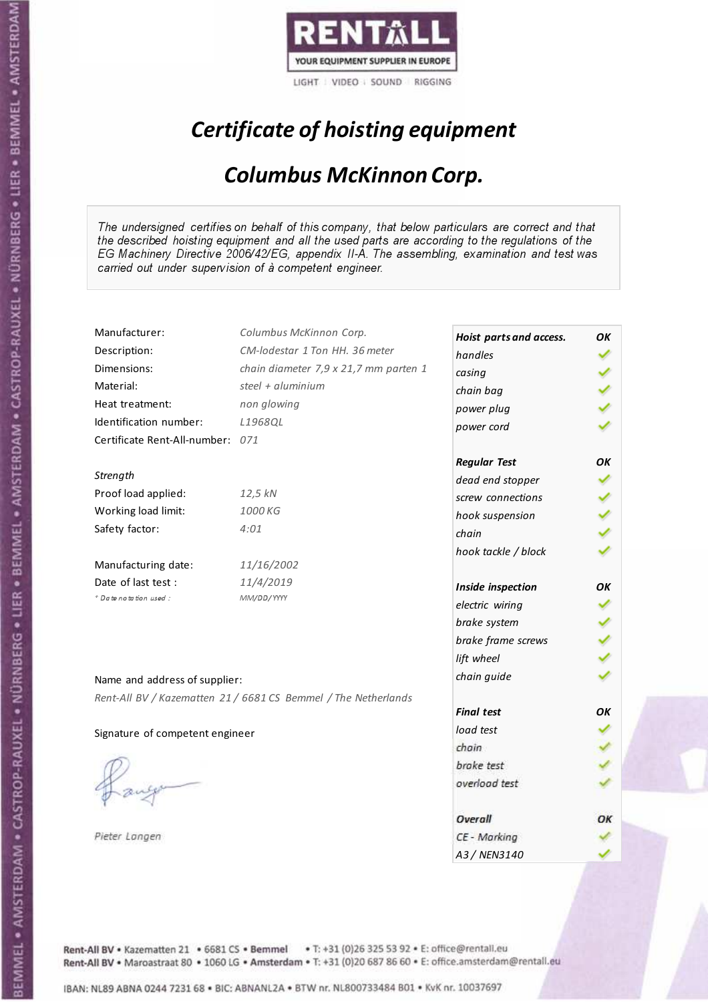

# Certificate of hoisting equipment

### Columbus McKinnon Corp.

The undersigned certifies on behalf of this company, that below particulars are correct and that the described hoisting equipment and all the used parts are according to the regulations of the EG Machinery Directive 2006/42/EG, appendix II-A. The assembling, examination and test was carried out under supervision of à competent engineer.

| Manufacturer:                    | Columbus McKinnon Corp.                                        | Hoist parts and access. | OK |
|----------------------------------|----------------------------------------------------------------|-------------------------|----|
| Description:                     | CM-lodestar 1 Ton HH, 36 meter                                 | handles                 |    |
| Dimensions:                      | chain diameter 7,9 x 21,7 mm parten 1                          | casing                  |    |
| Material:                        | steel + aluminium                                              | chain bag               |    |
| Heat treatment:                  | non glowing                                                    | power plug              |    |
| Identification number:           | L1968OL                                                        | power cord              |    |
| Certificate Rent-All-number: 071 |                                                                |                         |    |
|                                  |                                                                | <b>Regular Test</b>     | OK |
| Strength                         |                                                                | dead end stopper        |    |
| Proof load applied:              | 12,5 kN                                                        | screw connections       |    |
| Working load limit:              | 1000 KG                                                        | hook suspension         |    |
| Safety factor:                   | 4:01                                                           | chain                   |    |
|                                  |                                                                | hook tackle / block     |    |
| Manufacturing date:              | 11/16/2002                                                     |                         |    |
| Date of last test :              | 11/4/2019                                                      | Inside inspection       | OK |
| + Date notation used:            | MM/DD/YYYY                                                     | electric wiring         |    |
|                                  |                                                                | brake system            |    |
|                                  |                                                                | brake frame screws      |    |
|                                  |                                                                | lift wheel              |    |
| Name and address of supplier:    |                                                                | chain guide             |    |
|                                  | Rent-All BV / Kazematten 21 / 6681 CS Bemmel / The Netherlands |                         |    |
|                                  |                                                                | <b>Final test</b>       | OK |
| Signature of competent engineer  |                                                                | load test               |    |
|                                  |                                                                | chain                   |    |
|                                  |                                                                | brake test              |    |
|                                  |                                                                | overload test           |    |
|                                  |                                                                |                         |    |
|                                  |                                                                | Overall                 | ОΚ |
| Pieter Langen                    |                                                                | CE - Marking            |    |
|                                  |                                                                | A3 / NEN3140            |    |

Rent-All BV . Kazematten 21 . 6681 CS . Bemmel . T: +31 (0)26 325 53 92 . E: office@rentall.eu Rent-All BV · Maroastraat 80 · 1060 LG · Amsterdam · T: +31 (0)20 687 86 60 · E: office.amsterdam@rentall.eu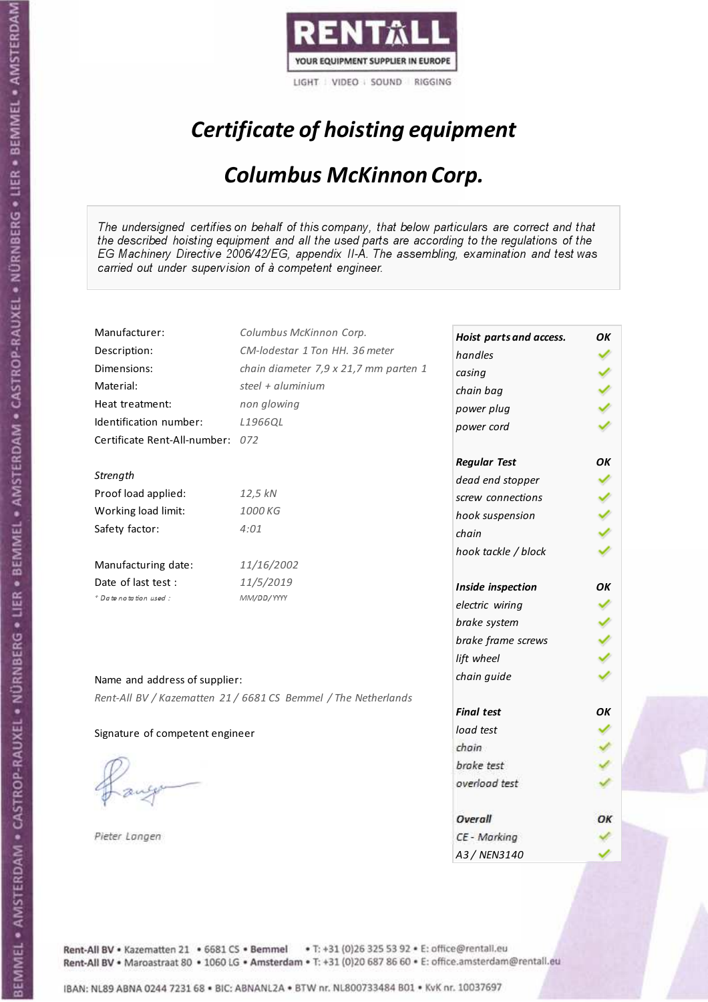

# Certificate of hoisting equipment

### Columbus McKinnon Corp.

The undersigned certifies on behalf of this company, that below particulars are correct and that the described hoisting equipment and all the used parts are according to the regulations of the EG Machinery Directive 2006/42/EG, appendix II-A. The assembling, examination and test was carried out under supervision of à competent engineer.

| Manufacturer:                    | Columbus McKinnon Corp.                                        | Hoist parts and access. | OK |
|----------------------------------|----------------------------------------------------------------|-------------------------|----|
| Description:                     | CM-lodestar 1 Ton HH, 36 meter                                 | handles                 |    |
| Dimensions:                      | chain diameter 7,9 x 21,7 mm parten 1                          | casing                  |    |
| Material:                        | steel + aluminium                                              | chain bag               |    |
| Heat treatment:                  | non glowing                                                    | power plug              |    |
| Identification number:           | L1966QL                                                        | power cord              |    |
| Certificate Rent-All-number: 072 |                                                                |                         |    |
|                                  |                                                                | <b>Regular Test</b>     | OK |
| Strength                         |                                                                | dead end stopper        |    |
| Proof load applied:              | 12,5 kN                                                        | screw connections       |    |
| Working load limit:              | 1000 KG                                                        | hook suspension         |    |
| Safety factor:                   | 4:01                                                           | chain                   |    |
|                                  |                                                                | hook tackle / block     |    |
| Manufacturing date:              | 11/16/2002                                                     |                         |    |
| Date of last test:               | 11/5/2019                                                      | Inside inspection       | OΚ |
| * Date notation used :           | MM/DD/YYYY                                                     | electric wiring         |    |
|                                  |                                                                | brake system            |    |
|                                  |                                                                | brake frame screws      |    |
|                                  |                                                                | lift wheel              |    |
| Name and address of supplier:    |                                                                | chain guide             |    |
|                                  | Rent-All BV / Kazematten 21 / 6681 CS Bemmel / The Netherlands |                         |    |
|                                  |                                                                | <b>Final test</b>       | OK |
| Signature of competent engineer  |                                                                | load test               |    |
|                                  |                                                                | chain                   |    |
|                                  |                                                                | brake test              |    |
|                                  |                                                                | overload test           |    |
|                                  |                                                                |                         |    |
|                                  |                                                                | Overall                 | ОΚ |
| Pieter Langen                    |                                                                | CE - Marking            |    |
|                                  |                                                                | A3/NFN3140              |    |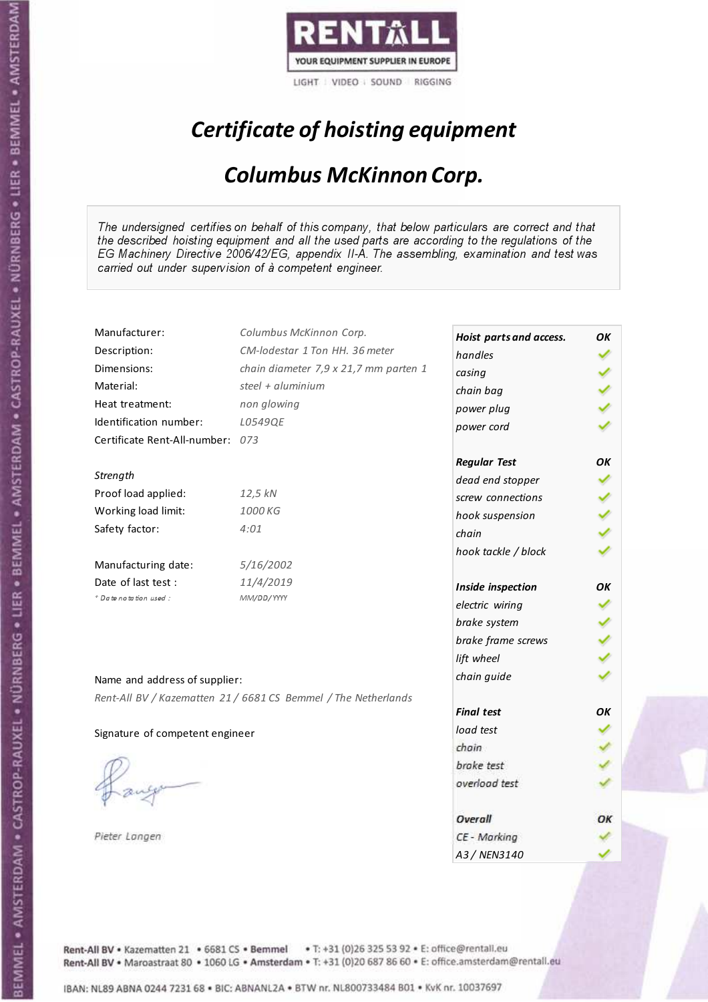

# Certificate of hoisting equipment

### Columbus McKinnon Corp.

The undersigned certifies on behalf of this company, that below particulars are correct and that the described hoisting equipment and all the used parts are according to the regulations of the EG Machinery Directive 2006/42/EG, appendix II-A. The assembling, examination and test was carried out under supervision of à competent engineer.

| Manufacturer:                    | Columbus McKinnon Corp.                                        | Hoist parts and access. | ΟK |
|----------------------------------|----------------------------------------------------------------|-------------------------|----|
| Description:                     | CM-lodestar 1 Ton HH. 36 meter                                 | handles                 |    |
| Dimensions:                      | chain diameter 7,9 x 21,7 mm parten 1                          | casing                  |    |
| Material:                        | steel + $aluminim$                                             | chain bag               |    |
| Heat treatment:                  | non glowing                                                    | power plug              |    |
| Identification number:           | L0549QE                                                        | power cord              |    |
| Certificate Rent-All-number: 073 |                                                                |                         |    |
|                                  |                                                                | <b>Regular Test</b>     | ΟK |
| Strength                         |                                                                | dead end stopper        |    |
| Proof load applied:              | 12,5 kN                                                        | screw connections       |    |
| Working load limit:              | 1000 KG                                                        | hook suspension         |    |
| Safety factor:                   | 4:01                                                           | chain                   |    |
|                                  |                                                                | hook tackle / block     |    |
| Manufacturing date:              | 5/16/2002                                                      |                         |    |
| Date of last test :              | 11/4/2019                                                      | Inside inspection       | ОΚ |
| + Date notation used:            | MM/DD/YYYY                                                     | electric wiring         |    |
|                                  |                                                                | brake system            |    |
|                                  |                                                                | brake frame screws      |    |
|                                  |                                                                | lift wheel              |    |
| Name and address of supplier:    |                                                                | chain guide             |    |
|                                  | Rent-All BV / Kazematten 21 / 6681 CS Bemmel / The Netherlands |                         |    |
|                                  |                                                                | <b>Final test</b>       | OК |
| Signature of competent engineer  |                                                                | load test               |    |
|                                  |                                                                | chain                   |    |
|                                  |                                                                | brake test              |    |
|                                  |                                                                | overload test           |    |
|                                  |                                                                |                         |    |
|                                  |                                                                | Overall                 | ОК |
| Pieter Langen                    |                                                                | CE - Marking            |    |
|                                  |                                                                | A3 / NEN3140            |    |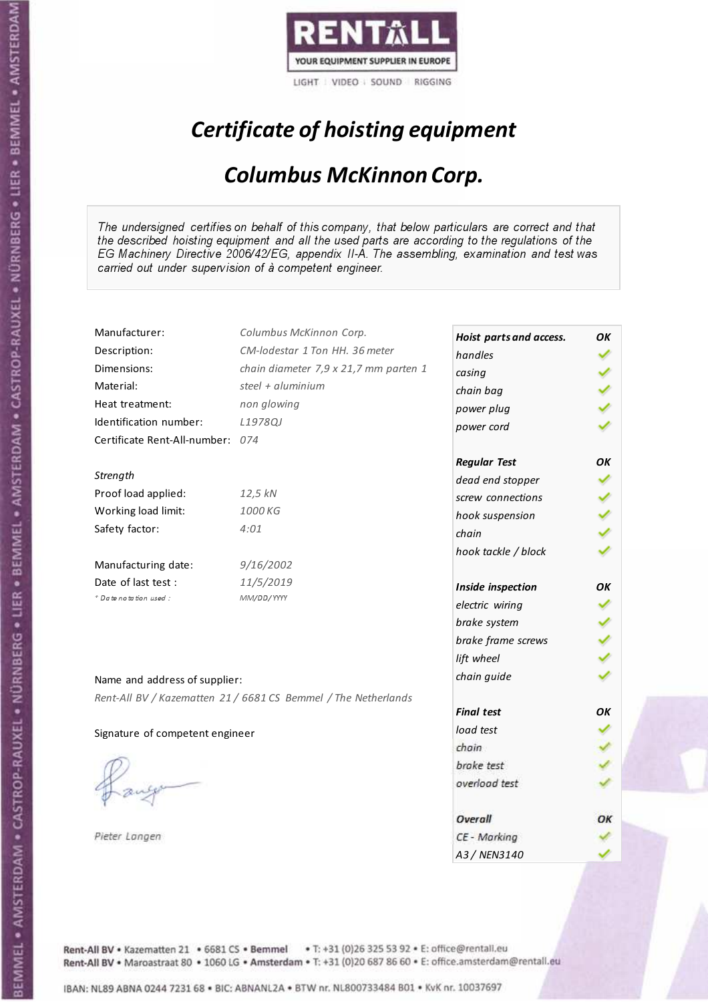

# Certificate of hoisting equipment

### Columbus McKinnon Corp.

The undersigned certifies on behalf of this company, that below particulars are correct and that the described hoisting equipment and all the used parts are according to the regulations of the EG Machinery Directive 2006/42/EG, appendix II-A. The assembling, examination and test was carried out under supervision of à competent engineer.

| Manufacturer:                    | Columbus McKinnon Corp.                                        | Hoist parts and access. | OK  |
|----------------------------------|----------------------------------------------------------------|-------------------------|-----|
| Description:                     | CM-lodestar 1 Ton HH, 36 meter                                 | handles                 |     |
| Dimensions:                      | chain diameter 7,9 x 21,7 mm parten 1                          | casing                  |     |
| Material:                        | steel + aluminium                                              | chain bag               |     |
| Heat treatment:                  | non glowing                                                    | power plug              |     |
| Identification number:           | L1978QJ                                                        | power cord              |     |
| Certificate Rent-All-number: 074 |                                                                |                         |     |
|                                  |                                                                | <b>Regular Test</b>     | OK  |
| Strength                         |                                                                | dead end stopper        |     |
| Proof load applied:              | 12,5 kN                                                        | screw connections       |     |
| Working load limit:              | 1000 KG                                                        | hook suspension         | くりょ |
| Safety factor:                   | 4:01                                                           | chain                   |     |
|                                  |                                                                | hook tackle / block     |     |
| Manufacturing date:              | 9/16/2002                                                      |                         |     |
| Date of last test :              | 11/5/2019                                                      | Inside inspection       | OK  |
| + Date notation used:            | MM/DD/YYYY                                                     | electric wiring         |     |
|                                  |                                                                | brake system            |     |
|                                  |                                                                | brake frame screws      |     |
|                                  |                                                                | lift wheel              |     |
| Name and address of supplier:    |                                                                | chain guide             |     |
|                                  | Rent-All BV / Kazematten 21 / 6681 CS Bemmel / The Netherlands |                         |     |
|                                  |                                                                | <b>Final test</b>       | OК  |
| Signature of competent engineer  |                                                                | load test               |     |
|                                  |                                                                | chain                   |     |
|                                  |                                                                | brake test              |     |
|                                  |                                                                | overload test           |     |
|                                  |                                                                |                         |     |
|                                  |                                                                | Overall                 | ОΚ  |
| Pieter Langen                    |                                                                | CE - Marking            |     |
|                                  |                                                                | A3 / NEN3140            |     |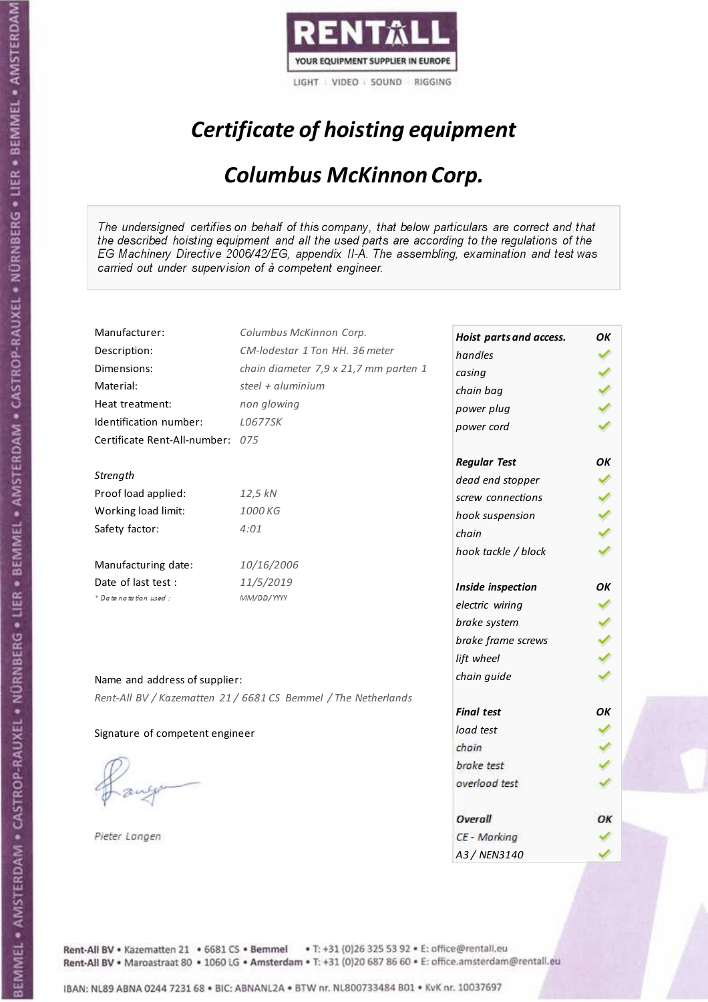

# Certificate of hoisting equipment

### Columbus McKinnon Corp.

The undersigned certifies on behalf of this company, that below particulars are correct and that the described hoisting equipment and all the used parts are according to the regulations of the EG Machinery Directive 2006/42/EG, appendix II-A. The assembling, examination and test was carried out under supervision of à competent engineer.

| Manufacturer:                    | Columbus McKinnon Corp.                                        | Hoist parts and access. | ΟK |
|----------------------------------|----------------------------------------------------------------|-------------------------|----|
| Description:                     | CM-lodestar 1 Ton HH, 36 meter                                 | handles                 |    |
| Dimensions:                      | chain diameter 7,9 x 21,7 mm parten 1                          | casing                  |    |
| Material:                        | steel + aluminium                                              | chain bag               |    |
| Heat treatment:                  | non glowing                                                    | power plug              |    |
| Identification number:           | L0677SK                                                        | power cord              |    |
| Certificate Rent-All-number: 075 |                                                                |                         |    |
|                                  |                                                                | <b>Regular Test</b>     | OK |
| Strength                         |                                                                | dead end stopper        |    |
| Proof load applied:              | 12,5 kN                                                        | screw connections       |    |
| Working load limit:              | 1000 KG                                                        | hook suspension         |    |
| Safety factor:                   | 4:01                                                           | chain                   |    |
|                                  |                                                                | hook tackle / block     |    |
| Manufacturing date:              | 10/16/2006                                                     |                         |    |
| Date of last test:               | 11/5/2019                                                      | Inside inspection       | ΟK |
| * Date notation used :           | MM/DD/YYYY                                                     | electric wiring         |    |
|                                  |                                                                | brake system            |    |
|                                  |                                                                | brake frame screws      |    |
|                                  |                                                                | lift wheel              |    |
| Name and address of supplier:    |                                                                | chain guide             |    |
|                                  | Rent-All BV / Kazematten 21 / 6681 CS Bemmel / The Netherlands |                         |    |
|                                  |                                                                | <b>Final test</b>       | OK |
| Signature of competent engineer  |                                                                | load test               |    |
|                                  |                                                                | chain                   |    |
|                                  |                                                                | brake test              |    |
|                                  |                                                                | overload test           |    |
|                                  |                                                                |                         |    |
|                                  |                                                                | Overall                 | ОΚ |
| Pieter Langen                    |                                                                | CE - Marking            |    |
|                                  |                                                                | A3/NFN3140              |    |

Rent-All BV . Kazematten 21 . 6681 CS . Bemmel . T: +31 (0)26 325 53 92 . E: office@rentall.eu Rent-All BV · Maroastraat 80 · 1060 LG · Amsterdam · T: +31 (0)20 687 86 60 · E: office.amsterdam@rentall.eu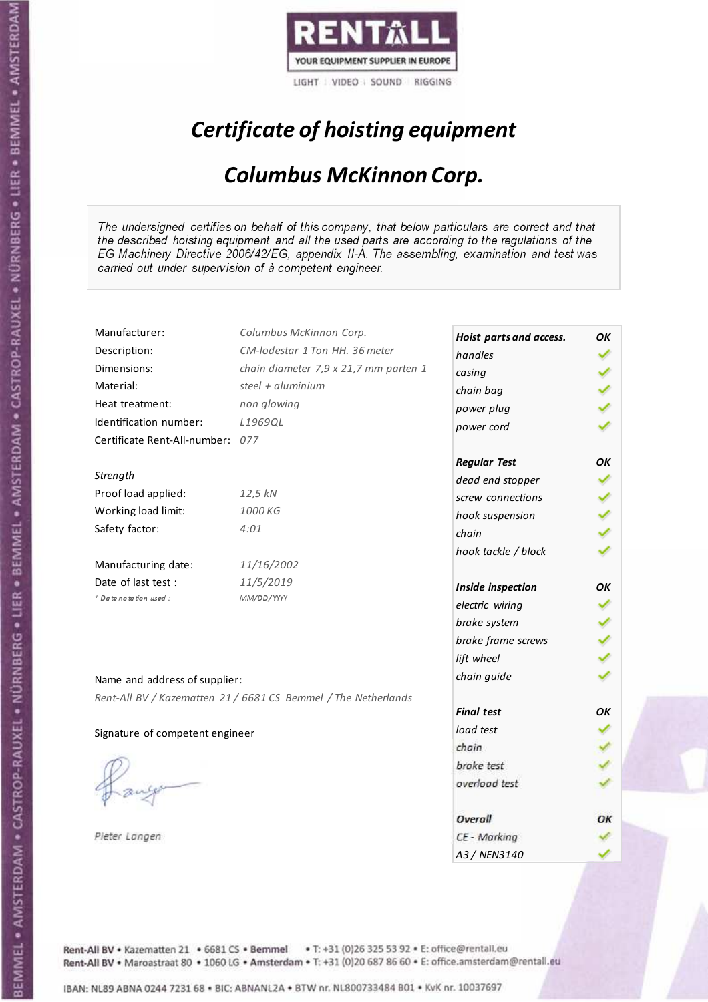

# Certificate of hoisting equipment

### Columbus McKinnon Corp.

The undersigned certifies on behalf of this company, that below particulars are correct and that the described hoisting equipment and all the used parts are according to the regulations of the EG Machinery Directive 2006/42/EG, appendix II-A. The assembling, examination and test was carried out under supervision of à competent engineer.

| Manufacturer:                    | Columbus McKinnon Corp.                                        | Hoist parts and access. | OK |
|----------------------------------|----------------------------------------------------------------|-------------------------|----|
| Description:                     | CM-lodestar 1 Ton HH, 36 meter                                 | handles                 |    |
| Dimensions:                      | chain diameter 7,9 x 21,7 mm parten 1                          | casing                  |    |
| Material:                        | steel + aluminium                                              | chain bag               |    |
| Heat treatment:                  | non glowing                                                    | power plug              |    |
| Identification number:           | L1969QL                                                        | power cord              |    |
| Certificate Rent-All-number: 077 |                                                                |                         |    |
|                                  |                                                                | <b>Regular Test</b>     | OK |
| Strength                         |                                                                | dead end stopper        |    |
| Proof load applied:              | 12,5 kN                                                        | screw connections       |    |
| Working load limit:              | 1000 KG                                                        | hook suspension         |    |
| Safety factor:                   | 4:01                                                           | chain                   |    |
|                                  |                                                                | hook tackle / block     |    |
| Manufacturing date:              | 11/16/2002                                                     |                         |    |
| Date of last test:               | 11/5/2019                                                      | Inside inspection       | OΚ |
| * Date notation used :           | MM/DD/YYYY                                                     | electric wiring         |    |
|                                  |                                                                | brake system            |    |
|                                  |                                                                | brake frame screws      |    |
|                                  |                                                                | lift wheel              |    |
| Name and address of supplier:    |                                                                | chain guide             |    |
|                                  |                                                                |                         |    |
|                                  | Rent-All BV / Kazematten 21 / 6681 CS Bemmel / The Netherlands | <b>Final test</b>       | OK |
| Signature of competent engineer  |                                                                | load test               |    |
|                                  |                                                                | chain                   |    |
|                                  |                                                                | brake test              |    |
|                                  |                                                                | overload test           |    |
|                                  |                                                                |                         |    |
|                                  |                                                                | Overall                 | ОΚ |
| Pieter Langen                    |                                                                | CE - Marking            |    |
|                                  |                                                                | A3/NFN3140              |    |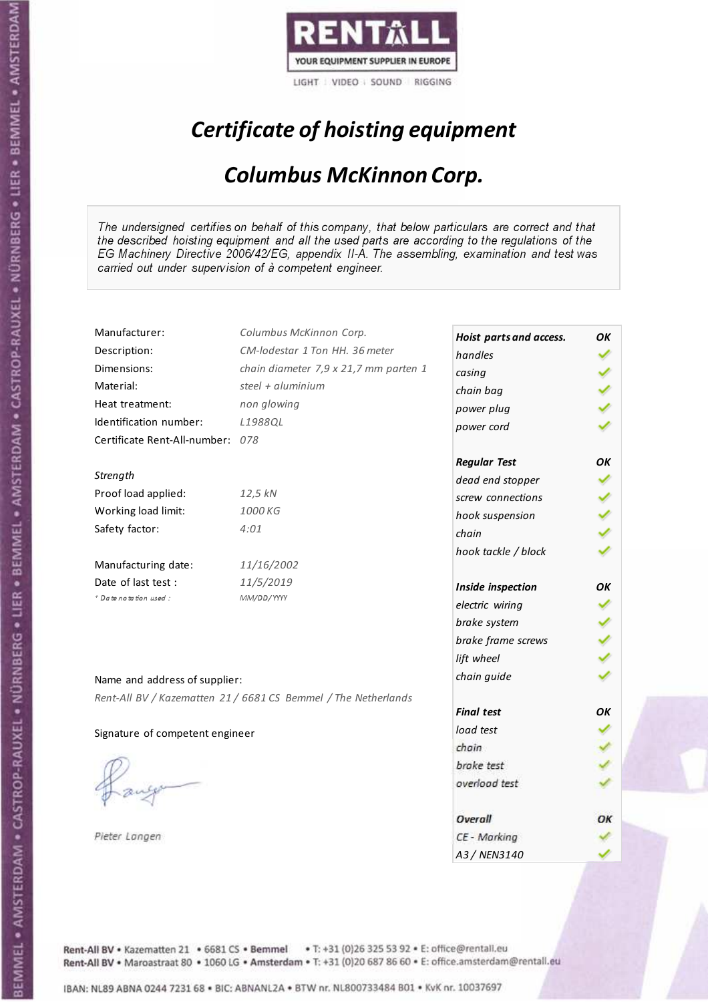

# Certificate of hoisting equipment

### Columbus McKinnon Corp.

The undersigned certifies on behalf of this company, that below particulars are correct and that the described hoisting equipment and all the used parts are according to the regulations of the EG Machinery Directive 2006/42/EG, appendix II-A. The assembling, examination and test was carried out under supervision of à competent engineer.

| Manufacturer:                    | Columbus McKinnon Corp.                                        | Hoist parts and access. | OK |
|----------------------------------|----------------------------------------------------------------|-------------------------|----|
| Description:                     | CM-lodestar 1 Ton HH. 36 meter                                 | handles                 |    |
| Dimensions:                      | chain diameter 7,9 x 21,7 mm parten 1                          | casing                  |    |
| Material:                        | steel + aluminium                                              | chain bag               |    |
| Heat treatment:                  | non glowing                                                    | power plug              |    |
| Identification number:           | L1988QL                                                        | power cord              |    |
| Certificate Rent-All-number: 078 |                                                                |                         |    |
|                                  |                                                                | <b>Regular Test</b>     | ΟK |
| Strength                         |                                                                | dead end stopper        |    |
| Proof load applied:              | 12,5 kN                                                        | screw connections       |    |
| Working load limit:              | 1000 KG                                                        | hook suspension         |    |
| Safety factor:                   | 4:01                                                           | chain                   |    |
|                                  |                                                                | hook tackle / block     |    |
| Manufacturing date:              | 11/16/2002                                                     |                         |    |
| Date of last test :              | 11/5/2019                                                      | Inside inspection       | OΚ |
| + Date notation used:            | MM/DD/YYYY                                                     | electric wiring         |    |
|                                  |                                                                | brake system            |    |
|                                  |                                                                | brake frame screws      |    |
|                                  |                                                                | lift wheel              |    |
| Name and address of supplier:    |                                                                | chain guide             |    |
|                                  | Rent-All BV / Kazematten 21 / 6681 CS Bemmel / The Netherlands |                         |    |
|                                  |                                                                | <b>Final test</b>       | OK |
| Signature of competent engineer  |                                                                | load test               |    |
|                                  |                                                                | chain                   |    |
|                                  |                                                                | brake test              |    |
|                                  |                                                                | overload test           |    |
|                                  |                                                                |                         |    |
|                                  |                                                                | Overall                 | ОΚ |
| Pieter Langen                    |                                                                | CE - Marking            |    |
|                                  |                                                                | A3/NFN3140              |    |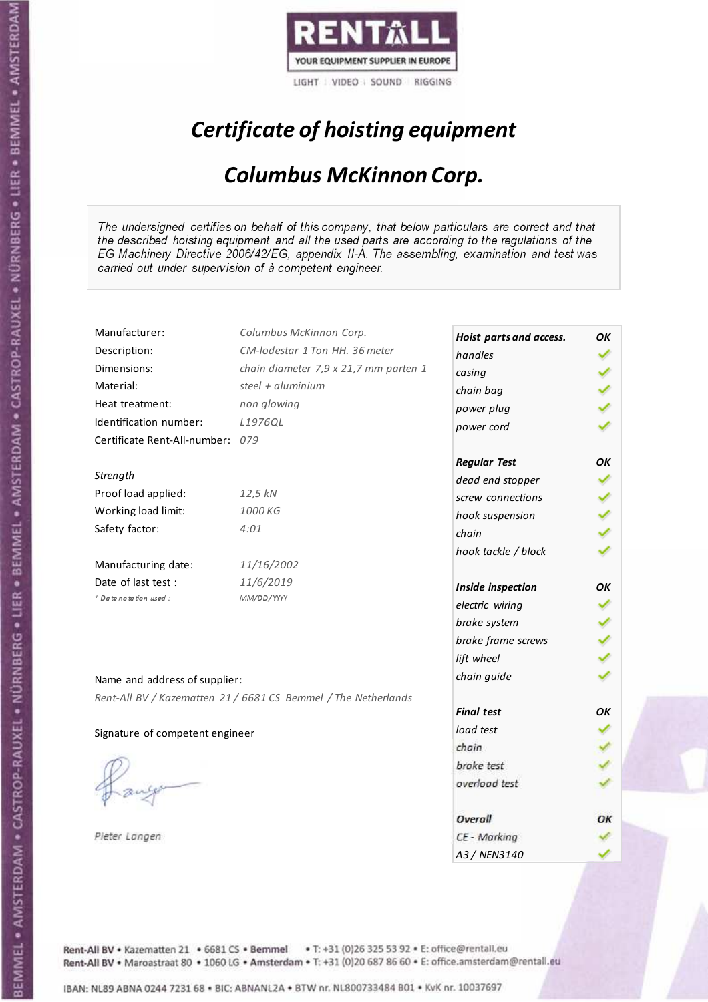

# Certificate of hoisting equipment

### Columbus McKinnon Corp.

The undersigned certifies on behalf of this company, that below particulars are correct and that the described hoisting equipment and all the used parts are according to the regulations of the EG Machinery Directive 2006/42/EG, appendix II-A. The assembling, examination and test was carried out under supervision of à competent engineer.

| Manufacturer:                    | Columbus McKinnon Corp.                                        | Hoist parts and access. | OK |
|----------------------------------|----------------------------------------------------------------|-------------------------|----|
| Description:                     | CM-lodestar 1 Ton HH. 36 meter                                 | handles                 |    |
| Dimensions:                      | chain diameter 7,9 x 21,7 mm parten 1                          | casing                  |    |
| Material:                        | steel + aluminium                                              | chain bag               |    |
| Heat treatment:                  | non glowing                                                    | power plug              |    |
| Identification number:           | L1976QL                                                        | power cord              |    |
| Certificate Rent-All-number: 079 |                                                                |                         |    |
|                                  |                                                                | <b>Regular Test</b>     | ΟK |
| Strength                         |                                                                | dead end stopper        |    |
| Proof load applied:              | 12,5 kN                                                        | screw connections       |    |
| Working load limit:              | 1000 KG                                                        | hook suspension         |    |
| Safety factor:                   | 4:01                                                           | chain                   |    |
|                                  |                                                                | hook tackle / block     |    |
| Manufacturing date:              | 11/16/2002                                                     |                         |    |
| Date of last test :              | 11/6/2019                                                      | Inside inspection       | OΚ |
| + Date notation used:            | MM/DD/YYYY                                                     | electric wiring         |    |
|                                  |                                                                | brake system            |    |
|                                  |                                                                | brake frame screws      |    |
|                                  |                                                                | lift wheel              |    |
| Name and address of supplier:    |                                                                | chain guide             |    |
|                                  | Rent-All BV / Kazematten 21 / 6681 CS Bemmel / The Netherlands |                         |    |
|                                  |                                                                | <b>Final test</b>       | OK |
| Signature of competent engineer  |                                                                | load test               |    |
|                                  |                                                                | chain                   |    |
|                                  |                                                                | brake test              |    |
|                                  |                                                                | overload test           |    |
|                                  |                                                                |                         |    |
|                                  |                                                                | Overall                 | ОΚ |
| Pieter Langen                    |                                                                | CE - Marking            |    |
|                                  |                                                                | A3/NFN3140              |    |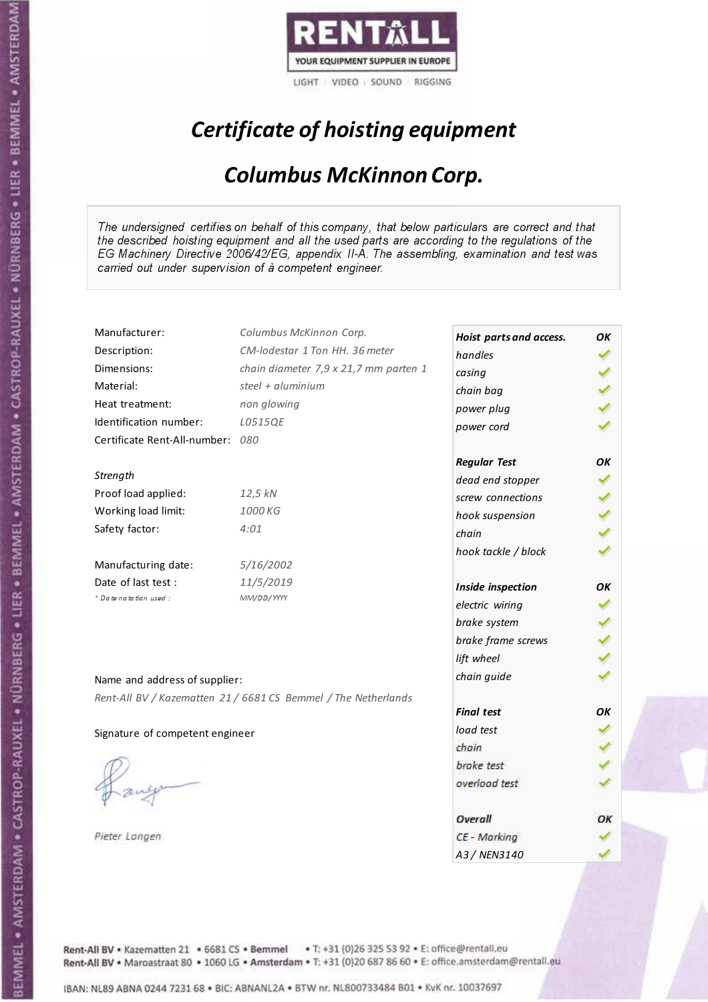

# Certificate of hoisting equipment

### Columbus McKinnon Corp.

The undersigned certifies on behalf of this company, that below particulars are correct and that the described hoisting equipment and all the used parts are according to the regulations of the EG Machinery Directive 2006/42/EG, appendix II-A. The assembling, examination and test was carried out under supervision of à competent engineer.

| Manufacturer:                    | Columbus McKinnon Corp.                                        | Hoist parts and access. | OK |
|----------------------------------|----------------------------------------------------------------|-------------------------|----|
| Description:                     | CM-lodestar 1 Ton HH. 36 meter                                 | handles                 |    |
| Dimensions:                      | chain diameter 7,9 x 21,7 mm parten 1                          | casing                  |    |
| Material:                        | steel + aluminium                                              | chain bag               |    |
| Heat treatment:                  | non glowing                                                    | power plug              |    |
| Identification number:           | L0515QE                                                        | power cord              |    |
| Certificate Rent-All-number: 080 |                                                                |                         |    |
|                                  |                                                                | <b>Regular Test</b>     | ΟK |
| Strength                         |                                                                | dead end stopper        |    |
| Proof load applied:              | 12,5 kN                                                        | screw connections       |    |
| Working load limit:              | 1000 KG                                                        | hook suspension         |    |
| Safety factor:                   | 4:01                                                           | chain                   |    |
|                                  |                                                                | hook tackle / block     |    |
| Manufacturing date:              | 5/16/2002                                                      |                         |    |
| Date of last test :              | 11/5/2019                                                      | Inside inspection       | OΚ |
| + Date notation used:            | MM/DD/YYYY                                                     | electric wiring         |    |
|                                  |                                                                | brake system            |    |
|                                  |                                                                | brake frame screws      |    |
|                                  |                                                                | lift wheel              |    |
| Name and address of supplier:    |                                                                | chain guide             |    |
|                                  | Rent-All BV / Kazematten 21 / 6681 CS Bemmel / The Netherlands |                         |    |
|                                  |                                                                | <b>Final test</b>       | OK |
| Signature of competent engineer  |                                                                | load test               |    |
|                                  |                                                                | chain                   |    |
|                                  |                                                                | brake test              |    |
|                                  |                                                                | overload test           |    |
|                                  |                                                                |                         |    |
|                                  |                                                                | Overall                 | ОΚ |
| Pieter Langen                    |                                                                | CE - Marking            |    |
|                                  |                                                                | A3/NFN3140              |    |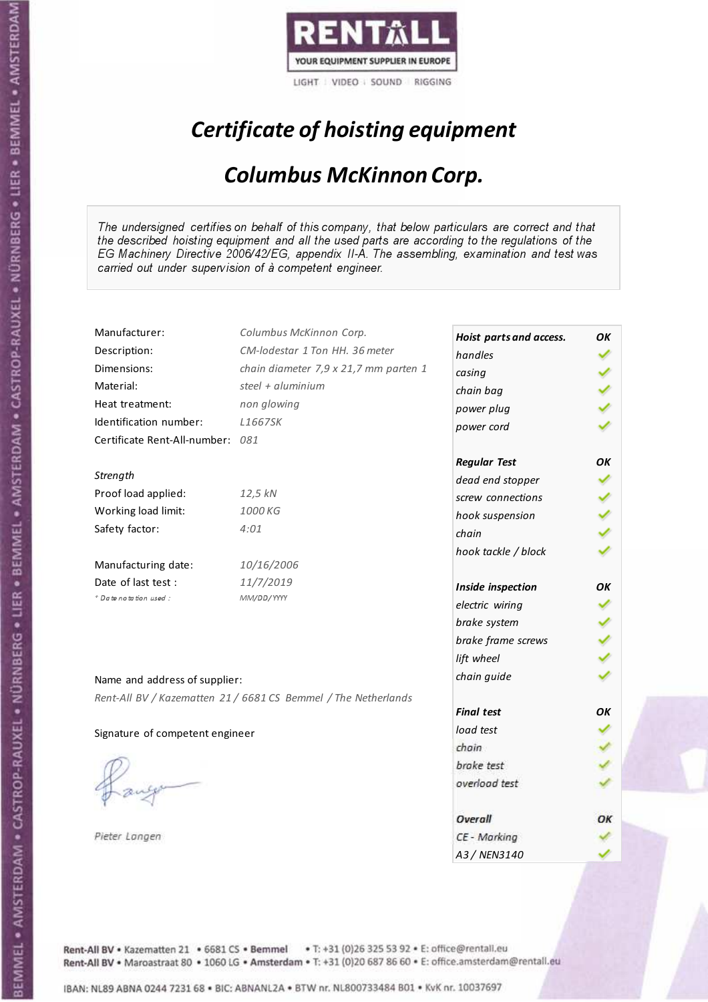

# Certificate of hoisting equipment

### Columbus McKinnon Corp.

The undersigned certifies on behalf of this company, that below particulars are correct and that the described hoisting equipment and all the used parts are according to the regulations of the EG Machinery Directive 2006/42/EG, appendix II-A. The assembling, examination and test was carried out under supervision of à competent engineer.

| Manufacturer:                    | Columbus McKinnon Corp.                                        | Hoist parts and access. | OK |
|----------------------------------|----------------------------------------------------------------|-------------------------|----|
| Description:                     | CM-lodestar 1 Ton HH, 36 meter                                 | handles                 |    |
| Dimensions:                      | chain diameter 7,9 x 21,7 mm parten 1                          | casing                  |    |
| Material:                        | steel + aluminium                                              | chain bag               |    |
| Heat treatment:                  | non glowing                                                    | power plug              |    |
| Identification number:           | L1667SK                                                        | power cord              |    |
| Certificate Rent-All-number: 081 |                                                                |                         |    |
|                                  |                                                                | <b>Regular Test</b>     | OK |
| Strength                         |                                                                | dead end stopper        |    |
| Proof load applied:              | 12,5 kN                                                        | screw connections       |    |
| Working load limit:              | 1000 KG                                                        | hook suspension         |    |
| Safety factor:                   | 4:01                                                           | chain                   |    |
|                                  |                                                                | hook tackle / block     |    |
| Manufacturing date:              | 10/16/2006                                                     |                         |    |
| Date of last test:               | 11/7/2019                                                      | Inside inspection       | OΚ |
| * Date notation used :           | MM/DD/YYYY                                                     | electric wiring         |    |
|                                  |                                                                | brake system            |    |
|                                  |                                                                | brake frame screws      |    |
|                                  |                                                                | lift wheel              |    |
| Name and address of supplier:    |                                                                | chain guide             |    |
|                                  | Rent-All BV / Kazematten 21 / 6681 CS Bemmel / The Netherlands |                         |    |
|                                  |                                                                | <b>Final test</b>       | OK |
| Signature of competent engineer  |                                                                | load test               |    |
|                                  |                                                                | chain                   |    |
|                                  |                                                                | brake test              |    |
|                                  |                                                                | overload test           |    |
|                                  |                                                                |                         |    |
|                                  |                                                                | Overall                 | ОΚ |
| Pieter Langen                    |                                                                | CE - Marking            |    |
|                                  |                                                                | A3/NFN3140              |    |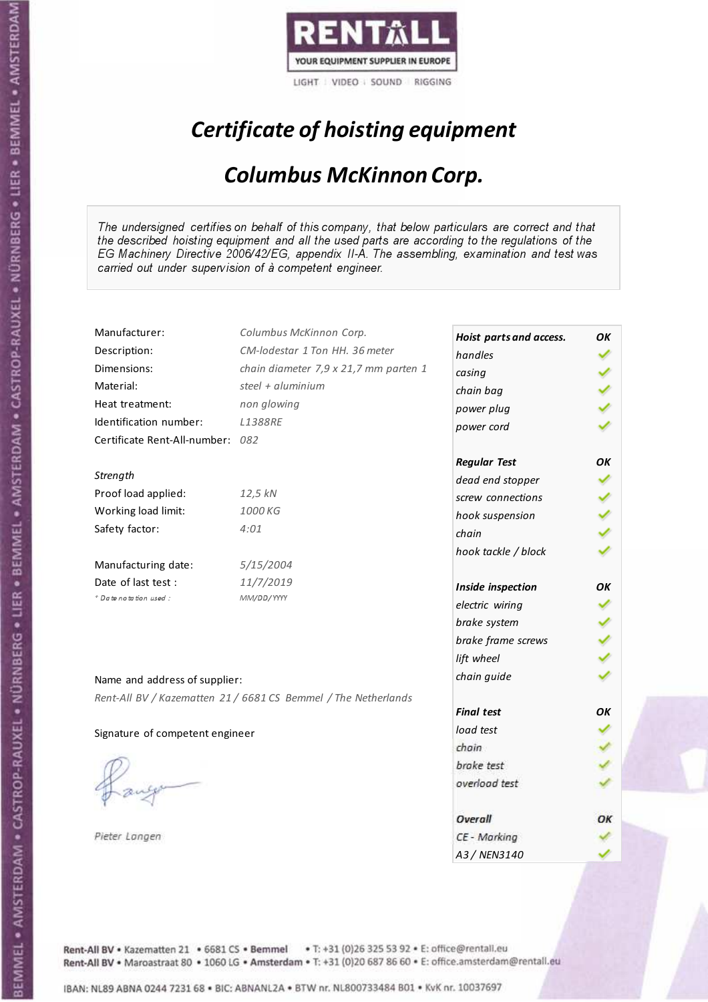

# Certificate of hoisting equipment

## Columbus McKinnon Corp.

The undersigned certifies on behalf of this company, that below particulars are correct and that the described hoisting equipment and all the used parts are according to the regulations of the EG Machinery Directive 2006/42/EG, appendix II-A. The assembling, examination and test was carried out under supervision of à competent engineer.

| Manufacturer:                    | Columbus McKinnon Corp.                                        | Hoist parts and access. | OK |
|----------------------------------|----------------------------------------------------------------|-------------------------|----|
| Description:                     | CM-lodestar 1 Ton HH, 36 meter                                 | handles                 |    |
| Dimensions:                      | chain diameter 7,9 x 21,7 mm parten 1                          | casing                  |    |
| Material:                        | steel + aluminium                                              | chain bag               |    |
| Heat treatment:                  | non glowing                                                    | power plug              |    |
| Identification number:           | <b>L1388RE</b>                                                 | power cord              |    |
| Certificate Rent-All-number: 082 |                                                                |                         |    |
|                                  |                                                                | <b>Regular Test</b>     | OK |
| Strength                         |                                                                | dead end stopper        |    |
| Proof load applied:              | 12,5 kN                                                        | screw connections       |    |
| Working load limit:              | 1000 KG                                                        | hook suspension         |    |
| Safety factor:                   | 4:01                                                           | chain                   |    |
|                                  |                                                                | hook tackle / block     |    |
| Manufacturing date:              | 5/15/2004                                                      |                         |    |
| Date of last test :              | 11/7/2019                                                      | Inside inspection       | OK |
| + Date notation used:            | MM/DD/YYYY                                                     | electric wiring         |    |
|                                  |                                                                | brake system            |    |
|                                  |                                                                | brake frame screws      |    |
|                                  |                                                                | lift wheel              |    |
| Name and address of supplier:    |                                                                | chain guide             |    |
|                                  | Rent-All BV / Kazematten 21 / 6681 CS Bemmel / The Netherlands |                         |    |
|                                  |                                                                | <b>Final test</b>       | OK |
| Signature of competent engineer  |                                                                | load test               |    |
|                                  |                                                                | chain                   |    |
|                                  |                                                                | brake test              |    |
|                                  |                                                                | overload test           |    |
|                                  |                                                                |                         |    |
|                                  |                                                                | Overall                 | ОΚ |
| Pieter Langen                    |                                                                | CE - Marking            |    |
|                                  |                                                                | A3 / NEN3140            |    |

Rent-All BV . Kazematten 21 . 6681 CS . Bemmel . T: +31 (0)26 325 53 92 . E: office@rentall.eu Rent-All BV · Maroastraat 80 · 1060 LG · Amsterdam · T: +31 (0)20 687 86 60 · E: office.amsterdam@rentall.eu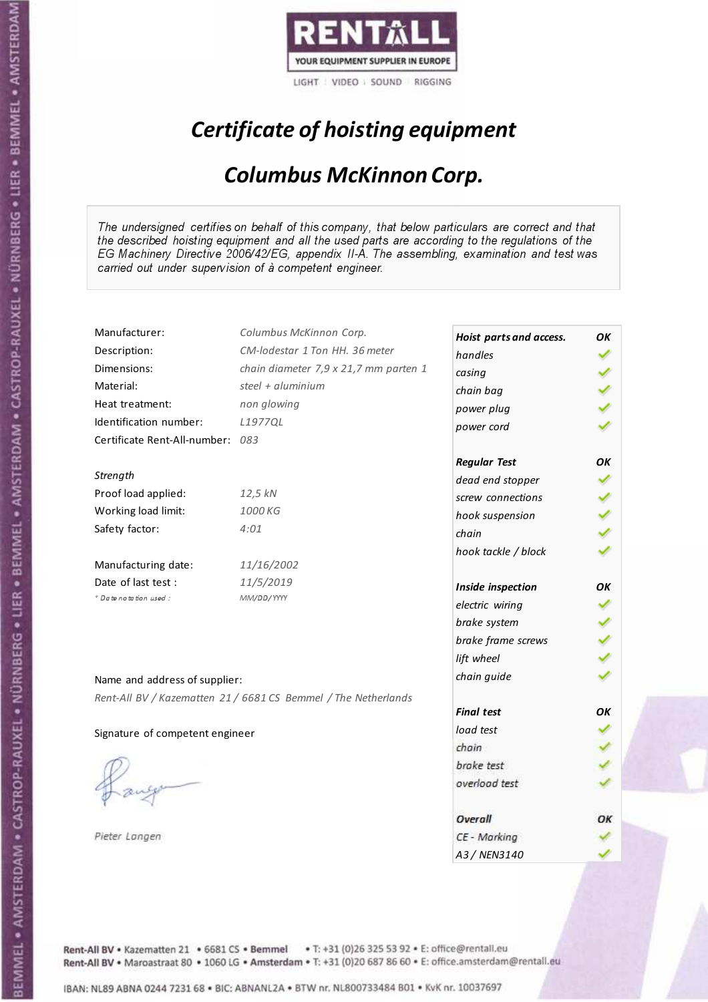

# Certificate of hoisting equipment

## Columbus McKinnon Corp.

The undersigned certifies on behalf of this company, that below particulars are correct and that the described hoisting equipment and all the used parts are according to the regulations of the EG Machinery Directive 2006/42/EG, appendix II-A. The assembling, examination and test was carried out under supervision of à competent engineer.

| Manufacturer:                    | Columbus McKinnon Corp.                                        | Hoist parts and access. | OK |
|----------------------------------|----------------------------------------------------------------|-------------------------|----|
| Description:                     | CM-lodestar 1 Ton HH. 36 meter                                 | handles                 |    |
| Dimensions:                      | chain diameter 7,9 x 21,7 mm parten 1                          | casing                  |    |
| Material:                        | steel + aluminium                                              | chain bag               |    |
| Heat treatment:                  | non glowing                                                    | power plug              |    |
| Identification number:           | L1977QL                                                        | power cord              |    |
| Certificate Rent-All-number: 083 |                                                                |                         |    |
|                                  |                                                                | <b>Regular Test</b>     | ΟK |
| Strength                         |                                                                | dead end stopper        |    |
| Proof load applied:              | 12,5 kN                                                        | screw connections       |    |
| Working load limit:              | 1000 KG                                                        | hook suspension         |    |
| Safety factor:                   | 4:01                                                           | chain                   |    |
|                                  |                                                                | hook tackle / block     |    |
| Manufacturing date:              | 11/16/2002                                                     |                         |    |
| Date of last test :              | 11/5/2019                                                      | Inside inspection       | OΚ |
| + Date notation used:            | MM/DD/YYYY                                                     | electric wiring         |    |
|                                  |                                                                | brake system            |    |
|                                  |                                                                | brake frame screws      |    |
|                                  |                                                                | lift wheel              |    |
| Name and address of supplier:    |                                                                | chain guide             |    |
|                                  |                                                                |                         |    |
|                                  | Rent-All BV / Kazematten 21 / 6681 CS Bemmel / The Netherlands | <b>Final test</b>       | OK |
| Signature of competent engineer  |                                                                | load test               |    |
|                                  |                                                                | chain                   |    |
|                                  |                                                                | brake test              |    |
|                                  |                                                                | overload test           |    |
|                                  |                                                                |                         |    |
|                                  |                                                                | Overall                 | ОΚ |
| Pieter Langen                    |                                                                | CE - Marking            |    |
|                                  |                                                                | A3/NFN3140              |    |

Rent-All BV . Kazematten 21 . 6681 CS . Bemmel . T: +31 (0)26 325 53 92 . E: office@rentall.eu Rent-All BV · Maroastraat 80 · 1060 LG · Amsterdam · T: +31 (0)20 687 86 60 · E: office.amsterdam@rentall.eu

IBAN: NL89 ABNA 0244 7231 68 . BIC: ABNANL2A . BTW nr. NL800733484 B01 . KvK nr. 10037697

BEMMEL • AMSTERDAM • CASTROP-RAUXEL • NÜRNBERG • LIER • BEMMEL • AMSTERDAM • CASTROP-RAUXEL • NÜRNBERG • LIER • BEMMEL • AMSTERDAM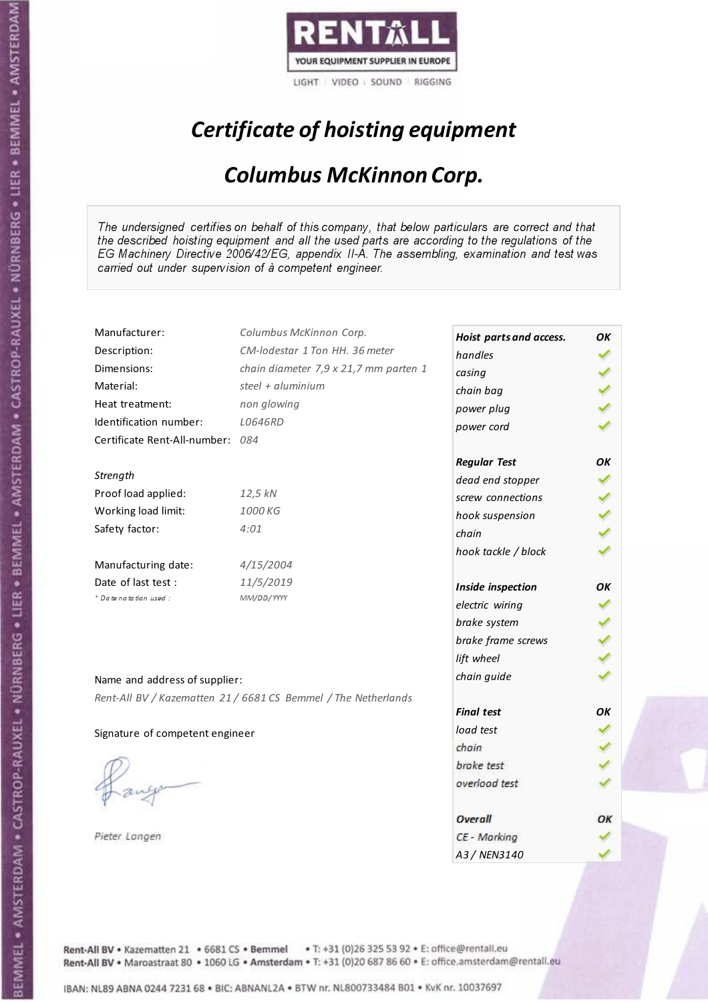

# Certificate of hoisting equipment

## Columbus McKinnon Corp.

The undersigned certifies on behalf of this company, that below particulars are correct and that the described hoisting equipment and all the used parts are according to the regulations of the EG Machinery Directive 2006/42/EG, appendix II-A. The assembling, examination and test was carried out under supervision of à competent engineer.

| Manufacturer:                    | Columbus McKinnon Corp.                                        | Hoist parts and access. | OK  |
|----------------------------------|----------------------------------------------------------------|-------------------------|-----|
| Description:                     | CM-lodestar 1 Ton HH, 36 meter                                 | handles                 |     |
| Dimensions:                      | chain diameter 7,9 x 21,7 mm parten 1                          | casing                  |     |
| Material:                        | steel + aluminium                                              | chain bag               |     |
| Heat treatment:                  | non glowing                                                    | power plug              |     |
| Identification number:           | L0646RD                                                        | power cord              |     |
| Certificate Rent-All-number: 084 |                                                                |                         |     |
|                                  |                                                                | <b>Regular Test</b>     | OK  |
| Strength                         |                                                                | dead end stopper        |     |
| Proof load applied:              | 12,5 kN                                                        | screw connections       |     |
| Working load limit:              | 1000 KG                                                        | hook suspension         | くりょ |
| Safety factor:                   | 4:01                                                           | chain                   |     |
|                                  |                                                                | hook tackle / block     |     |
| Manufacturing date:              | 4/15/2004                                                      |                         |     |
| Date of last test:               | 11/5/2019                                                      | Inside inspection       | OК  |
| + Date notation used:            | MM/DD/YYYY                                                     | electric wiring         |     |
|                                  |                                                                | brake system            |     |
|                                  |                                                                | brake frame screws      |     |
|                                  |                                                                | lift wheel              |     |
| Name and address of supplier:    |                                                                | chain guide             |     |
|                                  | Rent-All BV / Kazematten 21 / 6681 CS Bemmel / The Netherlands |                         |     |
|                                  |                                                                | <b>Final test</b>       | OК  |
| Signature of competent engineer  |                                                                | load test               |     |
|                                  |                                                                | chain                   |     |
|                                  |                                                                | brake test              |     |
|                                  |                                                                | overload test           |     |
|                                  |                                                                |                         |     |
|                                  |                                                                | Overall                 | ОΚ  |
| Pieter Langen                    |                                                                | CE - Marking            |     |
|                                  |                                                                | A3 / NEN3140            |     |

Rent-All BV . Kazematten 21 . 6681 CS . Bemmel . T: +31 (0)26 325 53 92 . E: office@rentall.eu Rent-All BV · Maroastraat 80 · 1060 LG · Amsterdam · T: +31 (0)20 687 86 60 · E: office.amsterdam@rentall.eu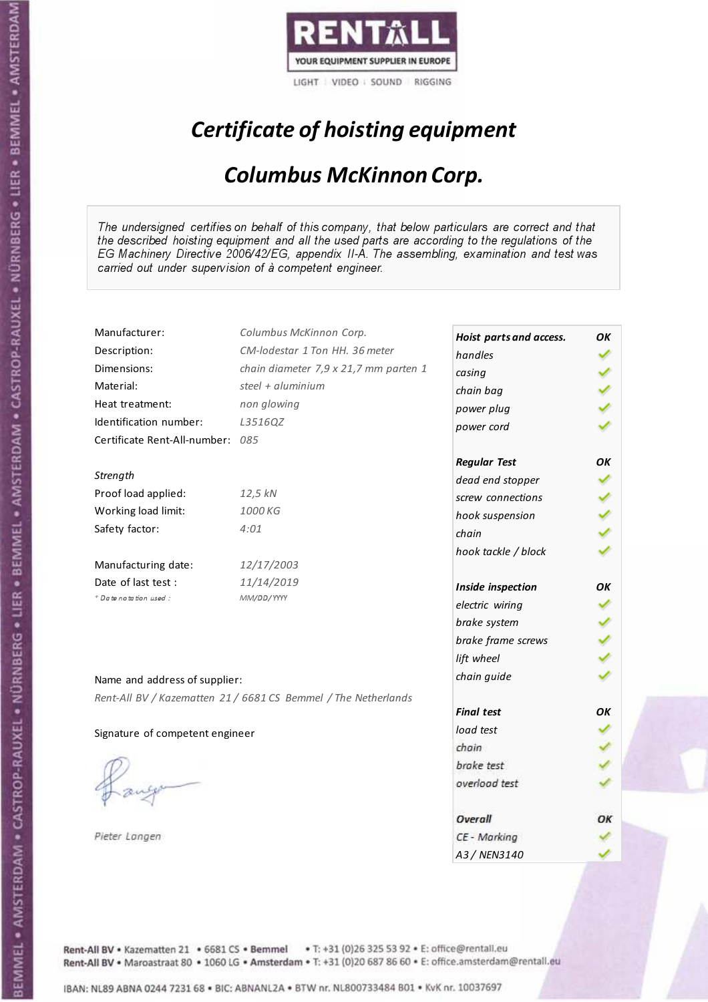

# Certificate of hoisting equipment

## Columbus McKinnon Corp.

The undersigned certifies on behalf of this company, that below particulars are correct and that the described hoisting equipment and all the used parts are according to the regulations of the EG Machinery Directive 2006/42/EG, appendix II-A. The assembling, examination and test was carried out under supervision of à competent engineer.

| Manufacturer:                    | Columbus McKinnon Corp.                                        | Hoist parts and access. | OK |
|----------------------------------|----------------------------------------------------------------|-------------------------|----|
| Description:                     | CM-lodestar 1 Ton HH, 36 meter                                 | handles                 |    |
| Dimensions:                      | chain diameter 7,9 x 21,7 mm parten 1                          | casing                  |    |
| Material:                        | steel + aluminium                                              | chain bag               |    |
| Heat treatment:                  | non glowing                                                    | power plug              |    |
| Identification number:           | L3516QZ                                                        | power cord              |    |
| Certificate Rent-All-number: 085 |                                                                |                         |    |
|                                  |                                                                | <b>Regular Test</b>     | OK |
| Strength                         |                                                                | dead end stopper        |    |
| Proof load applied:              | 12,5 kN                                                        | screw connections       |    |
| Working load limit:              | 1000 KG                                                        | hook suspension         |    |
| Safety factor:                   | 4:01                                                           | chain                   |    |
|                                  |                                                                | hook tackle / block     |    |
| Manufacturing date:              | 12/17/2003                                                     |                         |    |
| Date of last test:               | 11/14/2019                                                     | Inside inspection       | OK |
| + Date notation used:            | MM/DD/YYYY                                                     | electric wiring         |    |
|                                  |                                                                | brake system            |    |
|                                  |                                                                | brake frame screws      |    |
|                                  |                                                                | lift wheel              |    |
| Name and address of supplier:    |                                                                | chain guide             |    |
|                                  | Rent-All BV / Kazematten 21 / 6681 CS Bemmel / The Netherlands |                         |    |
|                                  |                                                                | <b>Final test</b>       | OΚ |
| Signature of competent engineer  |                                                                | load test               |    |
|                                  |                                                                | chain                   |    |
|                                  |                                                                | brake test              |    |
|                                  |                                                                | overload test           |    |
|                                  |                                                                |                         |    |
|                                  |                                                                | Overall                 | ОΚ |
| Pieter Langen                    |                                                                | CE - Marking            |    |
|                                  |                                                                | A3 / NEN3140            |    |

Rent-All BV . Kazematten 21 . 6681 CS . Bemmel . T: +31 (0)26 325 53 92 . E: office@rentall.eu Rent-All BV · Maroastraat 80 · 1060 LG · Amsterdam · T: +31 (0)20 687 86 60 · E: office.amsterdam@rentall.eu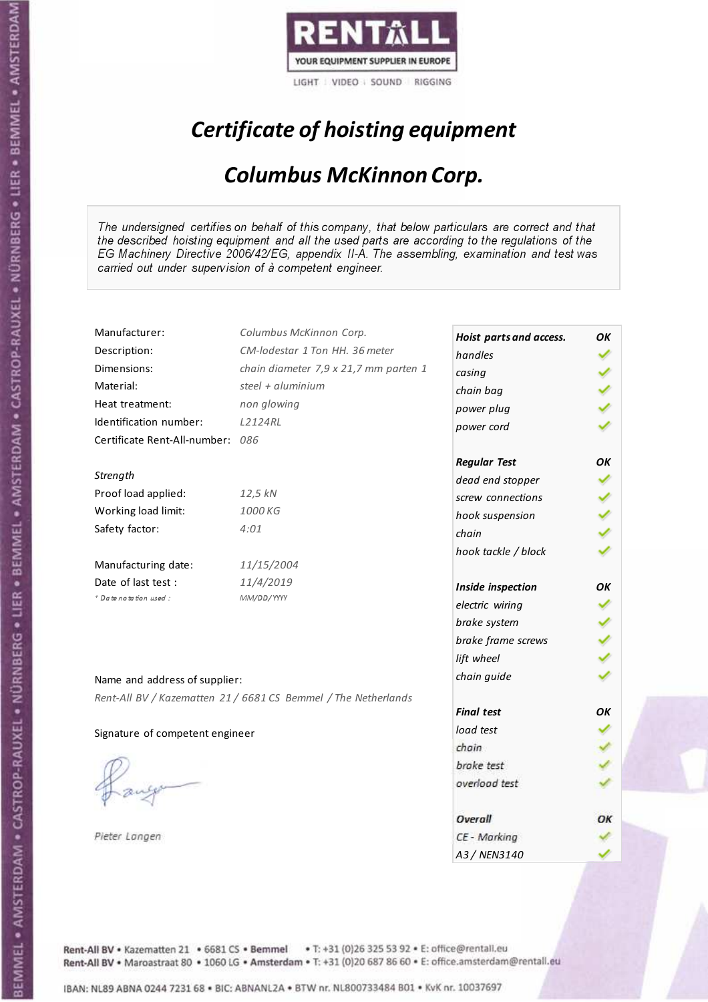

# Certificate of hoisting equipment

## Columbus McKinnon Corp.

The undersigned certifies on behalf of this company, that below particulars are correct and that the described hoisting equipment and all the used parts are according to the regulations of the EG Machinery Directive 2006/42/EG, appendix II-A. The assembling, examination and test was carried out under supervision of à competent engineer.

| Manufacturer:                    | Columbus McKinnon Corp.                                        | Hoist parts and access. | ΟK |
|----------------------------------|----------------------------------------------------------------|-------------------------|----|
| Description:                     | CM-lodestar 1 Ton HH, 36 meter                                 | handles                 |    |
| Dimensions:                      | chain diameter 7,9 x 21,7 mm parten 1                          | casing                  |    |
| Material:                        | steel + aluminium                                              | chain bag               |    |
| Heat treatment:                  | non glowing                                                    | power plug              |    |
| Identification number:           | L2124RL                                                        | power cord              |    |
| Certificate Rent-All-number: 086 |                                                                |                         |    |
|                                  |                                                                | <b>Regular Test</b>     | ΟK |
| Strength                         |                                                                | dead end stopper        |    |
| Proof load applied:              | 12,5 kN                                                        | screw connections       |    |
| Working load limit:              | 1000 KG                                                        | hook suspension         |    |
| Safety factor:                   | 4:01                                                           | chain                   |    |
|                                  |                                                                | hook tackle / block     |    |
| Manufacturing date:              | 11/15/2004                                                     |                         |    |
| Date of last test:               | 11/4/2019                                                      | Inside inspection       | OК |
| + Date notation used:            | MM/DD/YYYY                                                     | electric wiring         |    |
|                                  |                                                                | brake system            |    |
|                                  |                                                                | brake frame screws      |    |
|                                  |                                                                | lift wheel              |    |
| Name and address of supplier:    |                                                                | chain guide             |    |
|                                  | Rent-All BV / Kazematten 21 / 6681 CS Bemmel / The Netherlands |                         |    |
|                                  |                                                                | <b>Final test</b>       | OΚ |
| Signature of competent engineer  |                                                                | load test               |    |
|                                  |                                                                | chain                   |    |
|                                  |                                                                | brake test              |    |
|                                  |                                                                | overload test           |    |
|                                  |                                                                |                         |    |
|                                  |                                                                | Overall                 | ОΚ |
| Pieter Langen                    |                                                                | CE - Marking            |    |
|                                  |                                                                | A3 / NEN3140            |    |

Rent-All BV . Kazematten 21 . 6681 CS . Bemmel . T: +31 (0)26 325 53 92 . E: office@rentall.eu Rent-All BV · Maroastraat 80 · 1060 LG · Amsterdam · T: +31 (0)20 687 86 60 · E: office.amsterdam@rentall.eu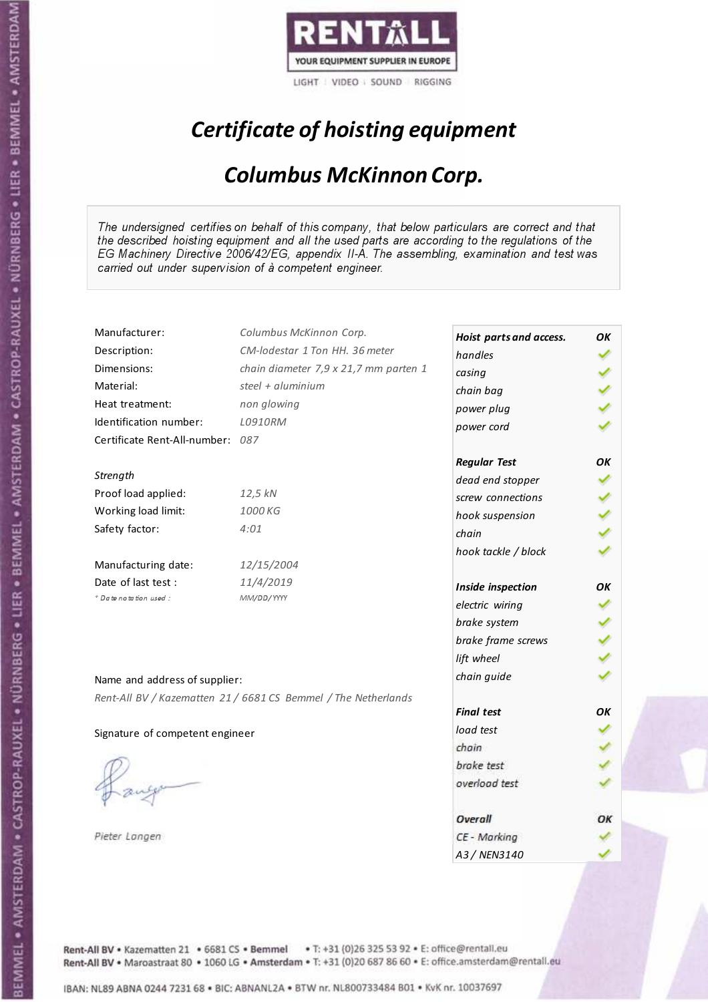

# Certificate of hoisting equipment

## Columbus McKinnon Corp.

The undersigned certifies on behalf of this company, that below particulars are correct and that the described hoisting equipment and all the used parts are according to the regulations of the EG Machinery Directive 2006/42/EG, appendix II-A. The assembling, examination and test was carried out under supervision of à competent engineer.

| Manufacturer:                    | Columbus McKinnon Corp.                                        | Hoist parts and access. | OK |
|----------------------------------|----------------------------------------------------------------|-------------------------|----|
| Description:                     | CM-lodestar 1 Ton HH, 36 meter                                 | handles                 |    |
| Dimensions:                      | chain diameter 7,9 x 21,7 mm parten 1                          | casing                  |    |
| Material:                        | steel + aluminium                                              | chain bag               |    |
| Heat treatment:                  | non glowing                                                    | power plug              |    |
| Identification number:           | L0910RM                                                        | power cord              |    |
| Certificate Rent-All-number: 087 |                                                                |                         |    |
|                                  |                                                                | <b>Regular Test</b>     | OK |
| Strength                         |                                                                | dead end stopper        |    |
| Proof load applied:              | 12,5 kN                                                        | screw connections       |    |
| Working load limit:              | 1000 KG                                                        | hook suspension         |    |
| Safety factor:                   | 4:01                                                           | chain                   |    |
|                                  |                                                                | hook tackle / block     |    |
| Manufacturing date:              | 12/15/2004                                                     |                         |    |
| Date of last test:               | 11/4/2019                                                      | Inside inspection       | OК |
| + Date notation used:            | MM/DD/YYYY                                                     | electric wiring         |    |
|                                  |                                                                | brake system            |    |
|                                  |                                                                | brake frame screws      |    |
|                                  |                                                                | lift wheel              |    |
|                                  |                                                                | chain guide             |    |
| Name and address of supplier:    |                                                                |                         |    |
|                                  | Rent-All BV / Kazematten 21 / 6681 CS Bemmel / The Netherlands | <b>Final test</b>       | OK |
|                                  |                                                                | load test               |    |
| Signature of competent engineer  |                                                                | chain                   |    |
|                                  |                                                                | brake test              |    |
|                                  |                                                                | overload test           |    |
|                                  |                                                                |                         |    |
|                                  |                                                                | Overall                 | ОΚ |
| Pieter Langen                    |                                                                | CE - Marking            |    |
|                                  |                                                                | A3 / NEN3140            |    |

Rent-All BV . Kazematten 21 . 6681 CS . Bemmel . T: +31 (0)26 325 53 92 . E: office@rentall.eu Rent-All BV · Maroastraat 80 · 1060 LG · Amsterdam · T: +31 (0)20 687 86 60 · E: office.amsterdam@rentall.eu